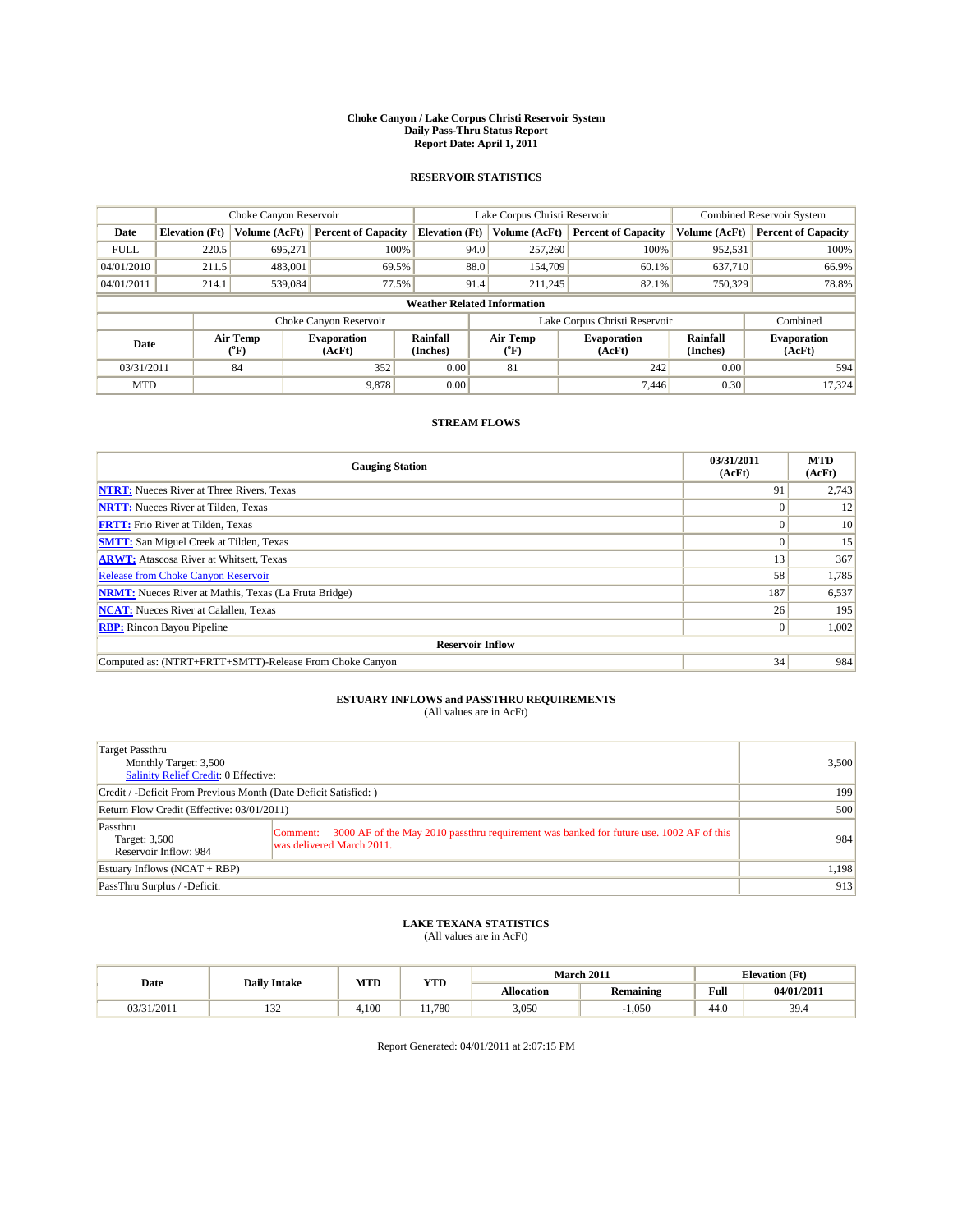#### **Choke Canyon / Lake Corpus Christi Reservoir System Daily Pass-Thru Status Report Report Date: April 1, 2011**

#### **RESERVOIR STATISTICS**

|             | Choke Canyon Reservoir             |                  |                              |                       | Lake Corpus Christi Reservoir |               |                              |                      | <b>Combined Reservoir System</b> |  |
|-------------|------------------------------------|------------------|------------------------------|-----------------------|-------------------------------|---------------|------------------------------|----------------------|----------------------------------|--|
| Date        | <b>Elevation</b> (Ft)              | Volume (AcFt)    | <b>Percent of Capacity</b>   | <b>Elevation</b> (Ft) |                               | Volume (AcFt) | <b>Percent of Capacity</b>   | Volume (AcFt)        | <b>Percent of Capacity</b>       |  |
| <b>FULL</b> | 220.5                              | 695,271          | 100%                         |                       | 94.0                          | 257,260       | 100%                         | 952,531              | 100%                             |  |
| 04/01/2010  | 211.5                              | 483,001          | 69.5%                        |                       | 88.0                          | 154,709       | 60.1%                        | 637,710              | 66.9%                            |  |
| 04/01/2011  | 214.1                              | 539,084          | 77.5%                        |                       | 91.4                          | 211,245       | 82.1%                        | 750,329              | 78.8%                            |  |
|             | <b>Weather Related Information</b> |                  |                              |                       |                               |               |                              |                      |                                  |  |
|             |                                    |                  | Choke Canyon Reservoir       |                       | Lake Corpus Christi Reservoir |               |                              |                      | Combined                         |  |
| Date        |                                    | Air Temp<br>(°F) | <b>Evaporation</b><br>(AcFt) | Rainfall<br>(Inches)  | Air Temp<br>("F)              |               | <b>Evaporation</b><br>(AcFt) | Rainfall<br>(Inches) | <b>Evaporation</b><br>(AcFt)     |  |
| 03/31/2011  |                                    | 84               | 352                          | 0.00                  | 81                            |               | 242                          | 0.00                 | 594                              |  |
| <b>MTD</b>  |                                    |                  | 9,878                        | 0.00                  |                               |               | 7.446                        | 0.30                 | 17.324                           |  |

### **STREAM FLOWS**

| <b>Gauging Station</b>                                       | 03/31/2011<br>(AcFt) | <b>MTD</b><br>(AcFt) |  |  |  |  |
|--------------------------------------------------------------|----------------------|----------------------|--|--|--|--|
| <b>NTRT:</b> Nueces River at Three Rivers, Texas             | 91                   | 2,743                |  |  |  |  |
| <b>NRTT:</b> Nueces River at Tilden, Texas                   | $\Omega$             | 12                   |  |  |  |  |
| <b>FRTT:</b> Frio River at Tilden, Texas                     |                      | 10                   |  |  |  |  |
| <b>SMTT:</b> San Miguel Creek at Tilden, Texas               | $\Omega$             | 15                   |  |  |  |  |
| <b>ARWT:</b> Atascosa River at Whitsett, Texas               | 13                   | 367                  |  |  |  |  |
| <b>Release from Choke Canyon Reservoir</b>                   | 58                   | 1,785                |  |  |  |  |
| <b>NRMT:</b> Nueces River at Mathis, Texas (La Fruta Bridge) | 187                  | 6,537                |  |  |  |  |
| <b>NCAT:</b> Nueces River at Calallen, Texas                 | 26                   | 195                  |  |  |  |  |
| <b>RBP:</b> Rincon Bayou Pipeline                            | $\overline{0}$       | 1,002                |  |  |  |  |
| <b>Reservoir Inflow</b>                                      |                      |                      |  |  |  |  |
| Computed as: (NTRT+FRTT+SMTT)-Release From Choke Canyon      | 34                   | 984                  |  |  |  |  |

## **ESTUARY INFLOWS and PASSTHRU REQUIREMENTS**<br>(All values are in AcFt)

| Target Passthru<br>Monthly Target: 3,500<br>Salinity Relief Credit: 0 Effective: |                                                                                                                                  | 3,500 |
|----------------------------------------------------------------------------------|----------------------------------------------------------------------------------------------------------------------------------|-------|
| Credit / -Deficit From Previous Month (Date Deficit Satisfied: )                 | 199                                                                                                                              |       |
| Return Flow Credit (Effective: 03/01/2011)                                       |                                                                                                                                  | 500   |
| Passthru<br>Target: 3,500<br>Reservoir Inflow: 984                               | 3000 AF of the May 2010 passthru requirement was banked for future use, 1002 AF of this<br>Comment:<br>was delivered March 2011. | 984   |
| Estuary Inflows $(NCAT + RBP)$                                                   |                                                                                                                                  | 1,198 |
| PassThru Surplus / -Deficit:                                                     |                                                                                                                                  | 913   |

## **LAKE TEXANA STATISTICS** (All values are in AcFt)

|            | MTD<br><b>YTD</b><br><b>Daily Intake</b> |       |      |                   | <b>March 2011</b> | <b>Elevation</b> (Ft)                       |            |
|------------|------------------------------------------|-------|------|-------------------|-------------------|---------------------------------------------|------------|
| Date       |                                          |       |      | <b>Allocation</b> | <b>Remaining</b>  | Full<br>the contract of the contract of the | 04/01/2011 |
| 03/31/2011 | $\sim$<br>1 J 4                          | 1.100 | .780 | 3,050             | 1.050             | 44.0                                        | 39.4       |

Report Generated: 04/01/2011 at 2:07:15 PM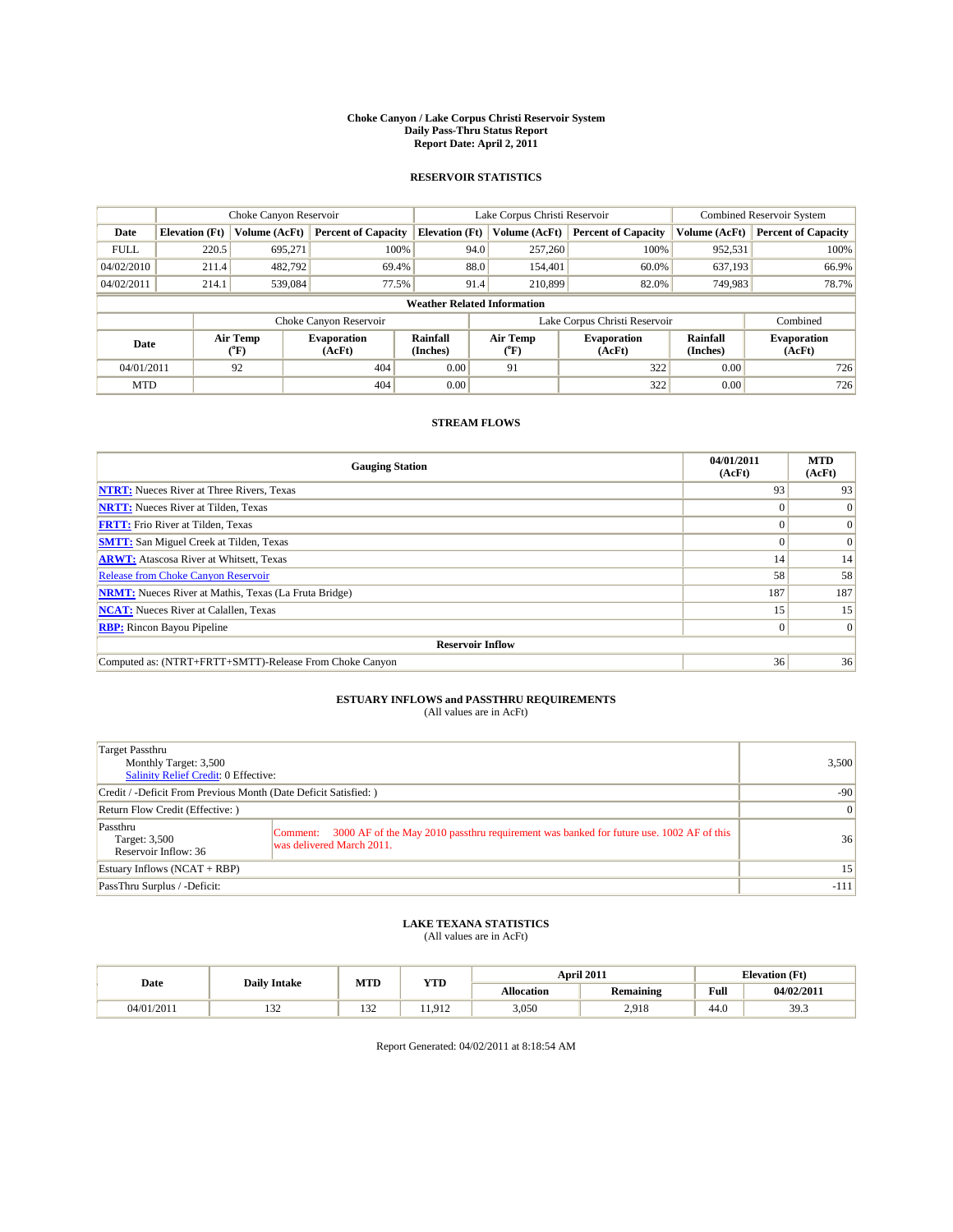#### **Choke Canyon / Lake Corpus Christi Reservoir System Daily Pass-Thru Status Report Report Date: April 2, 2011**

#### **RESERVOIR STATISTICS**

|             | Choke Canyon Reservoir             |                                           |                              |                       | Lake Corpus Christi Reservoir |                  |                              |                      | <b>Combined Reservoir System</b> |  |
|-------------|------------------------------------|-------------------------------------------|------------------------------|-----------------------|-------------------------------|------------------|------------------------------|----------------------|----------------------------------|--|
| Date        | <b>Elevation</b> (Ft)              | Volume (AcFt)                             | <b>Percent of Capacity</b>   | <b>Elevation</b> (Ft) |                               | Volume (AcFt)    | <b>Percent of Capacity</b>   | Volume (AcFt)        | <b>Percent of Capacity</b>       |  |
| <b>FULL</b> | 220.5                              | 695.271                                   | 100%                         |                       | 94.0                          | 257,260          | 100%                         | 952,531              | 100%                             |  |
| 04/02/2010  | 211.4                              | 482,792                                   | 69.4%                        |                       | 88.0                          | 154,401          | 60.0%                        | 637.193              | 66.9%                            |  |
| 04/02/2011  | 214.1                              | 539,084                                   | 77.5%                        |                       | 91.4                          | 210,899          | 82.0%                        | 749,983              | 78.7%                            |  |
|             | <b>Weather Related Information</b> |                                           |                              |                       |                               |                  |                              |                      |                                  |  |
|             |                                    |                                           | Choke Canyon Reservoir       |                       | Lake Corpus Christi Reservoir |                  |                              |                      | Combined                         |  |
| Date        |                                    | Air Temp<br>$({}^{\mathrm{o}}\mathrm{F})$ | <b>Evaporation</b><br>(AcFt) | Rainfall<br>(Inches)  |                               | Air Temp<br>(°F) | <b>Evaporation</b><br>(AcFt) | Rainfall<br>(Inches) | <b>Evaporation</b><br>(AcFt)     |  |
| 04/01/2011  |                                    | 92                                        | 404                          | 0.00                  |                               | 91               | 322                          | 0.00                 | 726                              |  |
| <b>MTD</b>  |                                    |                                           | 404                          | 0.00                  |                               |                  | 322                          | 0.00                 | 726                              |  |

### **STREAM FLOWS**

| <b>Gauging Station</b>                                       | 04/01/2011<br>(AcFt) | <b>MTD</b><br>(AcFt) |  |  |  |
|--------------------------------------------------------------|----------------------|----------------------|--|--|--|
| <b>NTRT:</b> Nueces River at Three Rivers, Texas             | 93                   | 93                   |  |  |  |
| <b>NRTT:</b> Nueces River at Tilden, Texas                   |                      | $\Omega$             |  |  |  |
| <b>FRTT:</b> Frio River at Tilden, Texas                     |                      | $\Omega$             |  |  |  |
| <b>SMTT:</b> San Miguel Creek at Tilden, Texas               |                      | $\Omega$             |  |  |  |
| <b>ARWT:</b> Atascosa River at Whitsett, Texas               | 14                   | 14                   |  |  |  |
| Release from Choke Canyon Reservoir                          | 58                   | 58                   |  |  |  |
| <b>NRMT:</b> Nueces River at Mathis, Texas (La Fruta Bridge) | 187                  | 187                  |  |  |  |
| <b>NCAT:</b> Nueces River at Calallen, Texas                 | 15                   | 15                   |  |  |  |
| <b>RBP:</b> Rincon Bayou Pipeline                            | $\Omega$             | $\Omega$             |  |  |  |
| <b>Reservoir Inflow</b>                                      |                      |                      |  |  |  |
| Computed as: (NTRT+FRTT+SMTT)-Release From Choke Canyon      | 36                   | 36                   |  |  |  |

## **ESTUARY INFLOWS and PASSTHRU REQUIREMENTS**

|  | (All values are in AcFt) |
|--|--------------------------|
|--|--------------------------|

| Target Passthru<br>Monthly Target: 3,500<br>Salinity Relief Credit: 0 Effective: |                                                                                                                                  | 3,500           |
|----------------------------------------------------------------------------------|----------------------------------------------------------------------------------------------------------------------------------|-----------------|
| Credit / -Deficit From Previous Month (Date Deficit Satisfied: )                 |                                                                                                                                  | $-90$           |
| Return Flow Credit (Effective: )                                                 |                                                                                                                                  | 0               |
| Passthru<br>Target: 3,500<br>Reservoir Inflow: 36                                | 3000 AF of the May 2010 passthru requirement was banked for future use. 1002 AF of this<br>Comment:<br>was delivered March 2011. | 36              |
| Estuary Inflows $(NCAT + RBP)$                                                   |                                                                                                                                  | 15 <sup>1</sup> |
| PassThru Surplus / -Deficit:                                                     |                                                                                                                                  | $-111$          |

## **LAKE TEXANA STATISTICS** (All values are in AcFt)

| Date       | <b>Daily Intake</b>       | MTD<br>YTD    |              | April 2011 |                  | <b>Elevation</b> (Ft) |                           |
|------------|---------------------------|---------------|--------------|------------|------------------|-----------------------|---------------------------|
|            |                           |               |              | Allocation | <b>Remaining</b> | Full                  | 04/02/2011                |
| 04/01/2011 | $\sim$<br>1J <sub>4</sub> | $\sim$<br>152 | 012<br>∟ 7 س | 3,050      | 2.918<br>2.710   | 44.0                  | 30 <sup>2</sup><br>ر. ر ر |

Report Generated: 04/02/2011 at 8:18:54 AM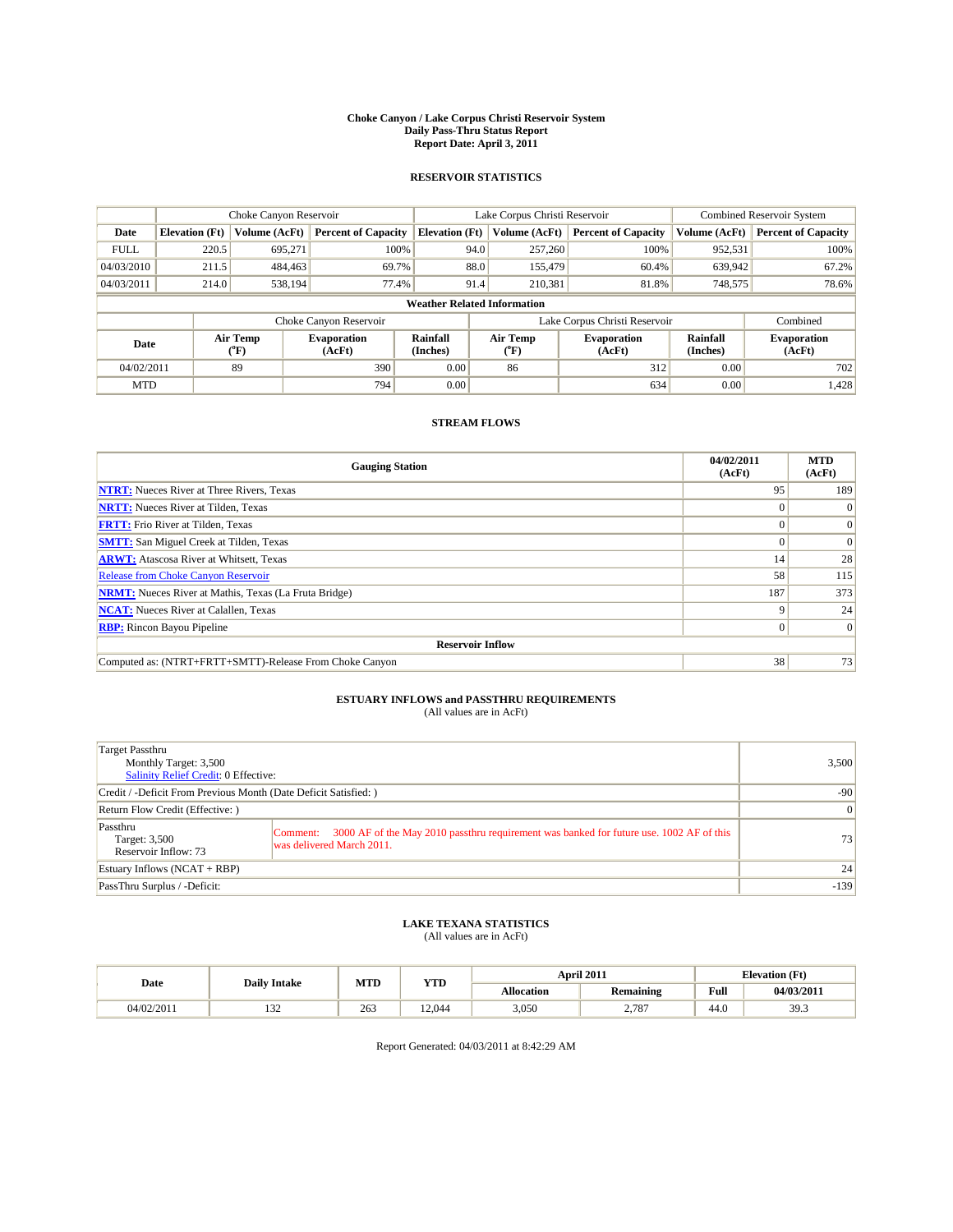#### **Choke Canyon / Lake Corpus Christi Reservoir System Daily Pass-Thru Status Report Report Date: April 3, 2011**

#### **RESERVOIR STATISTICS**

|             | Choke Canyon Reservoir             |                                           |                              |                       | Lake Corpus Christi Reservoir |                              | <b>Combined Reservoir System</b> |                              |
|-------------|------------------------------------|-------------------------------------------|------------------------------|-----------------------|-------------------------------|------------------------------|----------------------------------|------------------------------|
| Date        | <b>Elevation</b> (Ft)              | Volume (AcFt)                             | <b>Percent of Capacity</b>   | <b>Elevation</b> (Ft) | Volume (AcFt)                 | <b>Percent of Capacity</b>   | Volume (AcFt)                    | <b>Percent of Capacity</b>   |
| <b>FULL</b> | 220.5                              | 695.271                                   | 100%                         |                       | 94.0<br>257,260               | 100%                         | 952,531                          | 100%                         |
| 04/03/2010  | 211.5                              | 484,463                                   | 69.7%                        |                       | 88.0<br>155,479               | 60.4%                        | 639,942                          | 67.2%                        |
| 04/03/2011  | 214.0                              | 538,194                                   | 77.4%                        |                       | 91.4<br>210,381               | 81.8%                        | 748,575                          | 78.6%                        |
|             | <b>Weather Related Information</b> |                                           |                              |                       |                               |                              |                                  |                              |
|             |                                    |                                           | Choke Canyon Reservoir       |                       | Lake Corpus Christi Reservoir |                              | Combined                         |                              |
| Date        |                                    | Air Temp<br>$({}^{\mathrm{o}}\mathrm{F})$ | <b>Evaporation</b><br>(AcFt) | Rainfall<br>(Inches)  | Air Temp<br>(°F)              | <b>Evaporation</b><br>(AcFt) | Rainfall<br>(Inches)             | <b>Evaporation</b><br>(AcFt) |
| 04/02/2011  |                                    | 89                                        | 390                          | 0.00                  | 86                            | 312                          | 0.00                             | 702                          |
| <b>MTD</b>  |                                    |                                           | 794                          | 0.00                  |                               | 634                          | 0.00                             | 1,428                        |

### **STREAM FLOWS**

| <b>Gauging Station</b>                                       | 04/02/2011<br>(AcFt) | <b>MTD</b><br>(AcFt) |  |  |  |  |
|--------------------------------------------------------------|----------------------|----------------------|--|--|--|--|
| <b>NTRT:</b> Nueces River at Three Rivers, Texas             | 95                   | 189                  |  |  |  |  |
| <b>NRTT:</b> Nueces River at Tilden, Texas                   | $\Omega$             | $\Omega$             |  |  |  |  |
| <b>FRTT:</b> Frio River at Tilden, Texas                     |                      | $\Omega$             |  |  |  |  |
| <b>SMTT:</b> San Miguel Creek at Tilden, Texas               |                      | $\Omega$             |  |  |  |  |
| <b>ARWT:</b> Atascosa River at Whitsett, Texas               | 14                   | 28                   |  |  |  |  |
| <b>Release from Choke Canyon Reservoir</b>                   | 58                   | 115                  |  |  |  |  |
| <b>NRMT:</b> Nueces River at Mathis, Texas (La Fruta Bridge) | 187                  | 373                  |  |  |  |  |
| <b>NCAT:</b> Nueces River at Calallen, Texas                 | 9                    | 24                   |  |  |  |  |
| <b>RBP:</b> Rincon Bayou Pipeline                            | $\overline{0}$       | $\Omega$             |  |  |  |  |
| <b>Reservoir Inflow</b>                                      |                      |                      |  |  |  |  |
| Computed as: (NTRT+FRTT+SMTT)-Release From Choke Canyon      | 38                   | 73                   |  |  |  |  |

## **ESTUARY INFLOWS and PASSTHRU REQUIREMENTS**

|  | (All values are in AcFt) |
|--|--------------------------|
|--|--------------------------|

| Target Passthru<br>Monthly Target: 3,500<br>Salinity Relief Credit: 0 Effective: | 3,500                                                                                                                             |        |
|----------------------------------------------------------------------------------|-----------------------------------------------------------------------------------------------------------------------------------|--------|
| Credit / -Deficit From Previous Month (Date Deficit Satisfied: )                 | $-90$                                                                                                                             |        |
| Return Flow Credit (Effective: )                                                 | $\vert 0 \vert$                                                                                                                   |        |
| Passthru<br>Target: 3,500<br>Reservoir Inflow: 73                                | 3000 AF of the May 2010 passthru requirement was banked for future use. 1002 AF of this<br> Comment:<br>was delivered March 2011. | 73     |
| Estuary Inflows $(NCAT + RBP)$                                                   | 24                                                                                                                                |        |
| PassThru Surplus / -Deficit:                                                     |                                                                                                                                   | $-139$ |

## **LAKE TEXANA STATISTICS** (All values are in AcFt)

|            | <b>Daily Intake</b>       | MTD | <b>YTD</b> |                   | April 2011       | <b>Elevation</b> (Ft) |            |
|------------|---------------------------|-----|------------|-------------------|------------------|-----------------------|------------|
| Date       |                           |     |            | <b>Allocation</b> | <b>Remaining</b> | Full                  | 04/03/2011 |
| 04/02/2011 | $\sim$<br>1J <sub>4</sub> | 263 | 12.044     | 3,050             | 2.787            | 44.0                  | 39.3       |

Report Generated: 04/03/2011 at 8:42:29 AM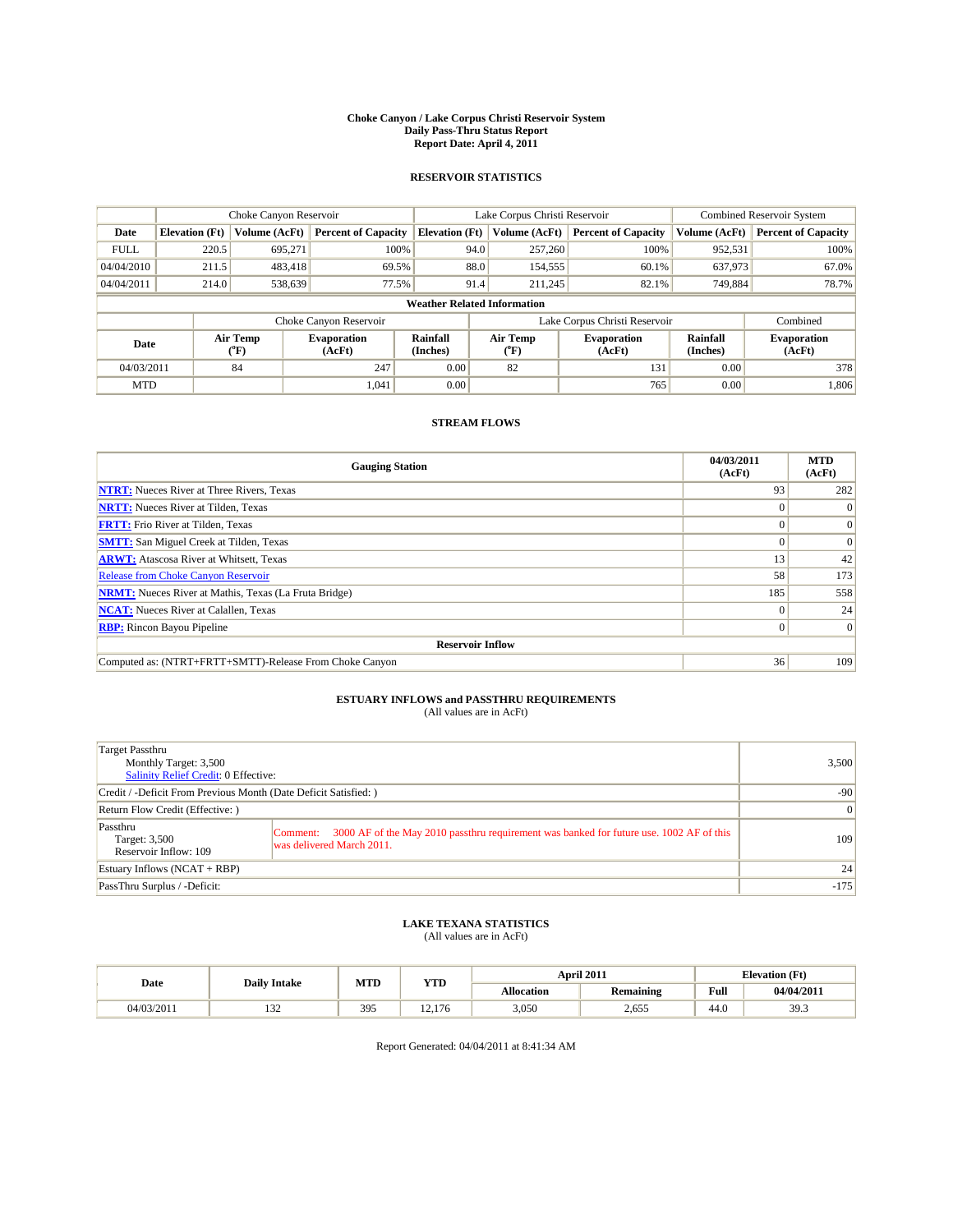#### **Choke Canyon / Lake Corpus Christi Reservoir System Daily Pass-Thru Status Report Report Date: April 4, 2011**

#### **RESERVOIR STATISTICS**

|             | Choke Canyon Reservoir |                  | Lake Corpus Christi Reservoir |                                    |                                                  |               | <b>Combined Reservoir System</b> |                              |                            |
|-------------|------------------------|------------------|-------------------------------|------------------------------------|--------------------------------------------------|---------------|----------------------------------|------------------------------|----------------------------|
| Date        | <b>Elevation</b> (Ft)  | Volume (AcFt)    | <b>Percent of Capacity</b>    | <b>Elevation</b> (Ft)              |                                                  | Volume (AcFt) | <b>Percent of Capacity</b>       | Volume (AcFt)                | <b>Percent of Capacity</b> |
| <b>FULL</b> | 220.5                  | 695,271          | 100%                          |                                    | 94.0                                             | 257,260       | 100%                             | 952,531                      | 100%                       |
| 04/04/2010  | 211.5                  | 483.418          | 69.5%                         |                                    | 88.0                                             | 154,555       | 60.1%                            | 637,973                      | 67.0%                      |
| 04/04/2011  | 214.0                  | 538,639          | 77.5%                         |                                    | 91.4                                             | 211,245       | 82.1%                            | 749,884                      | 78.7%                      |
|             |                        |                  |                               | <b>Weather Related Information</b> |                                                  |               |                                  |                              |                            |
|             |                        |                  | Choke Canyon Reservoir        |                                    |                                                  |               | Lake Corpus Christi Reservoir    |                              | Combined                   |
| Date        |                        | Air Temp<br>(°F) | <b>Evaporation</b><br>(AcFt)  | Rainfall<br>(Inches)               | Air Temp<br><b>Evaporation</b><br>(AcFt)<br>("F) |               | Rainfall<br>(Inches)             | <b>Evaporation</b><br>(AcFt) |                            |
| 04/03/2011  |                        | 84               | 247                           | 0.00                               | 82                                               |               | 131                              | 0.00                         | 378                        |
| <b>MTD</b>  |                        |                  | 1,041                         | 0.00                               |                                                  |               | 765                              | 0.00                         | 1,806                      |

### **STREAM FLOWS**

| <b>Gauging Station</b>                                       | 04/03/2011<br>(AcFt) | <b>MTD</b><br>(AcFt) |
|--------------------------------------------------------------|----------------------|----------------------|
| <b>NTRT:</b> Nueces River at Three Rivers, Texas             | 93                   | 282                  |
| <b>NRTT:</b> Nueces River at Tilden, Texas                   |                      | $\theta$             |
| <b>FRTT:</b> Frio River at Tilden, Texas                     |                      | $\Omega$             |
| <b>SMTT:</b> San Miguel Creek at Tilden, Texas               |                      | $\Omega$             |
| <b>ARWT:</b> Atascosa River at Whitsett, Texas               | 13                   | 42                   |
| Release from Choke Canyon Reservoir                          | 58                   | 173                  |
| <b>NRMT:</b> Nueces River at Mathis, Texas (La Fruta Bridge) | 185                  | 558                  |
| <b>NCAT:</b> Nueces River at Calallen, Texas                 | 0                    | 24                   |
| <b>RBP:</b> Rincon Bayou Pipeline                            | $\Omega$             | $\Omega$             |
| <b>Reservoir Inflow</b>                                      |                      |                      |
| Computed as: (NTRT+FRTT+SMTT)-Release From Choke Canyon      | 36                   | 109                  |

## **ESTUARY INFLOWS and PASSTHRU REQUIREMENTS**<br>(All values are in AcFt)

| Target Passthru<br>Monthly Target: 3,500<br><b>Salinity Relief Credit: 0 Effective:</b> | 3,500                                                                                                                            |        |  |  |
|-----------------------------------------------------------------------------------------|----------------------------------------------------------------------------------------------------------------------------------|--------|--|--|
| Credit / -Deficit From Previous Month (Date Deficit Satisfied: )                        | $-90$                                                                                                                            |        |  |  |
| Return Flow Credit (Effective: )                                                        |                                                                                                                                  |        |  |  |
| Passthru<br>Target: 3,500<br>Reservoir Inflow: 109                                      | 3000 AF of the May 2010 passthru requirement was banked for future use. 1002 AF of this<br>Comment:<br>was delivered March 2011. | 109    |  |  |
| Estuary Inflows $(NCAT + RBP)$                                                          | 24                                                                                                                               |        |  |  |
| PassThru Surplus / -Deficit:                                                            |                                                                                                                                  | $-175$ |  |  |

## **LAKE TEXANA STATISTICS** (All values are in AcFt)

| <b>Daily Intake</b> |                      | MTD<br><b>YTD</b> |               |                   | <b>April 2011</b> | <b>Elevation</b> (Ft) |            |
|---------------------|----------------------|-------------------|---------------|-------------------|-------------------|-----------------------|------------|
| Date                |                      |                   |               | <b>Allocation</b> | <b>Remaining</b>  | Full                  | 04/04/2011 |
| 04/03/2011          | $\sim$<br>. <i>.</i> | 395               | $\sim$<br>176 | 3,050             | 2,655             | $\sim$<br>44.0        | 39.3       |

Report Generated: 04/04/2011 at 8:41:34 AM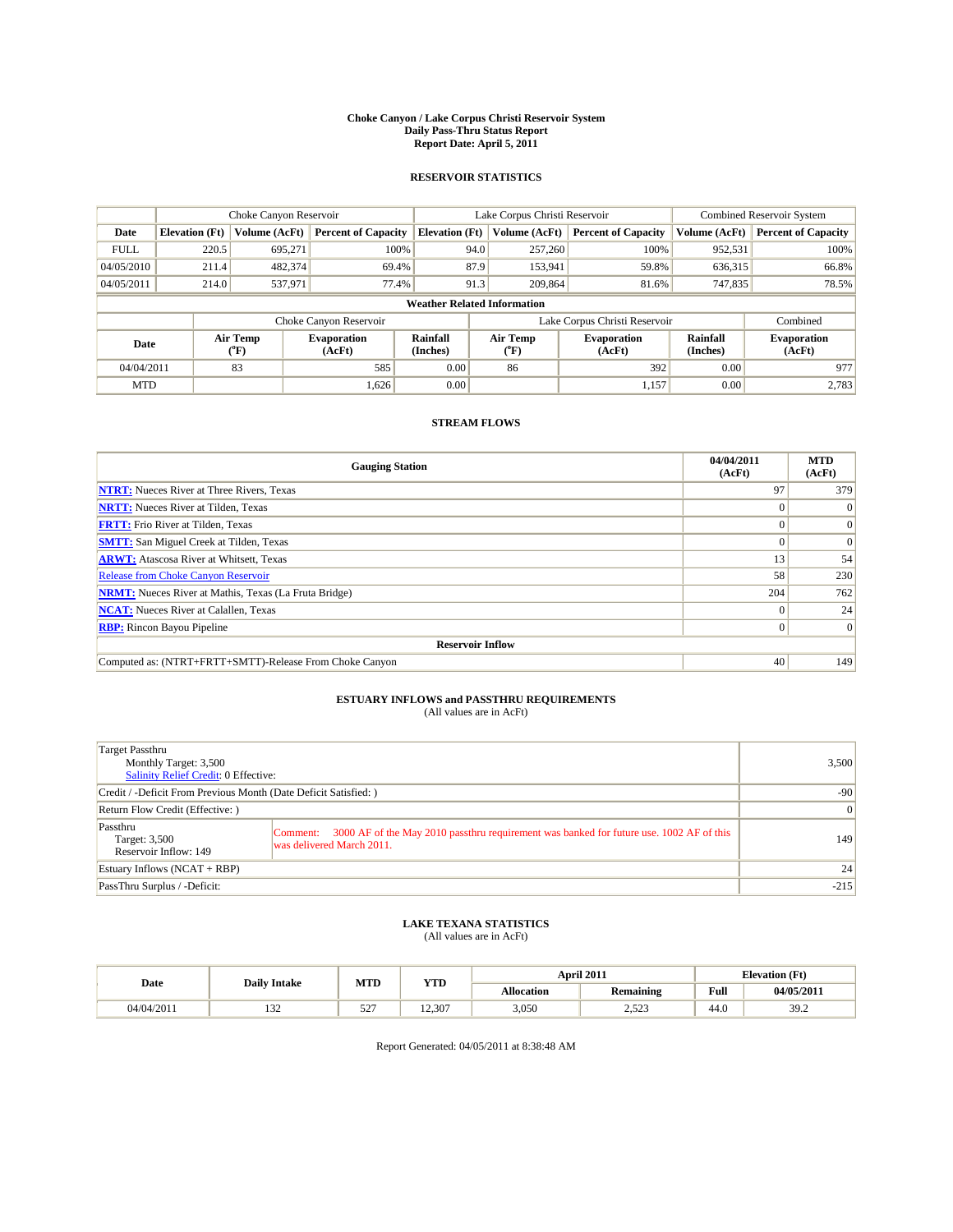#### **Choke Canyon / Lake Corpus Christi Reservoir System Daily Pass-Thru Status Report Report Date: April 5, 2011**

#### **RESERVOIR STATISTICS**

|             | Choke Canyon Reservoir                                                            |               |                            |                                    | Lake Corpus Christi Reservoir | <b>Combined Reservoir System</b> |                              |                            |
|-------------|-----------------------------------------------------------------------------------|---------------|----------------------------|------------------------------------|-------------------------------|----------------------------------|------------------------------|----------------------------|
| Date        | <b>Elevation</b> (Ft)                                                             | Volume (AcFt) | <b>Percent of Capacity</b> | <b>Elevation</b> (Ft)              | Volume (AcFt)                 | <b>Percent of Capacity</b>       | Volume (AcFt)                | <b>Percent of Capacity</b> |
| <b>FULL</b> | 220.5                                                                             | 695.271       | 100%                       | 94.0                               | 257,260                       | 100%                             | 952,531                      | 100%                       |
| 04/05/2010  | 211.4                                                                             | 482.374       | 69.4%                      | 87.9                               | 153,941                       | 59.8%                            | 636,315                      | 66.8%                      |
| 04/05/2011  | 214.0                                                                             | 537,971       | 77.4%                      | 91.3                               | 209,864                       | 81.6%                            | 747,835                      | 78.5%                      |
|             |                                                                                   |               |                            | <b>Weather Related Information</b> |                               |                                  |                              |                            |
|             |                                                                                   |               | Choke Canyon Reservoir     |                                    |                               | Lake Corpus Christi Reservoir    |                              | Combined                   |
|             | Air Temp<br><b>Evaporation</b><br>Date<br>(AcFt)<br>$({}^{\mathrm{o}}\mathrm{F})$ |               | Rainfall<br>(Inches)       | Air Temp<br>$({}^o\mathrm{F})$     | <b>Evaporation</b><br>(AcFt)  | Rainfall<br>(Inches)             | <b>Evaporation</b><br>(AcFt) |                            |
| 04/04/2011  |                                                                                   | 83            | 585                        | 0.00                               | 86                            | 392                              | 0.00                         | 977                        |
| <b>MTD</b>  |                                                                                   |               | 1,626                      | 0.00                               |                               | 1,157                            | 0.00                         | 2.783                      |

### **STREAM FLOWS**

| <b>Gauging Station</b>                                       | 04/04/2011<br>(AcFt) | <b>MTD</b><br>(AcFt) |
|--------------------------------------------------------------|----------------------|----------------------|
| <b>NTRT:</b> Nueces River at Three Rivers, Texas             | 97                   | 379                  |
| <b>NRTT:</b> Nueces River at Tilden, Texas                   | $\theta$             |                      |
| <b>FRTT:</b> Frio River at Tilden, Texas                     |                      | $\Omega$             |
| <b>SMTT:</b> San Miguel Creek at Tilden, Texas               |                      | $\Omega$             |
| <b>ARWT:</b> Atascosa River at Whitsett, Texas               | 13                   | 54                   |
| <b>Release from Choke Canyon Reservoir</b>                   | 58                   | 230                  |
| <b>NRMT:</b> Nueces River at Mathis, Texas (La Fruta Bridge) | 204                  | 762                  |
| <b>NCAT:</b> Nueces River at Calallen, Texas                 | $\theta$             | 24                   |
| <b>RBP:</b> Rincon Bayou Pipeline                            | $\Omega$             | $\Omega$             |
| <b>Reservoir Inflow</b>                                      |                      |                      |
| Computed as: (NTRT+FRTT+SMTT)-Release From Choke Canyon      | 40                   | 149                  |

## **ESTUARY INFLOWS and PASSTHRU REQUIREMENTS**

|  | (All values are in AcFt) |
|--|--------------------------|
|--|--------------------------|

| Target Passthru<br>Monthly Target: 3,500<br>Salinity Relief Credit: 0 Effective: | 3,500                                                                                                                             |        |
|----------------------------------------------------------------------------------|-----------------------------------------------------------------------------------------------------------------------------------|--------|
| Credit / -Deficit From Previous Month (Date Deficit Satisfied: )                 | $-90$                                                                                                                             |        |
| Return Flow Credit (Effective: )                                                 | $\vert 0 \vert$                                                                                                                   |        |
| Passthru<br>Target: 3,500<br>Reservoir Inflow: 149                               | 3000 AF of the May 2010 passthru requirement was banked for future use. 1002 AF of this<br> Comment:<br>was delivered March 2011. | 149    |
| Estuary Inflows $(NCAT + RBP)$                                                   | 24                                                                                                                                |        |
| PassThru Surplus / -Deficit:                                                     |                                                                                                                                   | $-215$ |

## **LAKE TEXANA STATISTICS** (All values are in AcFt)

|            | <b>Daily Intake</b> | MTD        | <b>YTD</b> |                   | <b>April 2011</b>        | <b>Elevation</b> (Ft) |            |
|------------|---------------------|------------|------------|-------------------|--------------------------|-----------------------|------------|
| Date       |                     |            |            | <b>Allocation</b> | <b>Remaining</b>         | Full                  | 04/05/2011 |
| 04/04/2011 | $\sim$<br>1.JZ      | 507<br>ے ر | 12.307     | 3,050             | 50 <sup>2</sup><br>رے دے | 44.0                  | 39.2       |

Report Generated: 04/05/2011 at 8:38:48 AM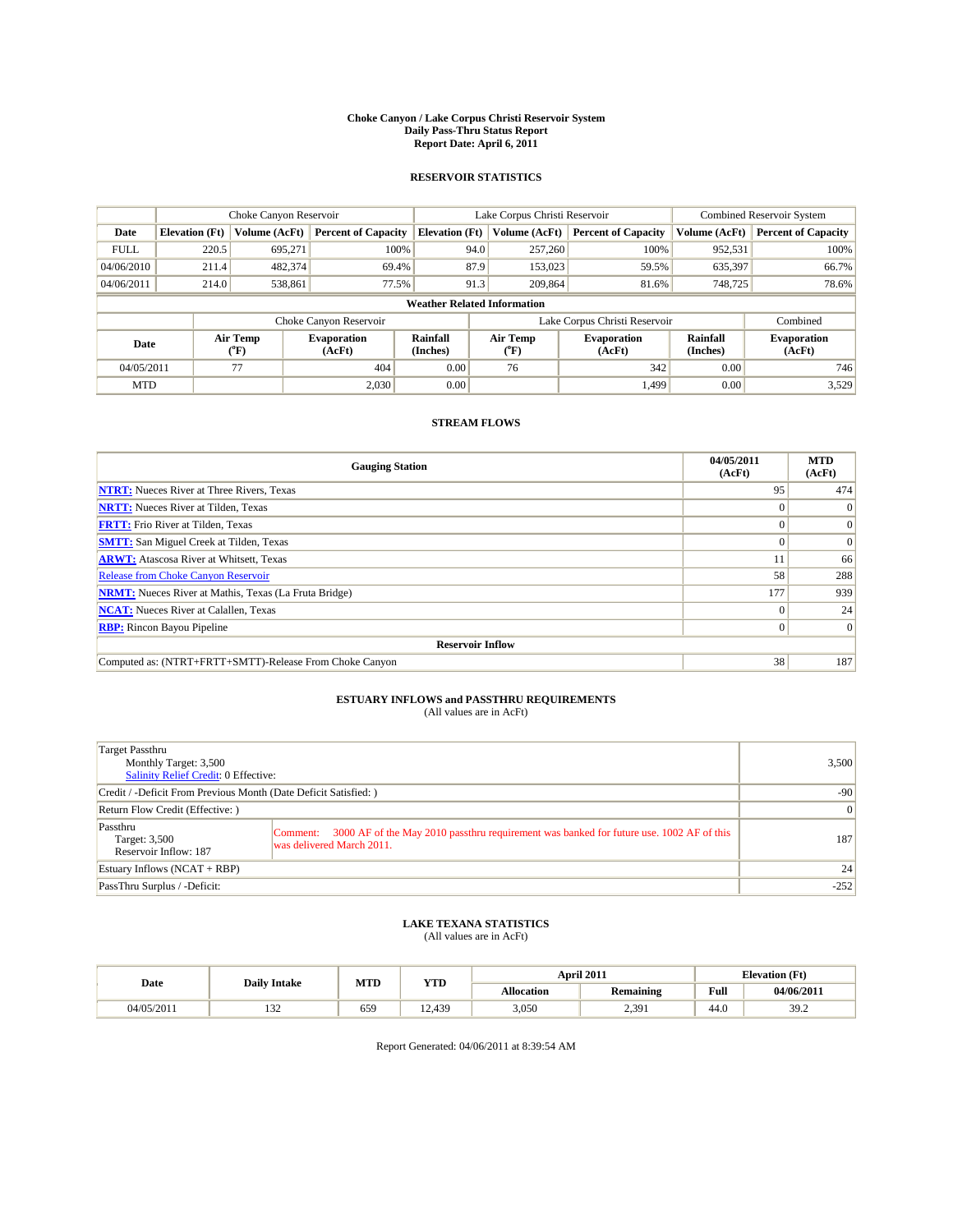#### **Choke Canyon / Lake Corpus Christi Reservoir System Daily Pass-Thru Status Report Report Date: April 6, 2011**

#### **RESERVOIR STATISTICS**

|             | Choke Canyon Reservoir |                  | Lake Corpus Christi Reservoir |                                    |                                                  |               | <b>Combined Reservoir System</b> |                              |                            |
|-------------|------------------------|------------------|-------------------------------|------------------------------------|--------------------------------------------------|---------------|----------------------------------|------------------------------|----------------------------|
| Date        | <b>Elevation</b> (Ft)  | Volume (AcFt)    | <b>Percent of Capacity</b>    | <b>Elevation</b> (Ft)              |                                                  | Volume (AcFt) | <b>Percent of Capacity</b>       | Volume (AcFt)                | <b>Percent of Capacity</b> |
| <b>FULL</b> | 220.5                  | 695.271          | 100%                          |                                    | 94.0                                             | 257,260       | 100%                             | 952,531                      | 100%                       |
| 04/06/2010  | 211.4                  | 482.374          | 69.4%                         |                                    | 87.9                                             | 153,023       | 59.5%                            | 635,397                      | 66.7%                      |
| 04/06/2011  | 214.0                  | 538,861          | 77.5%                         |                                    | 91.3                                             | 209,864       | 81.6%                            | 748,725                      | 78.6%                      |
|             |                        |                  |                               | <b>Weather Related Information</b> |                                                  |               |                                  |                              |                            |
|             |                        |                  | Choke Canyon Reservoir        |                                    |                                                  |               | Lake Corpus Christi Reservoir    |                              | Combined                   |
| Date        |                        | Air Temp<br>(°F) | <b>Evaporation</b><br>(AcFt)  | Rainfall<br>(Inches)               | Air Temp<br><b>Evaporation</b><br>(AcFt)<br>("F) |               | Rainfall<br>(Inches)             | <b>Evaporation</b><br>(AcFt) |                            |
| 04/05/2011  |                        | 77               | 404                           | 0.00                               |                                                  | 76            | 342                              | 0.00                         | 746                        |
| <b>MTD</b>  |                        |                  | 2.030                         | 0.00                               |                                                  |               | 1.499                            | 0.00                         | 3,529                      |

### **STREAM FLOWS**

| <b>Gauging Station</b>                                       | 04/05/2011<br>(AcFt) | <b>MTD</b><br>(AcFt) |  |  |  |  |  |
|--------------------------------------------------------------|----------------------|----------------------|--|--|--|--|--|
| <b>NTRT:</b> Nueces River at Three Rivers, Texas             | 95                   | 474                  |  |  |  |  |  |
| <b>NRTT:</b> Nueces River at Tilden, Texas                   |                      | $\Omega$             |  |  |  |  |  |
| <b>FRTT:</b> Frio River at Tilden, Texas                     |                      | $\vert 0 \vert$      |  |  |  |  |  |
| <b>SMTT:</b> San Miguel Creek at Tilden, Texas               |                      | $\vert 0 \vert$      |  |  |  |  |  |
| <b>ARWT:</b> Atascosa River at Whitsett, Texas               |                      | 66                   |  |  |  |  |  |
| <b>Release from Choke Canyon Reservoir</b>                   | 58                   | 288                  |  |  |  |  |  |
| <b>NRMT:</b> Nueces River at Mathis, Texas (La Fruta Bridge) | 177                  | 939                  |  |  |  |  |  |
| <b>NCAT:</b> Nueces River at Calallen, Texas                 |                      | 24                   |  |  |  |  |  |
| <b>RBP:</b> Rincon Bayou Pipeline                            | 0                    | $\Omega$             |  |  |  |  |  |
| <b>Reservoir Inflow</b>                                      |                      |                      |  |  |  |  |  |
| Computed as: (NTRT+FRTT+SMTT)-Release From Choke Canyon      | 38                   | 187                  |  |  |  |  |  |

## **ESTUARY INFLOWS and PASSTHRU REQUIREMENTS**<br>(All values are in AcFt)

| Target Passthru<br>Monthly Target: 3,500<br><b>Salinity Relief Credit: 0 Effective:</b> |                                                                                                                                  | 3,500           |
|-----------------------------------------------------------------------------------------|----------------------------------------------------------------------------------------------------------------------------------|-----------------|
| Credit / -Deficit From Previous Month (Date Deficit Satisfied: )                        | $-90$                                                                                                                            |                 |
| Return Flow Credit (Effective: )                                                        |                                                                                                                                  | $\vert 0 \vert$ |
| Passthru<br>Target: 3,500<br>Reservoir Inflow: 187                                      | 3000 AF of the May 2010 passthru requirement was banked for future use. 1002 AF of this<br>Comment:<br>was delivered March 2011. | 187             |
| Estuary Inflows $(NCAT + RBP)$                                                          |                                                                                                                                  | 24              |
| PassThru Surplus / -Deficit:                                                            |                                                                                                                                  | $-252$          |

## **LAKE TEXANA STATISTICS** (All values are in AcFt)

|            |                     | MTD<br><b>YTD</b> |                      |            | April 2011 | <b>Elevation</b> (Ft)                       |            |
|------------|---------------------|-------------------|----------------------|------------|------------|---------------------------------------------|------------|
| Date       | <b>Daily Intake</b> |                   |                      | Allocation | Remaining  | Full<br>the contract of the contract of the | 04/06/2011 |
| 04/05/2011 | $\sim$<br>1.JZ      | 659               | $\sim$<br>439<br>. . | 3,050      | 2.391      | 44.0                                        | 39.2       |

Report Generated: 04/06/2011 at 8:39:54 AM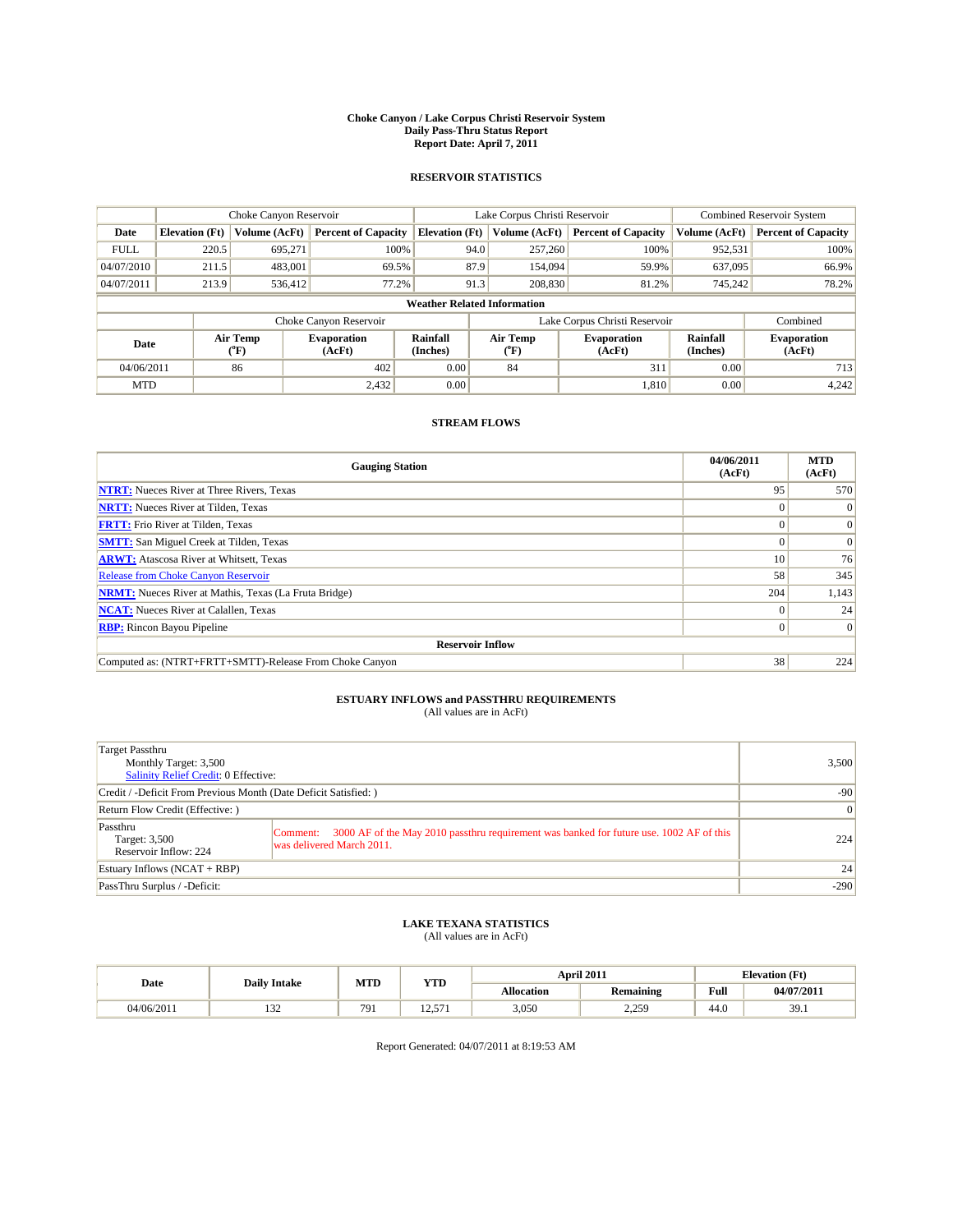#### **Choke Canyon / Lake Corpus Christi Reservoir System Daily Pass-Thru Status Report Report Date: April 7, 2011**

#### **RESERVOIR STATISTICS**

|             | Choke Canyon Reservoir             |                  |                              |                             | Lake Corpus Christi Reservoir | <b>Combined Reservoir System</b> |                      |                              |  |  |
|-------------|------------------------------------|------------------|------------------------------|-----------------------------|-------------------------------|----------------------------------|----------------------|------------------------------|--|--|
| Date        | <b>Elevation</b> (Ft)              | Volume (AcFt)    | <b>Percent of Capacity</b>   | <b>Elevation</b> (Ft)       | Volume (AcFt)                 | <b>Percent of Capacity</b>       | Volume (AcFt)        | <b>Percent of Capacity</b>   |  |  |
| <b>FULL</b> | 220.5                              | 695,271          | 100%                         | 94.0                        | 257,260                       | 100%                             | 952,531              | 100%                         |  |  |
| 04/07/2010  | 211.5                              | 483,001          | 69.5%                        | 87.9                        | 154,094                       | 59.9%                            | 637,095              | 66.9%                        |  |  |
| 04/07/2011  | 213.9                              | 536,412          | 77.2%                        | 91.3                        | 208,830                       | 81.2%                            | 745,242              | 78.2%                        |  |  |
|             | <b>Weather Related Information</b> |                  |                              |                             |                               |                                  |                      |                              |  |  |
|             |                                    |                  | Choke Canyon Reservoir       |                             |                               | Lake Corpus Christi Reservoir    |                      | Combined                     |  |  |
| Date        |                                    | Air Temp<br>(°F) | <b>Evaporation</b><br>(AcFt) | <b>Rainfall</b><br>(Inches) | Air Temp<br>(°F)              | <b>Evaporation</b><br>(AcFt)     | Rainfall<br>(Inches) | <b>Evaporation</b><br>(AcFt) |  |  |
| 04/06/2011  |                                    | 86               | 402                          | 0.00                        | 84                            | 311                              | 0.00                 | 713                          |  |  |
| <b>MTD</b>  |                                    |                  | 2,432                        | 0.00                        |                               | 1.810                            | 0.00                 | 4,242                        |  |  |

### **STREAM FLOWS**

| <b>Gauging Station</b>                                       | 04/06/2011<br>(AcFt) | <b>MTD</b><br>(AcFt) |  |  |  |  |
|--------------------------------------------------------------|----------------------|----------------------|--|--|--|--|
| <b>NTRT:</b> Nueces River at Three Rivers, Texas             | 95                   | 570                  |  |  |  |  |
| <b>NRTT:</b> Nueces River at Tilden, Texas                   |                      | $\theta$             |  |  |  |  |
| <b>FRTT:</b> Frio River at Tilden, Texas                     |                      | $\Omega$             |  |  |  |  |
| <b>SMTT:</b> San Miguel Creek at Tilden, Texas               |                      | $\Omega$             |  |  |  |  |
| <b>ARWT:</b> Atascosa River at Whitsett, Texas               | 10 <sup>1</sup>      | 76                   |  |  |  |  |
| Release from Choke Canyon Reservoir                          | 58                   | 345                  |  |  |  |  |
| <b>NRMT:</b> Nueces River at Mathis, Texas (La Fruta Bridge) | 204                  | 1,143                |  |  |  |  |
| <b>NCAT:</b> Nueces River at Calallen, Texas                 | $\Omega$             | 24                   |  |  |  |  |
| <b>RBP:</b> Rincon Bayou Pipeline                            | $\Omega$             | $\Omega$             |  |  |  |  |
| <b>Reservoir Inflow</b>                                      |                      |                      |  |  |  |  |
| Computed as: (NTRT+FRTT+SMTT)-Release From Choke Canyon      | 38                   | 224                  |  |  |  |  |

## **ESTUARY INFLOWS and PASSTHRU REQUIREMENTS**<br>(All values are in AcFt)

| Target Passthru<br>Monthly Target: 3,500<br><b>Salinity Relief Credit: 0 Effective:</b> |                                                                                                                                  | 3,500  |
|-----------------------------------------------------------------------------------------|----------------------------------------------------------------------------------------------------------------------------------|--------|
| Credit / -Deficit From Previous Month (Date Deficit Satisfied: )                        | $-90$                                                                                                                            |        |
| Return Flow Credit (Effective: )                                                        | $\vert 0 \vert$                                                                                                                  |        |
| Passthru<br>Target: 3,500<br>Reservoir Inflow: 224                                      | 3000 AF of the May 2010 passthru requirement was banked for future use. 1002 AF of this<br>Comment:<br>was delivered March 2011. | 224    |
| Estuary Inflows $(NCAT + RBP)$                                                          |                                                                                                                                  | 24     |
| PassThru Surplus / -Deficit:                                                            |                                                                                                                                  | $-290$ |

### **LAKE TEXANA STATISTICS** (All values are in AcFt)

|            | <b>Daily Intake</b> | MTD<br><b>YTD</b>              |                       |            | April 2011 | <b>Elevation</b> (Ft)                              |            |
|------------|---------------------|--------------------------------|-----------------------|------------|------------|----------------------------------------------------|------------|
| Date       |                     |                                |                       | Allocation | Remaining  | <b>Full</b><br>the contract of the contract of the | 04/07/2011 |
| 04/06/2011 | $\sim$<br>1.JZ      | 70<br>$\overline{\phantom{1}}$ | $-$<br>$\overline{1}$ | 3,050      | 2.250<br>. | 44.0                                               | 39.1       |

Report Generated: 04/07/2011 at 8:19:53 AM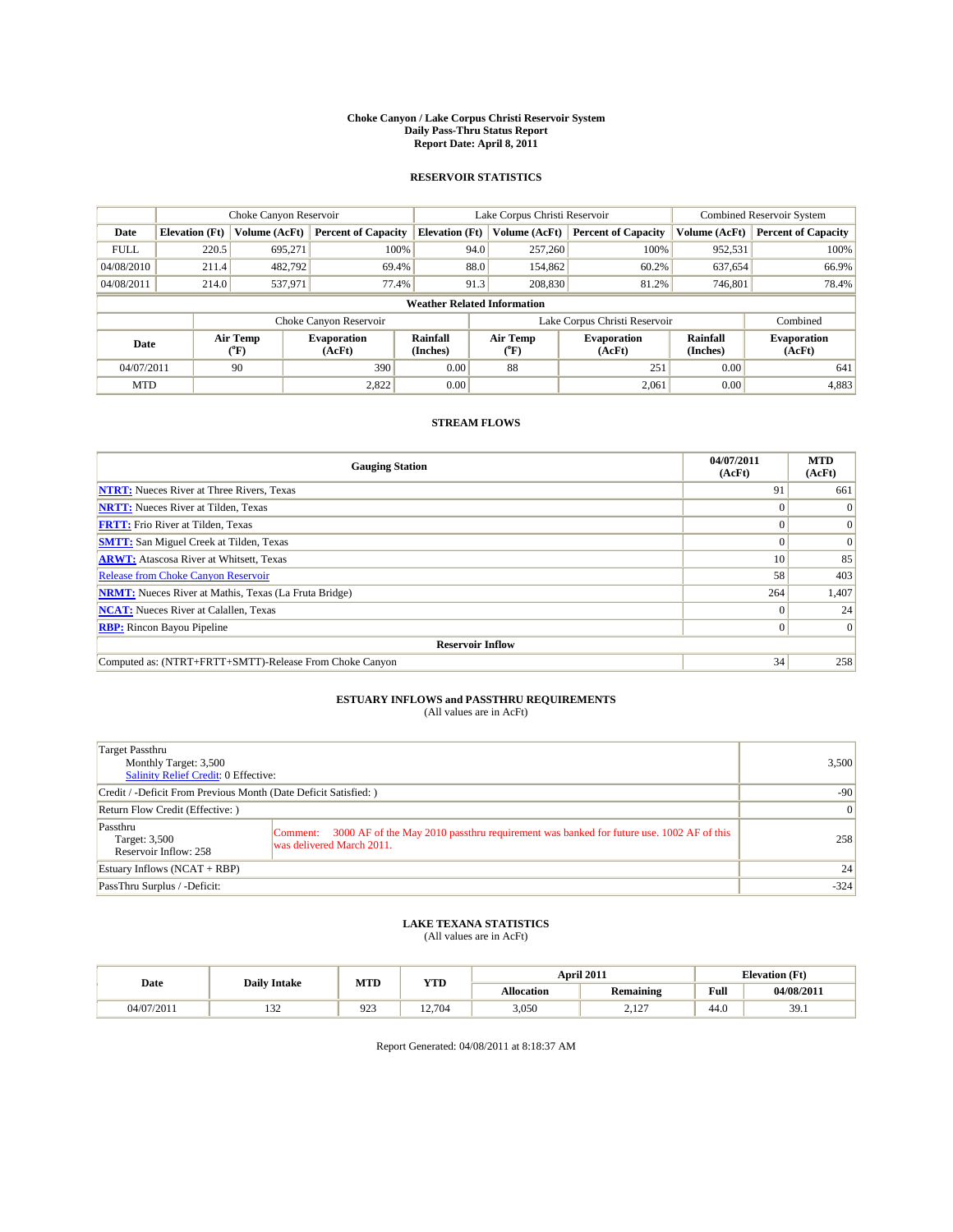#### **Choke Canyon / Lake Corpus Christi Reservoir System Daily Pass-Thru Status Report Report Date: April 8, 2011**

#### **RESERVOIR STATISTICS**

|             | Choke Canyon Reservoir             |                                           |                              |                       | Lake Corpus Christi Reservoir | <b>Combined Reservoir System</b> |                      |                              |  |  |
|-------------|------------------------------------|-------------------------------------------|------------------------------|-----------------------|-------------------------------|----------------------------------|----------------------|------------------------------|--|--|
| Date        | <b>Elevation</b> (Ft)              | Volume (AcFt)                             | <b>Percent of Capacity</b>   | <b>Elevation</b> (Ft) | Volume (AcFt)                 | <b>Percent of Capacity</b>       | Volume (AcFt)        | <b>Percent of Capacity</b>   |  |  |
| <b>FULL</b> | 220.5                              | 695.271                                   | 100%                         | 94.0                  | 257,260                       | 100%                             | 952,531              | 100%                         |  |  |
| 04/08/2010  | 211.4                              | 482,792                                   | 69.4%                        | 88.0                  | 154,862                       | 60.2%                            | 637,654              | 66.9%                        |  |  |
| 04/08/2011  | 214.0                              | 537,971                                   | 77.4%                        | 91.3                  | 208,830                       | 81.2%                            | 746,801              | 78.4%                        |  |  |
|             | <b>Weather Related Information</b> |                                           |                              |                       |                               |                                  |                      |                              |  |  |
|             |                                    |                                           | Choke Canyon Reservoir       |                       |                               | Lake Corpus Christi Reservoir    |                      | Combined                     |  |  |
| Date        |                                    | Air Temp<br>$({}^{\mathrm{o}}\mathrm{F})$ | <b>Evaporation</b><br>(AcFt) | Rainfall<br>(Inches)  | Air Temp<br>(°F)              | <b>Evaporation</b><br>(AcFt)     | Rainfall<br>(Inches) | <b>Evaporation</b><br>(AcFt) |  |  |
| 04/07/2011  |                                    | 90                                        | 390                          | 0.00                  | 88                            | 251                              | 0.00                 | 641                          |  |  |
| <b>MTD</b>  |                                    |                                           | 2,822                        | 0.00                  |                               | 2,061                            | 0.00                 | 4,883                        |  |  |

### **STREAM FLOWS**

| <b>Gauging Station</b>                                       | 04/07/2011<br>(AcFt) | <b>MTD</b><br>(AcFt) |  |  |  |  |  |
|--------------------------------------------------------------|----------------------|----------------------|--|--|--|--|--|
| <b>NTRT:</b> Nueces River at Three Rivers, Texas             | 91                   | 661                  |  |  |  |  |  |
| <b>NRTT:</b> Nueces River at Tilden, Texas                   |                      | $\theta$             |  |  |  |  |  |
| <b>FRTT:</b> Frio River at Tilden, Texas                     |                      | $\Omega$             |  |  |  |  |  |
| <b>SMTT:</b> San Miguel Creek at Tilden, Texas               |                      | $\Omega$             |  |  |  |  |  |
| <b>ARWT:</b> Atascosa River at Whitsett, Texas               | 10 <sup>1</sup>      | 85                   |  |  |  |  |  |
| Release from Choke Canyon Reservoir                          | 58                   | 403                  |  |  |  |  |  |
| <b>NRMT:</b> Nueces River at Mathis, Texas (La Fruta Bridge) | 264                  | 1,407                |  |  |  |  |  |
| <b>NCAT:</b> Nueces River at Calallen, Texas                 | $\Omega$             | 24                   |  |  |  |  |  |
| <b>RBP:</b> Rincon Bayou Pipeline                            | $\Omega$             | $\Omega$             |  |  |  |  |  |
| <b>Reservoir Inflow</b>                                      |                      |                      |  |  |  |  |  |
| Computed as: (NTRT+FRTT+SMTT)-Release From Choke Canyon      | 34                   | 258                  |  |  |  |  |  |

## **ESTUARY INFLOWS and PASSTHRU REQUIREMENTS**

|  | (All values are in AcFt) |
|--|--------------------------|
|--|--------------------------|

| Target Passthru<br>Monthly Target: 3,500<br>Salinity Relief Credit: 0 Effective: |                                                                                                                                  | 3,500  |
|----------------------------------------------------------------------------------|----------------------------------------------------------------------------------------------------------------------------------|--------|
| Credit / -Deficit From Previous Month (Date Deficit Satisfied: )                 | $-90$                                                                                                                            |        |
| Return Flow Credit (Effective: )                                                 |                                                                                                                                  | 0      |
| Passthru<br>Target: 3,500<br>Reservoir Inflow: 258                               | 3000 AF of the May 2010 passthru requirement was banked for future use. 1002 AF of this<br>Comment:<br>was delivered March 2011. | 258    |
| Estuary Inflows $(NCAT + RBP)$                                                   |                                                                                                                                  | 24     |
| PassThru Surplus / -Deficit:                                                     |                                                                                                                                  | $-324$ |

## **LAKE TEXANA STATISTICS** (All values are in AcFt)

| Date<br><b>Daily Intake</b> |                      | MTD | YTD   | April 2011 |                                            | <b>Elevation</b> (Ft) |                 |
|-----------------------------|----------------------|-----|-------|------------|--------------------------------------------|-----------------------|-----------------|
|                             |                      |     |       | Allocation | <b>Remaining</b>                           | Full                  | 04/08/2011      |
| 04/07/2011                  | $\sim$<br>. <i>.</i> | 923 | 2.704 | 3,050      | $\sim$<br>$\overline{a}$ .l $\overline{b}$ | 44.0                  | 30<br><i></i> . |

Report Generated: 04/08/2011 at 8:18:37 AM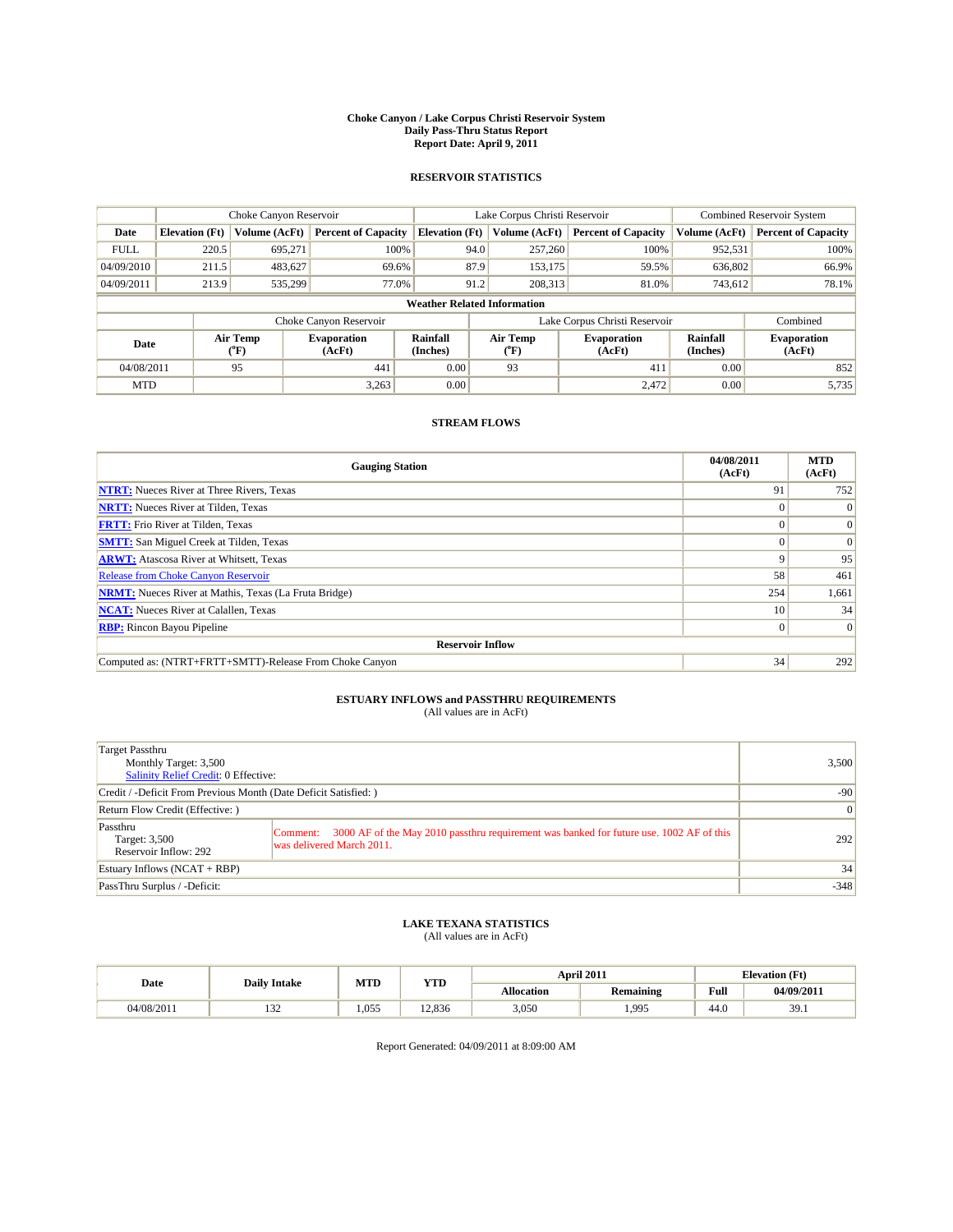#### **Choke Canyon / Lake Corpus Christi Reservoir System Daily Pass-Thru Status Report Report Date: April 9, 2011**

#### **RESERVOIR STATISTICS**

|             | Choke Canyon Reservoir             |                  |                              |                             | Lake Corpus Christi Reservoir | <b>Combined Reservoir System</b> |                      |                              |  |  |
|-------------|------------------------------------|------------------|------------------------------|-----------------------------|-------------------------------|----------------------------------|----------------------|------------------------------|--|--|
| Date        | <b>Elevation</b> (Ft)              | Volume (AcFt)    | <b>Percent of Capacity</b>   | <b>Elevation</b> (Ft)       | Volume (AcFt)                 | <b>Percent of Capacity</b>       | Volume (AcFt)        | <b>Percent of Capacity</b>   |  |  |
| <b>FULL</b> | 220.5                              | 695,271          | 100%                         |                             | 94.0<br>257,260               | 100%                             | 952,531              | 100%                         |  |  |
| 04/09/2010  | 211.5                              | 483,627          | 69.6%                        |                             | 87.9<br>153,175               | 59.5%                            | 636,802              | 66.9%                        |  |  |
| 04/09/2011  | 213.9                              | 535,299          | 77.0%                        |                             | 91.2<br>208,313               | 81.0%                            | 743,612              | 78.1%                        |  |  |
|             | <b>Weather Related Information</b> |                  |                              |                             |                               |                                  |                      |                              |  |  |
|             |                                    |                  | Choke Canyon Reservoir       |                             |                               | Lake Corpus Christi Reservoir    |                      | Combined                     |  |  |
| Date        |                                    | Air Temp<br>(°F) | <b>Evaporation</b><br>(AcFt) | <b>Rainfall</b><br>(Inches) | Air Temp<br>(°F)              | <b>Evaporation</b><br>(AcFt)     | Rainfall<br>(Inches) | <b>Evaporation</b><br>(AcFt) |  |  |
| 04/08/2011  |                                    | 95               | 441                          | 0.00                        | 93                            | 411                              | 0.00                 | 852                          |  |  |
| <b>MTD</b>  |                                    |                  | 3,263                        | 0.00                        |                               | 2,472                            | 0.00                 | 5,735                        |  |  |

### **STREAM FLOWS**

| <b>Gauging Station</b>                                       | 04/08/2011<br>(AcFt) | <b>MTD</b><br>(AcFt) |
|--------------------------------------------------------------|----------------------|----------------------|
| <b>NTRT:</b> Nueces River at Three Rivers, Texas             | 91                   | 752                  |
| <b>NRTT:</b> Nueces River at Tilden, Texas                   |                      | $\Omega$             |
| <b>FRTT:</b> Frio River at Tilden, Texas                     |                      | $\Omega$             |
| <b>SMTT:</b> San Miguel Creek at Tilden, Texas               |                      | $\Omega$             |
| <b>ARWT:</b> Atascosa River at Whitsett, Texas               | 9                    | 95                   |
| Release from Choke Canyon Reservoir                          | 58                   | 461                  |
| <b>NRMT:</b> Nueces River at Mathis, Texas (La Fruta Bridge) | 254                  | 1,661                |
| <b>NCAT:</b> Nueces River at Calallen, Texas                 | 10 <sup>1</sup>      | 34                   |
| <b>RBP:</b> Rincon Bayou Pipeline                            | $\Omega$             | $\Omega$             |
| <b>Reservoir Inflow</b>                                      |                      |                      |
| Computed as: (NTRT+FRTT+SMTT)-Release From Choke Canyon      | 34                   | 292                  |

## **ESTUARY INFLOWS and PASSTHRU REQUIREMENTS**<br>(All values are in AcFt)

| Target Passthru<br>Monthly Target: 3,500<br><b>Salinity Relief Credit: 0 Effective:</b> |                                                                                                                                  | 3,500  |
|-----------------------------------------------------------------------------------------|----------------------------------------------------------------------------------------------------------------------------------|--------|
| Credit / -Deficit From Previous Month (Date Deficit Satisfied: )                        | $-90$                                                                                                                            |        |
| Return Flow Credit (Effective: )                                                        | $\vert 0 \vert$                                                                                                                  |        |
| Passthru<br>Target: 3,500<br>Reservoir Inflow: 292                                      | 3000 AF of the May 2010 passthru requirement was banked for future use. 1002 AF of this<br>Comment:<br>was delivered March 2011. | 292    |
| Estuary Inflows $(NCAT + RBP)$                                                          |                                                                                                                                  | 34     |
| PassThru Surplus / -Deficit:                                                            |                                                                                                                                  | $-348$ |

## **LAKE TEXANA STATISTICS** (All values are in AcFt)

|            | <b>Daily Intake</b> | MTD   | YTD    |                   | April 2011       |                                             | <b>Elevation (Ft)</b> |
|------------|---------------------|-------|--------|-------------------|------------------|---------------------------------------------|-----------------------|
| Date       |                     |       |        | <b>Allocation</b> | <b>Remaining</b> | Full<br>the contract of the contract of the | 04/09/2017            |
| 04/08/2011 | $\sim$<br>1 J 4     | 1.055 | 12.836 | 3,050             | .995             | 44.0                                        | 39.1                  |

Report Generated: 04/09/2011 at 8:09:00 AM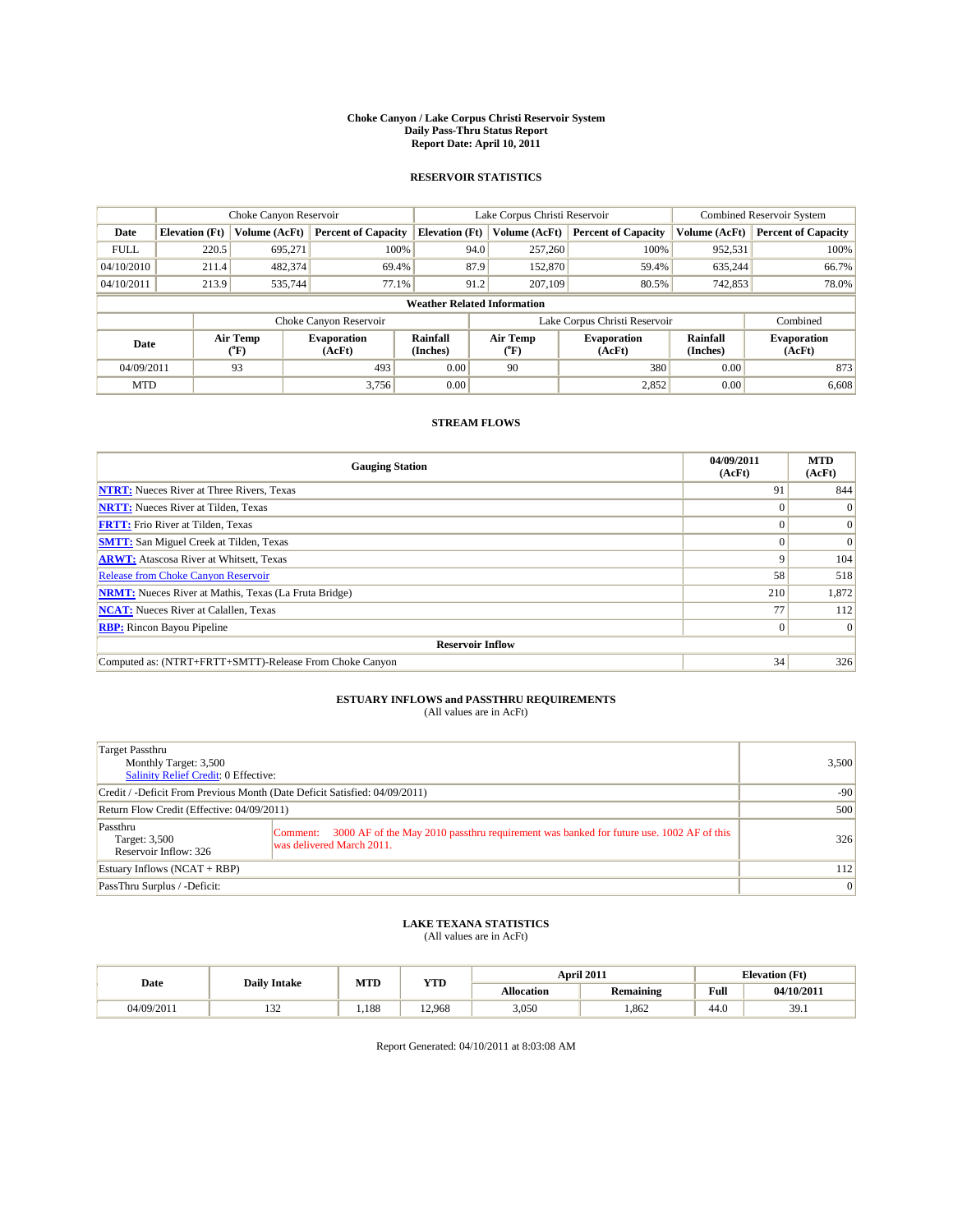#### **Choke Canyon / Lake Corpus Christi Reservoir System Daily Pass-Thru Status Report Report Date: April 10, 2011**

#### **RESERVOIR STATISTICS**

|             | Choke Canyon Reservoir             |                  |                              |                       | Lake Corpus Christi Reservoir | <b>Combined Reservoir System</b> |                      |                              |  |  |
|-------------|------------------------------------|------------------|------------------------------|-----------------------|-------------------------------|----------------------------------|----------------------|------------------------------|--|--|
| Date        | <b>Elevation</b> (Ft)              | Volume (AcFt)    | <b>Percent of Capacity</b>   | <b>Elevation</b> (Ft) | Volume (AcFt)                 | <b>Percent of Capacity</b>       | Volume (AcFt)        | <b>Percent of Capacity</b>   |  |  |
| <b>FULL</b> | 220.5                              | 695,271          | 100%                         | 94.0                  | 257,260                       | 100%                             | 952,531              | 100%                         |  |  |
| 04/10/2010  | 211.4                              | 482,374          | 69.4%                        | 87.9                  | 152,870                       | 59.4%                            | 635,244              | 66.7%                        |  |  |
| 04/10/2011  | 213.9                              | 535,744          | 77.1%                        | 91.2                  | 207,109                       | 80.5%                            | 742,853              | 78.0%                        |  |  |
|             | <b>Weather Related Information</b> |                  |                              |                       |                               |                                  |                      |                              |  |  |
|             |                                    |                  | Choke Canyon Reservoir       |                       |                               | Lake Corpus Christi Reservoir    |                      | Combined                     |  |  |
| Date        |                                    | Air Temp<br>(°F) | <b>Evaporation</b><br>(AcFt) | Rainfall<br>(Inches)  | Air Temp<br>("F)              | <b>Evaporation</b><br>(AcFt)     | Rainfall<br>(Inches) | <b>Evaporation</b><br>(AcFt) |  |  |
| 04/09/2011  |                                    | 93               | 493                          | 0.00                  | 90                            | 380                              | 0.00                 | 873                          |  |  |
| <b>MTD</b>  |                                    |                  | 3.756                        | 0.00                  |                               | 2,852                            | 0.00                 | 6,608                        |  |  |

### **STREAM FLOWS**

| <b>Gauging Station</b>                                       | 04/09/2011<br>(AcFt) | <b>MTD</b><br>(AcFt) |
|--------------------------------------------------------------|----------------------|----------------------|
| <b>NTRT:</b> Nueces River at Three Rivers, Texas             | 91                   | 844                  |
| <b>NRTT:</b> Nueces River at Tilden, Texas                   |                      | $\Omega$             |
| <b>FRTT:</b> Frio River at Tilden, Texas                     |                      | $\Omega$             |
| <b>SMTT:</b> San Miguel Creek at Tilden, Texas               |                      | $\Omega$             |
| <b>ARWT:</b> Atascosa River at Whitsett, Texas               | 9                    | 104                  |
| Release from Choke Canyon Reservoir                          | 58                   | 518                  |
| <b>NRMT:</b> Nueces River at Mathis, Texas (La Fruta Bridge) | 210                  | 1,872                |
| <b>NCAT:</b> Nueces River at Calallen, Texas                 | 77                   | 112                  |
| <b>RBP:</b> Rincon Bayou Pipeline                            | $\Omega$             | $\Omega$             |
| <b>Reservoir Inflow</b>                                      |                      |                      |
| Computed as: (NTRT+FRTT+SMTT)-Release From Choke Canyon      | 34                   | 326                  |

## **ESTUARY INFLOWS and PASSTHRU REQUIREMENTS**<br>(All values are in AcFt)

| Target Passthru<br>Monthly Target: 3,500<br><b>Salinity Relief Credit: 0 Effective:</b> |                                                                                                                                  | 3,500 |
|-----------------------------------------------------------------------------------------|----------------------------------------------------------------------------------------------------------------------------------|-------|
| Credit / -Deficit From Previous Month (Date Deficit Satisfied: 04/09/2011)              | $-90$                                                                                                                            |       |
| Return Flow Credit (Effective: 04/09/2011)                                              | 500                                                                                                                              |       |
| Passthru<br>Target: 3,500<br>Reservoir Inflow: 326                                      | 3000 AF of the May 2010 passthru requirement was banked for future use. 1002 AF of this<br>Comment:<br>was delivered March 2011. | 326   |
| Estuary Inflows $(NCAT + RBP)$                                                          | 112                                                                                                                              |       |
| PassThru Surplus / -Deficit:                                                            |                                                                                                                                  | 0     |

### **LAKE TEXANA STATISTICS** (All values are in AcFt)

|            | <b>Daily Intake</b> | MTD  | YTD    |                   | April 2011       |                                             | <b>Elevation (Ft)</b> |
|------------|---------------------|------|--------|-------------------|------------------|---------------------------------------------|-----------------------|
| Date       |                     |      |        | <b>Allocation</b> | <b>Remaining</b> | Full<br>the contract of the contract of the | 04/10/2011            |
| 04/09/2011 | $\sim$<br>1 J 4     | .188 | 12.968 | 3,050             | .862             | 44.0                                        | 39.1                  |

Report Generated: 04/10/2011 at 8:03:08 AM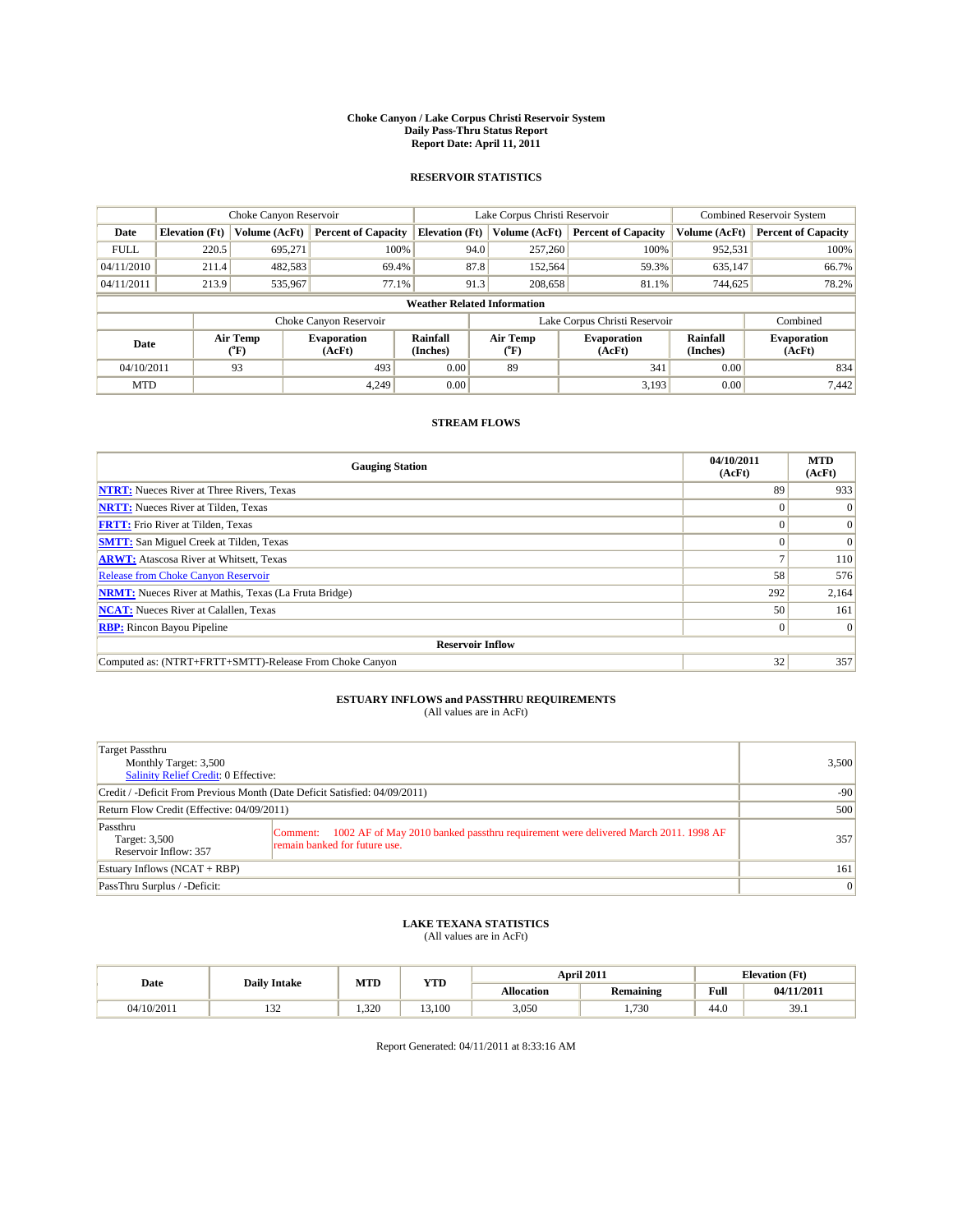#### **Choke Canyon / Lake Corpus Christi Reservoir System Daily Pass-Thru Status Report Report Date: April 11, 2011**

#### **RESERVOIR STATISTICS**

|             | Choke Canyon Reservoir             |                  |                              |                       | Lake Corpus Christi Reservoir |                  |                               |                      | <b>Combined Reservoir System</b> |  |  |
|-------------|------------------------------------|------------------|------------------------------|-----------------------|-------------------------------|------------------|-------------------------------|----------------------|----------------------------------|--|--|
| Date        | <b>Elevation</b> (Ft)              | Volume (AcFt)    | <b>Percent of Capacity</b>   | <b>Elevation</b> (Ft) |                               | Volume (AcFt)    | <b>Percent of Capacity</b>    | Volume (AcFt)        | <b>Percent of Capacity</b>       |  |  |
| <b>FULL</b> | 220.5                              | 695.271          | 100%                         |                       | 94.0                          | 257,260          | 100%                          | 952,531              | 100%                             |  |  |
| 04/11/2010  | 211.4                              | 482,583          | 69.4%                        |                       | 87.8                          | 152,564          | 59.3%                         | 635,147              | 66.7%                            |  |  |
| 04/11/2011  | 213.9                              | 535,967          | 77.1%                        |                       | 91.3                          | 208,658          | 81.1%                         | 744,625              | 78.2%                            |  |  |
|             | <b>Weather Related Information</b> |                  |                              |                       |                               |                  |                               |                      |                                  |  |  |
|             |                                    |                  | Choke Canyon Reservoir       |                       |                               |                  | Lake Corpus Christi Reservoir |                      | Combined                         |  |  |
| Date        |                                    | Air Temp<br>(°F) | <b>Evaporation</b><br>(AcFt) | Rainfall<br>(Inches)  |                               | Air Temp<br>("F) | <b>Evaporation</b><br>(AcFt)  | Rainfall<br>(Inches) | <b>Evaporation</b><br>(AcFt)     |  |  |
| 04/10/2011  |                                    | 93               | 493                          | 0.00                  |                               | 89               | 341                           | 0.00                 | 834                              |  |  |
| <b>MTD</b>  |                                    |                  | 4.249                        | 0.00                  |                               |                  | 3.193                         | 0.00                 | 7,442                            |  |  |

### **STREAM FLOWS**

| <b>Gauging Station</b>                                       | 04/10/2011<br>(AcFt) | <b>MTD</b><br>(AcFt) |
|--------------------------------------------------------------|----------------------|----------------------|
| <b>NTRT:</b> Nueces River at Three Rivers, Texas             | 89                   | 933                  |
| <b>NRTT:</b> Nueces River at Tilden, Texas                   |                      | $\Omega$             |
| <b>FRTT:</b> Frio River at Tilden, Texas                     |                      | $\vert 0 \vert$      |
| <b>SMTT:</b> San Miguel Creek at Tilden, Texas               |                      | $\Omega$             |
| <b>ARWT:</b> Atascosa River at Whitsett, Texas               |                      | 110                  |
| Release from Choke Canyon Reservoir                          | 58                   | 576                  |
| <b>NRMT:</b> Nueces River at Mathis, Texas (La Fruta Bridge) | 292                  | 2,164                |
| <b>NCAT:</b> Nueces River at Calallen, Texas                 | 50                   | 161                  |
| <b>RBP:</b> Rincon Bayou Pipeline                            | $\Omega$             | $\Omega$             |
| <b>Reservoir Inflow</b>                                      |                      |                      |
| Computed as: (NTRT+FRTT+SMTT)-Release From Choke Canyon      | 32                   | 357                  |

## **ESTUARY INFLOWS and PASSTHRU REQUIREMENTS**<br>(All values are in AcFt)

| Target Passthru<br>Monthly Target: 3,500<br><b>Salinity Relief Credit: 0 Effective:</b> |                                                                                                                                 | 3,500 |
|-----------------------------------------------------------------------------------------|---------------------------------------------------------------------------------------------------------------------------------|-------|
| Credit / -Deficit From Previous Month (Date Deficit Satisfied: 04/09/2011)              | $-90$                                                                                                                           |       |
| Return Flow Credit (Effective: 04/09/2011)                                              | 500                                                                                                                             |       |
| Passthru<br>Target: 3,500<br>Reservoir Inflow: 357                                      | 1002 AF of May 2010 banked passthru requirement were delivered March 2011. 1998 AF<br>Comment:<br>remain banked for future use. | 357   |
| Estuary Inflows $(NCAT + RBP)$                                                          |                                                                                                                                 | 161   |
| PassThru Surplus / -Deficit:                                                            |                                                                                                                                 | 0     |

## **LAKE TEXANA STATISTICS** (All values are in AcFt)

|            | <b>Daily Intake</b> | MTD   | <b>YTD</b> |                   | April 2011       |                                             | <b>Elevation</b> (Ft) |
|------------|---------------------|-------|------------|-------------------|------------------|---------------------------------------------|-----------------------|
| Date       |                     |       |            | <b>Allocation</b> | <b>Remaining</b> | Full<br>the contract of the contract of the | 04/11/2011            |
| 04/10/2011 | $\sim$<br>1 J 4     | 1.320 | .100       | 3,050             | .730             | 44.0                                        | 39.1                  |

Report Generated: 04/11/2011 at 8:33:16 AM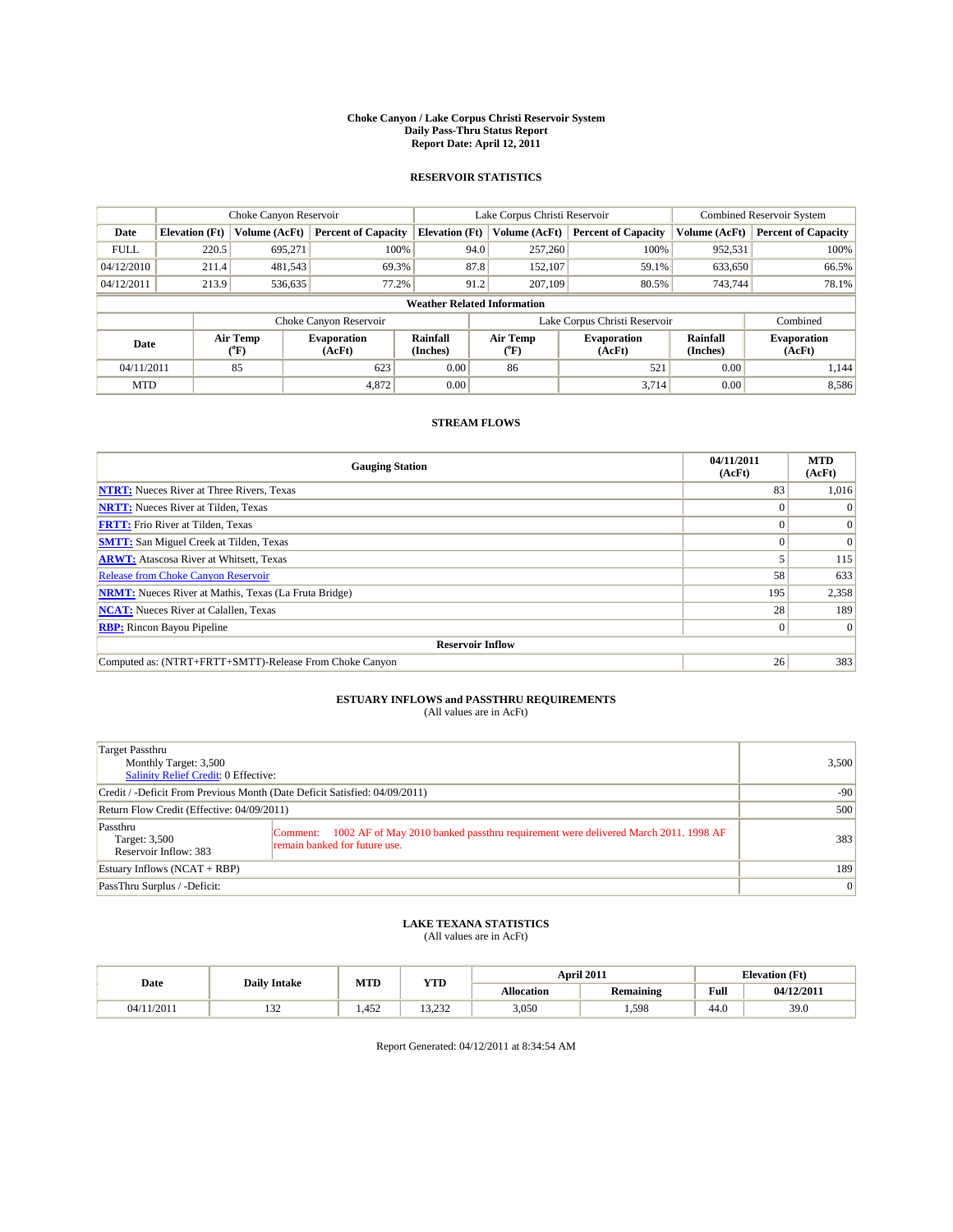#### **Choke Canyon / Lake Corpus Christi Reservoir System Daily Pass-Thru Status Report Report Date: April 12, 2011**

#### **RESERVOIR STATISTICS**

|             | Choke Canyon Reservoir             |                  |                              |                       | Lake Corpus Christi Reservoir | <b>Combined Reservoir System</b> |                      |                              |  |  |  |
|-------------|------------------------------------|------------------|------------------------------|-----------------------|-------------------------------|----------------------------------|----------------------|------------------------------|--|--|--|
| Date        | <b>Elevation</b> (Ft)              | Volume (AcFt)    | <b>Percent of Capacity</b>   | <b>Elevation</b> (Ft) | Volume (AcFt)                 | <b>Percent of Capacity</b>       | Volume (AcFt)        | <b>Percent of Capacity</b>   |  |  |  |
| <b>FULL</b> | 220.5                              | 695.271          | 100%                         | 94.0                  | 257,260                       | 100%                             | 952,531              | 100%                         |  |  |  |
| 04/12/2010  | 211.4                              | 481,543          | 69.3%                        | 87.8                  | 152,107                       | 59.1%                            | 633,650              | 66.5%                        |  |  |  |
| 04/12/2011  | 213.9                              | 536,635          | 77.2%                        | 91.2                  | 207,109                       | 80.5%                            | 743.744              | 78.1%                        |  |  |  |
|             | <b>Weather Related Information</b> |                  |                              |                       |                               |                                  |                      |                              |  |  |  |
|             |                                    |                  | Choke Canyon Reservoir       |                       |                               | Lake Corpus Christi Reservoir    |                      | Combined                     |  |  |  |
| Date        |                                    | Air Temp<br>(°F) | <b>Evaporation</b><br>(AcFt) | Rainfall<br>(Inches)  | Air Temp<br>("F)              | <b>Evaporation</b><br>(AcFt)     | Rainfall<br>(Inches) | <b>Evaporation</b><br>(AcFt) |  |  |  |
| 04/11/2011  |                                    | 85               | 623                          | 0.00                  | 86                            | 521                              | 0.00                 | 1,144                        |  |  |  |
| <b>MTD</b>  |                                    |                  | 4,872                        | 0.00                  |                               | 3.714                            | 0.00                 | 8,586                        |  |  |  |

### **STREAM FLOWS**

| <b>Gauging Station</b>                                       | 04/11/2011<br>(AcFt) | <b>MTD</b><br>(AcFt) |
|--------------------------------------------------------------|----------------------|----------------------|
| <b>NTRT:</b> Nueces River at Three Rivers, Texas             | 83                   | 1,016                |
| <b>NRTT:</b> Nueces River at Tilden, Texas                   |                      | $\Omega$             |
| <b>FRTT:</b> Frio River at Tilden, Texas                     |                      | $\vert 0 \vert$      |
| <b>SMTT:</b> San Miguel Creek at Tilden, Texas               |                      | $\Omega$             |
| <b>ARWT:</b> Atascosa River at Whitsett, Texas               |                      | 115                  |
| <b>Release from Choke Canyon Reservoir</b>                   | 58                   | 633                  |
| <b>NRMT:</b> Nueces River at Mathis, Texas (La Fruta Bridge) | 195                  | 2,358                |
| <b>NCAT:</b> Nueces River at Calallen, Texas                 | 28                   | 189                  |
| <b>RBP:</b> Rincon Bayou Pipeline                            | $\Omega$             | $\Omega$             |
| <b>Reservoir Inflow</b>                                      |                      |                      |
| Computed as: (NTRT+FRTT+SMTT)-Release From Choke Canyon      | 26                   | 383                  |

## **ESTUARY INFLOWS and PASSTHRU REQUIREMENTS**<br>(All values are in AcFt)

| <b>Target Passthru</b><br>Monthly Target: 3,500<br><b>Salinity Relief Credit: 0 Effective:</b> |                                                                                                                                 | 3,500    |  |  |  |  |
|------------------------------------------------------------------------------------------------|---------------------------------------------------------------------------------------------------------------------------------|----------|--|--|--|--|
| Credit / -Deficit From Previous Month (Date Deficit Satisfied: 04/09/2011)                     | $-90$                                                                                                                           |          |  |  |  |  |
| Return Flow Credit (Effective: 04/09/2011)                                                     | 500                                                                                                                             |          |  |  |  |  |
| Passthru<br>Target: 3,500<br>Reservoir Inflow: 383                                             | 1002 AF of May 2010 banked passthru requirement were delivered March 2011. 1998 AF<br>Comment:<br>remain banked for future use. | 383      |  |  |  |  |
| Estuary Inflows $(NCAT + RBP)$                                                                 |                                                                                                                                 |          |  |  |  |  |
| PassThru Surplus / -Deficit:                                                                   |                                                                                                                                 | $\Omega$ |  |  |  |  |

## **LAKE TEXANA STATISTICS** (All values are in AcFt)

|            | <b>Daily Intake</b> | MTD  | YTD           |                   | April 2011       |                                             | <b>Elevation</b> (Ft) |
|------------|---------------------|------|---------------|-------------------|------------------|---------------------------------------------|-----------------------|
| Date       |                     |      |               | <b>Allocation</b> | <b>Remaining</b> | Full<br>the contract of the contract of the | 04/12/2011            |
| 04/11/2011 | $\sim$<br>1 J 4     | .452 | 222<br>19.292 | 3,050             | .598             | 44.0                                        | 39.0                  |

Report Generated: 04/12/2011 at 8:34:54 AM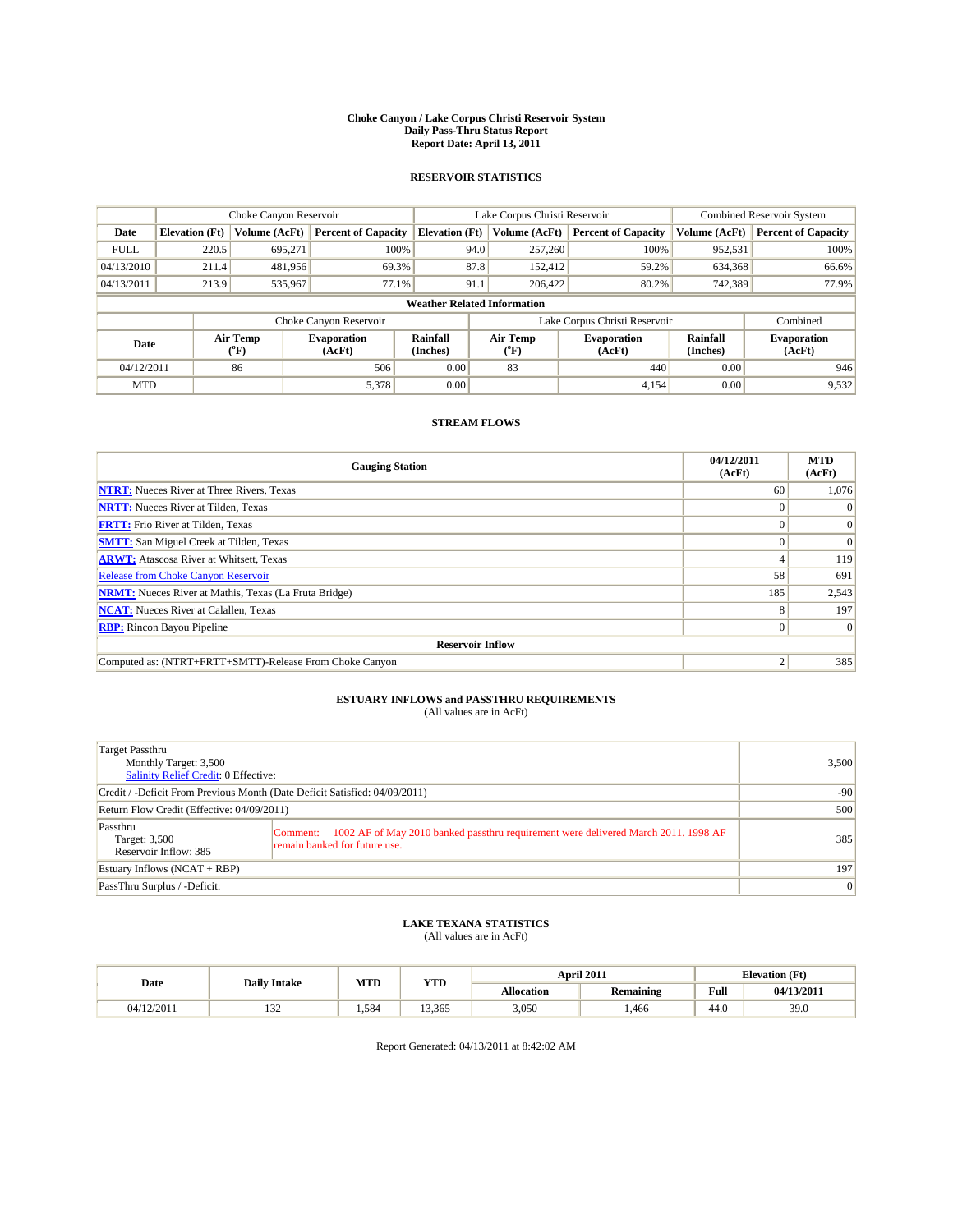#### **Choke Canyon / Lake Corpus Christi Reservoir System Daily Pass-Thru Status Report Report Date: April 13, 2011**

#### **RESERVOIR STATISTICS**

|             | Choke Canyon Reservoir             |                  |                              |                       | Lake Corpus Christi Reservoir | <b>Combined Reservoir System</b> |                      |                              |  |  |  |
|-------------|------------------------------------|------------------|------------------------------|-----------------------|-------------------------------|----------------------------------|----------------------|------------------------------|--|--|--|
| Date        | <b>Elevation</b> (Ft)              | Volume (AcFt)    | <b>Percent of Capacity</b>   | <b>Elevation</b> (Ft) | Volume (AcFt)                 | <b>Percent of Capacity</b>       | Volume (AcFt)        | <b>Percent of Capacity</b>   |  |  |  |
| <b>FULL</b> | 220.5                              | 695.271          | 100%                         |                       | 94.0<br>257,260               | 100%                             | 952,531              | 100%                         |  |  |  |
| 04/13/2010  | 211.4                              | 481,956          | 69.3%                        |                       | 87.8<br>152.412               | 59.2%                            | 634,368              | 66.6%                        |  |  |  |
| 04/13/2011  | 213.9                              | 535,967          | 77.1%                        | 91.1                  | 206,422                       | 80.2%                            | 742,389              | 77.9%                        |  |  |  |
|             | <b>Weather Related Information</b> |                  |                              |                       |                               |                                  |                      |                              |  |  |  |
|             |                                    |                  | Choke Canyon Reservoir       |                       |                               | Lake Corpus Christi Reservoir    |                      | Combined                     |  |  |  |
| Date        |                                    | Air Temp<br>(°F) | <b>Evaporation</b><br>(AcFt) | Rainfall<br>(Inches)  | Air Temp<br>("F)              | <b>Evaporation</b><br>(AcFt)     | Rainfall<br>(Inches) | <b>Evaporation</b><br>(AcFt) |  |  |  |
| 04/12/2011  |                                    | 86               | 506                          | 0.00                  | 83                            | 440                              | 0.00                 | 946                          |  |  |  |
| <b>MTD</b>  |                                    |                  | 5,378                        | 0.00                  |                               | 4.154                            | 0.00                 | 9,532                        |  |  |  |

### **STREAM FLOWS**

| <b>Gauging Station</b>                                       | 04/12/2011<br>(AcFt) | <b>MTD</b><br>(AcFt) |
|--------------------------------------------------------------|----------------------|----------------------|
| <b>NTRT:</b> Nueces River at Three Rivers, Texas             | 60                   | 1,076                |
| <b>NRTT:</b> Nueces River at Tilden, Texas                   |                      | $\Omega$             |
| <b>FRTT:</b> Frio River at Tilden, Texas                     |                      | $\vert 0 \vert$      |
| <b>SMTT:</b> San Miguel Creek at Tilden, Texas               |                      | $\vert 0 \vert$      |
| <b>ARWT:</b> Atascosa River at Whitsett, Texas               |                      | 119                  |
| Release from Choke Canyon Reservoir                          | 58                   | 691                  |
| <b>NRMT:</b> Nueces River at Mathis, Texas (La Fruta Bridge) | 185                  | 2,543                |
| <b>NCAT:</b> Nueces River at Calallen, Texas                 |                      | 197                  |
| <b>RBP:</b> Rincon Bayou Pipeline                            | $\Omega$             | $\Omega$             |
| <b>Reservoir Inflow</b>                                      |                      |                      |
| Computed as: (NTRT+FRTT+SMTT)-Release From Choke Canyon      |                      | 385                  |

## **ESTUARY INFLOWS and PASSTHRU REQUIREMENTS**<br>(All values are in AcFt)

| Target Passthru<br>Monthly Target: 3,500<br>Salinity Relief Credit: 0 Effective: |                                                                                                                                 | 3,500 |
|----------------------------------------------------------------------------------|---------------------------------------------------------------------------------------------------------------------------------|-------|
| Credit / -Deficit From Previous Month (Date Deficit Satisfied: 04/09/2011)       | $-90$                                                                                                                           |       |
| Return Flow Credit (Effective: 04/09/2011)                                       | 500                                                                                                                             |       |
| Passthru<br>Target: 3,500<br>Reservoir Inflow: 385                               | 1002 AF of May 2010 banked passthru requirement were delivered March 2011. 1998 AF<br>Comment:<br>remain banked for future use. | 385   |
| Estuary Inflows $(NCAT + RBP)$                                                   | 197                                                                                                                             |       |
| PassThru Surplus / -Deficit:                                                     |                                                                                                                                 | 0     |

## **LAKE TEXANA STATISTICS** (All values are in AcFt)

|            | MTD<br><b>Daily Intake</b> |      | YTD    |                   | April 2011       | <b>Elevation</b> (Ft)                       |            |
|------------|----------------------------|------|--------|-------------------|------------------|---------------------------------------------|------------|
| Date       |                            |      |        | <b>Allocation</b> | <b>Remaining</b> | Full<br>the contract of the contract of the | 04/13/2011 |
| 04/12/2011 | $\sim$<br>1 J 4            | .584 | 13.365 | 3,050             | .466             | 44.0                                        | 39.0       |

Report Generated: 04/13/2011 at 8:42:02 AM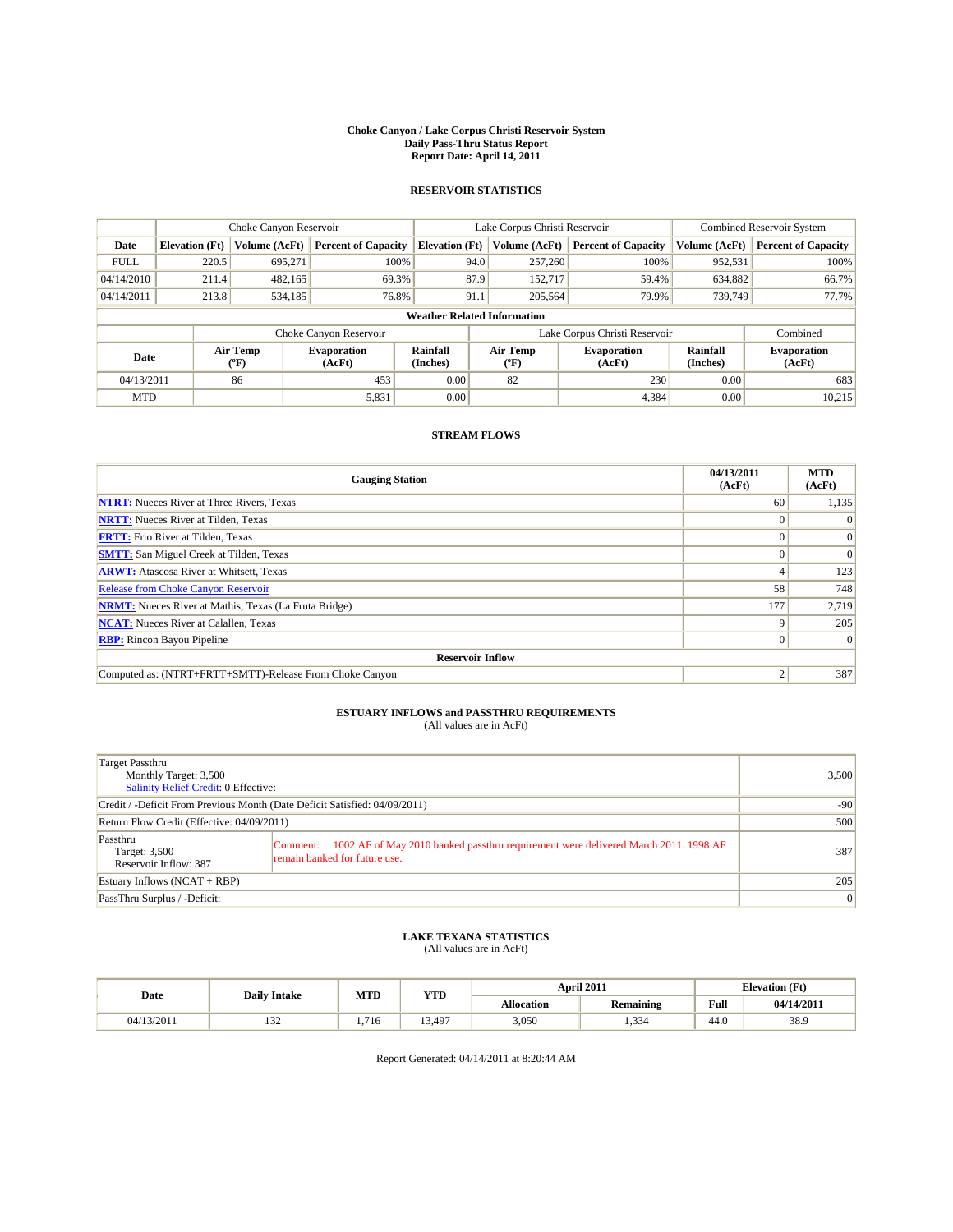#### **Choke Canyon / Lake Corpus Christi Reservoir System Daily Pass-Thru Status Report Report Date: April 14, 2011**

### **RESERVOIR STATISTICS**

|             | Choke Canyon Reservoir                                              |                          |                              |                       | Lake Corpus Christi Reservoir |                 |                              |                      | <b>Combined Reservoir System</b> |  |  |
|-------------|---------------------------------------------------------------------|--------------------------|------------------------------|-----------------------|-------------------------------|-----------------|------------------------------|----------------------|----------------------------------|--|--|
| Date        | <b>Elevation</b> (Ft)                                               | Volume (AcFt)            | <b>Percent of Capacity</b>   | <b>Elevation</b> (Ft) |                               | Volume (AcFt)   | <b>Percent of Capacity</b>   | Volume (AcFt)        | <b>Percent of Capacity</b>       |  |  |
| <b>FULL</b> | 220.5                                                               | 695.271                  | 100%                         |                       | 94.0                          | 257,260         | 100%                         | 952,531              | 100%                             |  |  |
| 04/14/2010  | 211.4                                                               | 482,165                  | 69.3%                        |                       | 87.9                          | 152,717         | 59.4%                        | 634,882              | 66.7%                            |  |  |
| 04/14/2011  | 213.8                                                               | 534,185                  | 76.8%                        |                       | 91.1                          | 205,564         | 79.9%                        | 739,749              | 77.7%                            |  |  |
|             | <b>Weather Related Information</b>                                  |                          |                              |                       |                               |                 |                              |                      |                                  |  |  |
|             | Lake Corpus Christi Reservoir<br>Combined<br>Choke Canyon Reservoir |                          |                              |                       |                               |                 |                              |                      |                                  |  |  |
| Date        |                                                                     | Air Temp<br>$\rm ^{o}F)$ | <b>Evaporation</b><br>(AcFt) | Rainfall<br>(Inches)  |                               | Air Temp<br>″F) | <b>Evaporation</b><br>(AcFt) | Rainfall<br>(Inches) | <b>Evaporation</b><br>(AcFt)     |  |  |
| 04/13/2011  |                                                                     | 86                       | 453                          | 0.00                  |                               | 82              | 230                          | 0.00                 | 683                              |  |  |
| <b>MTD</b>  |                                                                     |                          | 5,831                        | 0.00                  |                               |                 | 4.384                        | 0.00                 | 10.215                           |  |  |

#### **STREAM FLOWS**

| <b>Gauging Station</b>                                       | 04/13/2011<br>(AcFt) | <b>MTD</b><br>(AcFt) |
|--------------------------------------------------------------|----------------------|----------------------|
| <b>NTRT:</b> Nueces River at Three Rivers, Texas             | 60                   | 1,135                |
| <b>NRTT:</b> Nueces River at Tilden, Texas                   |                      | $\Omega$             |
| <b>FRTT:</b> Frio River at Tilden, Texas                     |                      | $\vert 0 \vert$      |
| <b>SMTT:</b> San Miguel Creek at Tilden, Texas               |                      | $\Omega$             |
| <b>ARWT:</b> Atascosa River at Whitsett, Texas               |                      | 123                  |
| <b>Release from Choke Canyon Reservoir</b>                   | 58                   | 748                  |
| <b>NRMT:</b> Nueces River at Mathis, Texas (La Fruta Bridge) | 177                  | 2,719                |
| <b>NCAT:</b> Nueces River at Calallen, Texas                 |                      | 205                  |
| <b>RBP:</b> Rincon Bayou Pipeline                            |                      | $\Omega$             |
| <b>Reservoir Inflow</b>                                      |                      |                      |
| Computed as: (NTRT+FRTT+SMTT)-Release From Choke Canyon      |                      | 387                  |

### **ESTUARY INFLOWS and PASSTHRU REQUIREMENTS**<br>(All values are in AcFt)

| Target Passthru<br>Monthly Target: 3,500<br><b>Salinity Relief Credit: 0 Effective:</b> |                                                                                                                                 | 3,500 |
|-----------------------------------------------------------------------------------------|---------------------------------------------------------------------------------------------------------------------------------|-------|
| Credit / -Deficit From Previous Month (Date Deficit Satisfied: 04/09/2011)              | $-90$                                                                                                                           |       |
| Return Flow Credit (Effective: 04/09/2011)                                              | 500                                                                                                                             |       |
| Passthru<br>Target: 3,500<br>Reservoir Inflow: 387                                      | 1002 AF of May 2010 banked passthru requirement were delivered March 2011. 1998 AF<br>Comment:<br>remain banked for future use. | 387   |
| Estuary Inflows (NCAT + RBP)                                                            | 205                                                                                                                             |       |
| PassThru Surplus / -Deficit:                                                            | $\overline{0}$                                                                                                                  |       |

### **LAKE TEXANA STATISTICS**

(All values are in AcFt)

|  | Date       | <b>Daily Intake</b> | MTD  | YTD    |            | <b>April 2011</b> | <b>Elevation</b> (Ft) |            |
|--|------------|---------------------|------|--------|------------|-------------------|-----------------------|------------|
|  |            |                     |      |        | Allocation | Remaining         | Full                  | 04/14/2011 |
|  | 04/13/2011 | $\sim$<br>194       | .716 | 13,497 | 3,050      | 334               | 44.0                  | 38.9       |

Report Generated: 04/14/2011 at 8:20:44 AM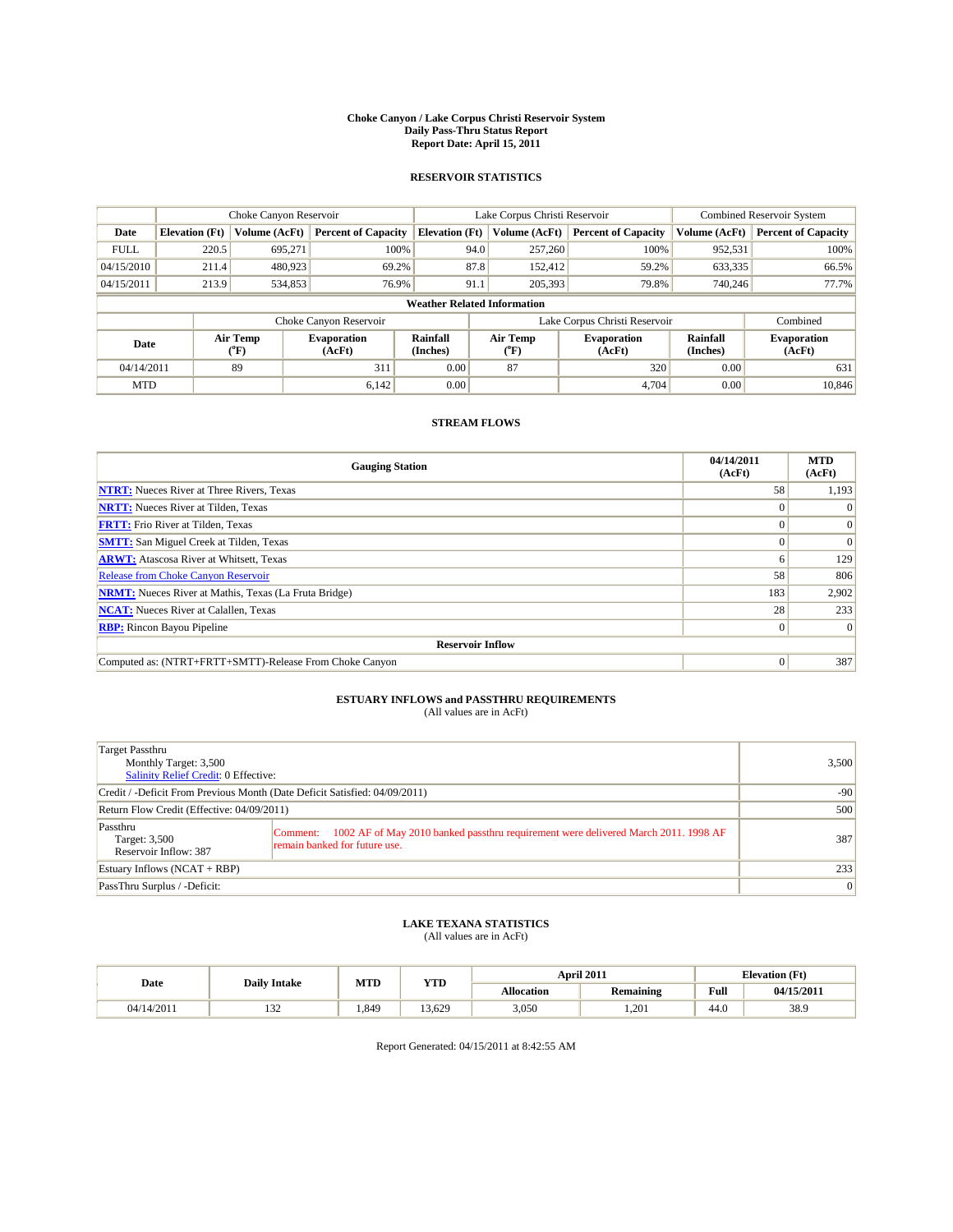#### **Choke Canyon / Lake Corpus Christi Reservoir System Daily Pass-Thru Status Report Report Date: April 15, 2011**

#### **RESERVOIR STATISTICS**

|             |                                    | Choke Canyon Reservoir |                              |                       | Lake Corpus Christi Reservoir | <b>Combined Reservoir System</b> |                      |                              |  |
|-------------|------------------------------------|------------------------|------------------------------|-----------------------|-------------------------------|----------------------------------|----------------------|------------------------------|--|
| Date        | <b>Elevation</b> (Ft)              | Volume (AcFt)          | <b>Percent of Capacity</b>   | <b>Elevation</b> (Ft) | Volume (AcFt)                 | <b>Percent of Capacity</b>       | Volume (AcFt)        | <b>Percent of Capacity</b>   |  |
| <b>FULL</b> | 220.5                              | 695,271                | 100%                         | 94.0                  | 257,260                       | 100%                             | 952,531              | 100%                         |  |
| 04/15/2010  | 211.4                              | 480,923                | 69.2%                        | 87.8                  | 152.412                       | 59.2%                            | 633,335              | 66.5%                        |  |
| 04/15/2011  | 213.9                              | 534,853                | 76.9%                        | 91.1                  | 205,393                       | 79.8%                            | 740,246              | 77.7%                        |  |
|             | <b>Weather Related Information</b> |                        |                              |                       |                               |                                  |                      |                              |  |
|             |                                    |                        | Choke Canyon Reservoir       |                       | Lake Corpus Christi Reservoir |                                  |                      | Combined                     |  |
| Date        |                                    | Air Temp<br>(°F)       | <b>Evaporation</b><br>(AcFt) | Rainfall<br>(Inches)  | Air Temp<br>("F)              | <b>Evaporation</b><br>(AcFt)     | Rainfall<br>(Inches) | <b>Evaporation</b><br>(AcFt) |  |
| 04/14/2011  |                                    | 89                     | 311                          | 0.00                  | 87                            | 320                              | 0.00                 | 631                          |  |
| <b>MTD</b>  |                                    |                        | 6.142                        | 0.00                  |                               | 4.704                            | 0.00                 | 10.846                       |  |

### **STREAM FLOWS**

| <b>Gauging Station</b>                                       | 04/14/2011<br>(AcFt) | <b>MTD</b><br>(AcFt) |  |  |  |  |
|--------------------------------------------------------------|----------------------|----------------------|--|--|--|--|
| <b>NTRT:</b> Nueces River at Three Rivers, Texas             | 58                   | 1,193                |  |  |  |  |
| <b>NRTT:</b> Nueces River at Tilden, Texas                   |                      |                      |  |  |  |  |
| <b>FRTT:</b> Frio River at Tilden, Texas                     |                      | $\Omega$             |  |  |  |  |
| <b>SMTT:</b> San Miguel Creek at Tilden, Texas               |                      | $\Omega$             |  |  |  |  |
| <b>ARWT:</b> Atascosa River at Whitsett, Texas               | o                    | 129                  |  |  |  |  |
| Release from Choke Canyon Reservoir                          | 58                   | 806                  |  |  |  |  |
| <b>NRMT:</b> Nueces River at Mathis, Texas (La Fruta Bridge) | 183                  | 2,902                |  |  |  |  |
| <b>NCAT:</b> Nueces River at Calallen, Texas                 | 28                   | 233                  |  |  |  |  |
| <b>RBP:</b> Rincon Bayou Pipeline                            | $\overline{0}$       | $\Omega$             |  |  |  |  |
| <b>Reservoir Inflow</b>                                      |                      |                      |  |  |  |  |
| Computed as: (NTRT+FRTT+SMTT)-Release From Choke Canyon      | $\Omega$             | 387                  |  |  |  |  |

## **ESTUARY INFLOWS and PASSTHRU REQUIREMENTS**<br>(All values are in AcFt)

| Target Passthru<br>Monthly Target: 3,500<br>Salinity Relief Credit: 0 Effective: | 3,500                                                                                                                           |     |
|----------------------------------------------------------------------------------|---------------------------------------------------------------------------------------------------------------------------------|-----|
| Credit / -Deficit From Previous Month (Date Deficit Satisfied: 04/09/2011)       | $-90$                                                                                                                           |     |
| Return Flow Credit (Effective: 04/09/2011)                                       | 500                                                                                                                             |     |
| Passthru<br>Target: 3,500<br>Reservoir Inflow: 387                               | 1002 AF of May 2010 banked passthru requirement were delivered March 2011. 1998 AF<br>Comment:<br>remain banked for future use. | 387 |
| Estuary Inflows $(NCAT + RBP)$                                                   | 233                                                                                                                             |     |
| PassThru Surplus / -Deficit:                                                     | 0                                                                                                                               |     |

## **LAKE TEXANA STATISTICS** (All values are in AcFt)

|            | <b>Daily Intake</b> | MTD  | YTD   |                   | April 2011       | <b>Elevation</b> (Ft)                       |            |
|------------|---------------------|------|-------|-------------------|------------------|---------------------------------------------|------------|
| Date       |                     |      |       | <b>Allocation</b> | <b>Remaining</b> | Full<br>the contract of the contract of the | 04/15/2011 |
| 04/14/2011 | $\sim$<br>1 J 4     | .849 | 3.629 | 3,050             | 1.201            | 44.0                                        | 38.9       |

Report Generated: 04/15/2011 at 8:42:55 AM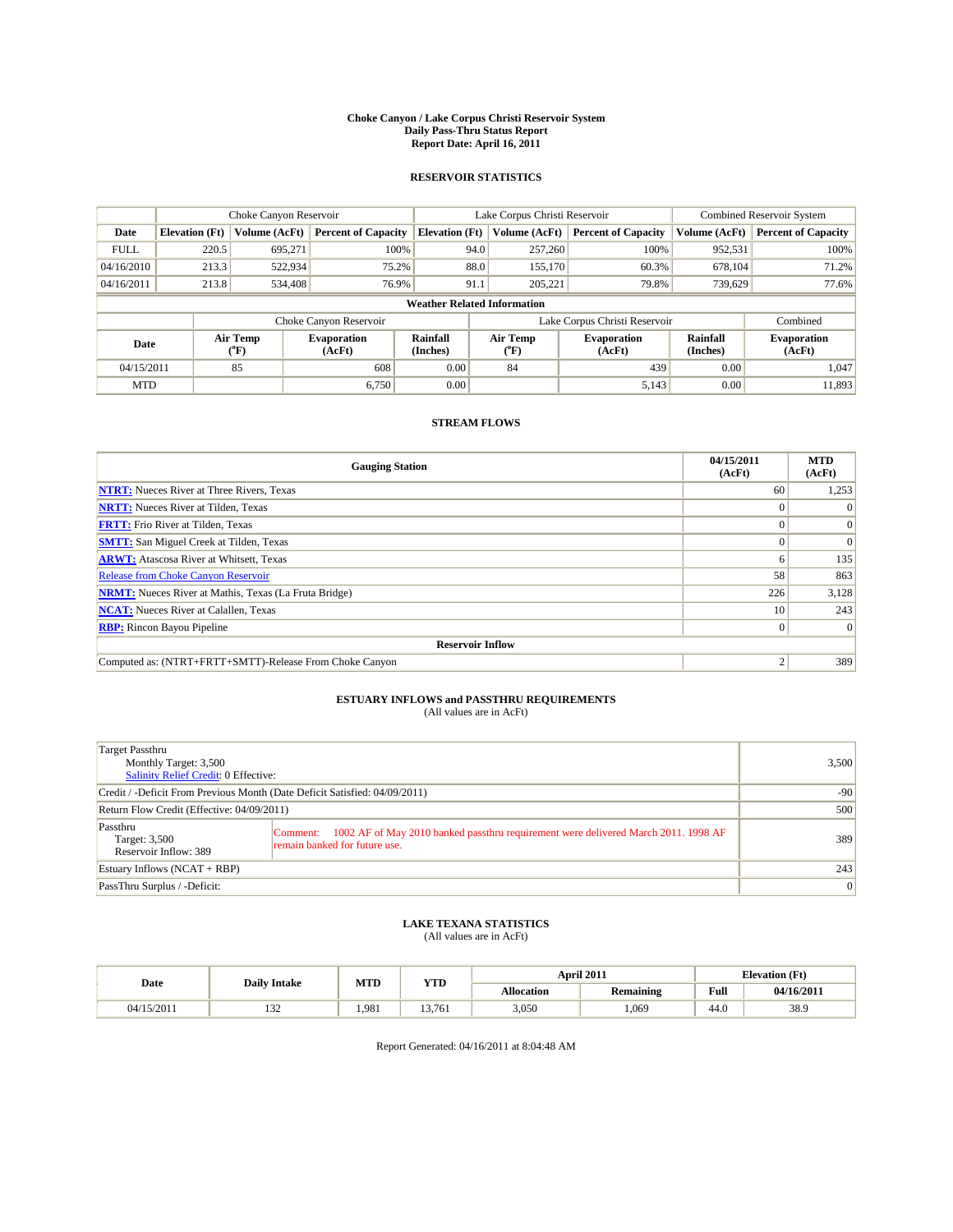#### **Choke Canyon / Lake Corpus Christi Reservoir System Daily Pass-Thru Status Report Report Date: April 16, 2011**

#### **RESERVOIR STATISTICS**

|             | Choke Canyon Reservoir             |                                           | Lake Corpus Christi Reservoir |                       |                               |                                   | Combined Reservoir System    |                      |                              |
|-------------|------------------------------------|-------------------------------------------|-------------------------------|-----------------------|-------------------------------|-----------------------------------|------------------------------|----------------------|------------------------------|
| Date        | <b>Elevation</b> (Ft)              | Volume (AcFt)                             | <b>Percent of Capacity</b>    | <b>Elevation</b> (Ft) |                               | Volume (AcFt)                     | <b>Percent of Capacity</b>   | Volume (AcFt)        | <b>Percent of Capacity</b>   |
| <b>FULL</b> | 220.5                              | 695.271                                   | 100%                          |                       | 94.0                          | 257,260                           | 100%                         | 952,531              | 100%                         |
| 04/16/2010  | 213.3                              | 522,934                                   | 75.2%                         |                       | 88.0                          | 155,170                           | 60.3%                        | 678,104              | 71.2%                        |
| 04/16/2011  | 213.8                              | 534,408                                   | 76.9%                         |                       | 91.1                          | 205,221                           | 79.8%                        | 739,629              | 77.6%                        |
|             | <b>Weather Related Information</b> |                                           |                               |                       |                               |                                   |                              |                      |                              |
|             |                                    |                                           | Choke Canyon Reservoir        |                       | Lake Corpus Christi Reservoir |                                   |                              |                      | Combined                     |
| Date        |                                    | Air Temp<br>$({}^{\mathrm{o}}\mathrm{F})$ | <b>Evaporation</b><br>(AcFt)  | Rainfall<br>(Inches)  |                               | Air Temp<br>$({}^{\circ}{\rm F})$ | <b>Evaporation</b><br>(AcFt) | Rainfall<br>(Inches) | <b>Evaporation</b><br>(AcFt) |
| 04/15/2011  |                                    | 85                                        | 608                           | 0.00                  |                               | 84                                | 439                          | 0.00                 | 1.047                        |
| <b>MTD</b>  |                                    |                                           | 6.750                         | 0.00                  |                               |                                   | 5,143                        | 0.00                 | 11,893                       |

### **STREAM FLOWS**

| <b>Gauging Station</b>                                       | 04/15/2011<br>(AcFt) | <b>MTD</b><br>(AcFt) |  |  |  |  |
|--------------------------------------------------------------|----------------------|----------------------|--|--|--|--|
| <b>NTRT:</b> Nueces River at Three Rivers, Texas             | 60                   | 1,253                |  |  |  |  |
| <b>NRTT:</b> Nueces River at Tilden, Texas                   |                      |                      |  |  |  |  |
| <b>FRTT:</b> Frio River at Tilden, Texas                     |                      | $\Omega$             |  |  |  |  |
| <b>SMTT:</b> San Miguel Creek at Tilden, Texas               |                      | $\Omega$             |  |  |  |  |
| <b>ARWT:</b> Atascosa River at Whitsett, Texas               | <sub>0</sub>         | 135                  |  |  |  |  |
| Release from Choke Canyon Reservoir                          | 58                   | 863                  |  |  |  |  |
| <b>NRMT:</b> Nueces River at Mathis, Texas (La Fruta Bridge) | 226                  | 3,128                |  |  |  |  |
| <b>NCAT:</b> Nueces River at Calallen, Texas                 | 10 <sup>1</sup>      | 243                  |  |  |  |  |
| <b>RBP:</b> Rincon Bayou Pipeline                            | $\overline{0}$       | $\Omega$             |  |  |  |  |
| <b>Reservoir Inflow</b>                                      |                      |                      |  |  |  |  |
| Computed as: (NTRT+FRTT+SMTT)-Release From Choke Canyon      |                      | 389                  |  |  |  |  |

## **ESTUARY INFLOWS and PASSTHRU REQUIREMENTS**

|  | (All values are in AcFt) |  |  |  |
|--|--------------------------|--|--|--|
|--|--------------------------|--|--|--|

| Target Passthru<br>Monthly Target: 3,500<br><b>Salinity Relief Credit: 0 Effective:</b> |                                                                                                                                 |     |  |  |
|-----------------------------------------------------------------------------------------|---------------------------------------------------------------------------------------------------------------------------------|-----|--|--|
| Credit / -Deficit From Previous Month (Date Deficit Satisfied: 04/09/2011)              | $-90$                                                                                                                           |     |  |  |
| Return Flow Credit (Effective: 04/09/2011)                                              | 500                                                                                                                             |     |  |  |
| Passthru<br>Target: 3,500<br>Reservoir Inflow: 389                                      | 1002 AF of May 2010 banked passthru requirement were delivered March 2011. 1998 AF<br>Comment:<br>remain banked for future use. | 389 |  |  |
| Estuary Inflows $(NCAT + RBP)$                                                          | 243                                                                                                                             |     |  |  |
| PassThru Surplus / -Deficit:                                                            | $\vert 0 \vert$                                                                                                                 |     |  |  |

## **LAKE TEXANA STATISTICS** (All values are in AcFt)

|            |                     | MTD   | <b>YTD</b> |            | April 2011 | <b>Elevation</b> (Ft)                       |            |
|------------|---------------------|-------|------------|------------|------------|---------------------------------------------|------------|
| Date       | <b>Daily Intake</b> |       |            | Allocation | Remaining  | Full<br>the contract of the contract of the | 04/16/2011 |
| 04/15/2011 | $\sim$<br>194       | 1.981 | 13.761     | 3,050      | .069       | 44.0                                        | 38.9       |

Report Generated: 04/16/2011 at 8:04:48 AM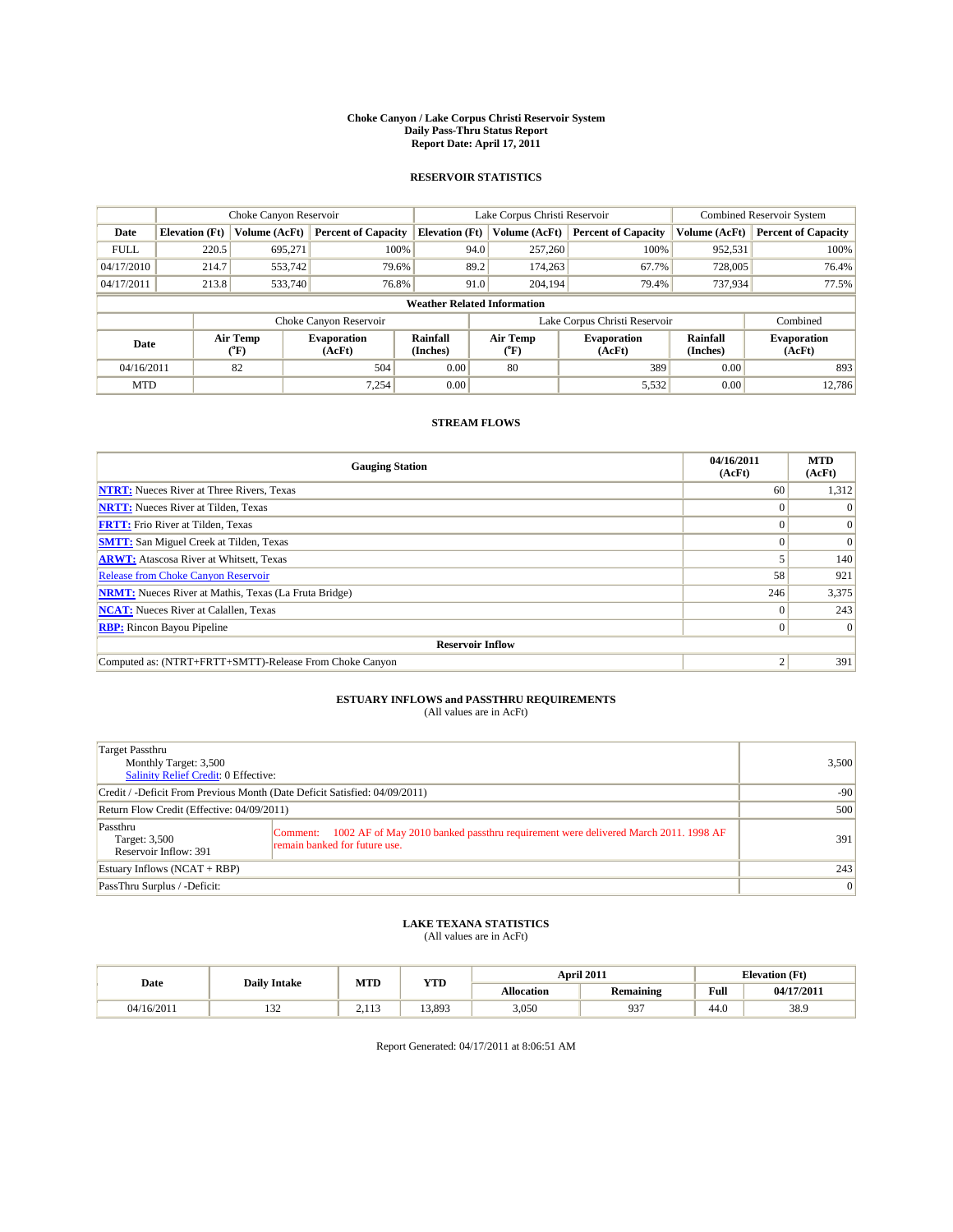#### **Choke Canyon / Lake Corpus Christi Reservoir System Daily Pass-Thru Status Report Report Date: April 17, 2011**

#### **RESERVOIR STATISTICS**

|             | Choke Canyon Reservoir             |                  | Lake Corpus Christi Reservoir |                       |                               |                  | <b>Combined Reservoir System</b> |                      |                              |  |
|-------------|------------------------------------|------------------|-------------------------------|-----------------------|-------------------------------|------------------|----------------------------------|----------------------|------------------------------|--|
| Date        | <b>Elevation</b> (Ft)              | Volume (AcFt)    | <b>Percent of Capacity</b>    | <b>Elevation</b> (Ft) |                               | Volume (AcFt)    | <b>Percent of Capacity</b>       | Volume (AcFt)        | <b>Percent of Capacity</b>   |  |
| <b>FULL</b> | 220.5                              | 695.271          | 100%                          |                       | 94.0                          | 257,260          | 100%                             | 952,531              | 100%                         |  |
| 04/17/2010  | 214.7                              | 553,742          | 79.6%                         |                       | 89.2                          | 174,263          | 67.7%                            | 728,005              | 76.4%                        |  |
| 04/17/2011  | 213.8                              | 533,740          | 76.8%                         |                       | 91.0                          | 204,194          | 79.4%                            | 737,934              | 77.5%                        |  |
|             | <b>Weather Related Information</b> |                  |                               |                       |                               |                  |                                  |                      |                              |  |
|             |                                    |                  | Choke Canyon Reservoir        |                       | Lake Corpus Christi Reservoir |                  |                                  |                      | Combined                     |  |
| Date        |                                    | Air Temp<br>(°F) | <b>Evaporation</b><br>(AcFt)  | Rainfall<br>(Inches)  |                               | Air Temp<br>("F) | <b>Evaporation</b><br>(AcFt)     | Rainfall<br>(Inches) | <b>Evaporation</b><br>(AcFt) |  |
| 04/16/2011  |                                    | 82               | 504                           | 0.00                  |                               | 80               | 389                              | 0.00                 | 893                          |  |
| <b>MTD</b>  |                                    |                  | 7.254                         | 0.00                  |                               |                  | 5,532                            | 0.00                 | 12.786                       |  |

### **STREAM FLOWS**

| <b>Gauging Station</b>                                       | 04/16/2011<br>(AcFt) | <b>MTD</b><br>(AcFt) |  |  |  |  |
|--------------------------------------------------------------|----------------------|----------------------|--|--|--|--|
| <b>NTRT:</b> Nueces River at Three Rivers, Texas             | 60                   | 1,312                |  |  |  |  |
| <b>NRTT:</b> Nueces River at Tilden, Texas                   |                      |                      |  |  |  |  |
| <b>FRTT:</b> Frio River at Tilden, Texas                     |                      | $\Omega$             |  |  |  |  |
| <b>SMTT:</b> San Miguel Creek at Tilden, Texas               |                      | $\Omega$             |  |  |  |  |
| <b>ARWT:</b> Atascosa River at Whitsett, Texas               |                      | 140                  |  |  |  |  |
| Release from Choke Canyon Reservoir                          | 58                   | 921                  |  |  |  |  |
| <b>NRMT:</b> Nueces River at Mathis, Texas (La Fruta Bridge) | 246                  | 3,375                |  |  |  |  |
| <b>NCAT:</b> Nueces River at Calallen, Texas                 |                      | 243                  |  |  |  |  |
| <b>RBP:</b> Rincon Bayou Pipeline                            | $\Omega$             | $\Omega$             |  |  |  |  |
| <b>Reservoir Inflow</b>                                      |                      |                      |  |  |  |  |
| Computed as: (NTRT+FRTT+SMTT)-Release From Choke Canyon      |                      | 391                  |  |  |  |  |

## **ESTUARY INFLOWS and PASSTHRU REQUIREMENTS**<br>(All values are in AcFt)

| Target Passthru<br>Monthly Target: 3,500<br>Salinity Relief Credit: 0 Effective: |                                                                                                                                 | 3,500 |
|----------------------------------------------------------------------------------|---------------------------------------------------------------------------------------------------------------------------------|-------|
| Credit / -Deficit From Previous Month (Date Deficit Satisfied: 04/09/2011)       | $-90$                                                                                                                           |       |
| Return Flow Credit (Effective: 04/09/2011)                                       | 500                                                                                                                             |       |
| Passthru<br>Target: 3,500<br>Reservoir Inflow: 391                               | 1002 AF of May 2010 banked passthru requirement were delivered March 2011. 1998 AF<br>Comment:<br>remain banked for future use. | 391   |
| Estuary Inflows $(NCAT + RBP)$                                                   | 243                                                                                                                             |       |
| PassThru Surplus / -Deficit:                                                     | 0                                                                                                                               |       |

### **LAKE TEXANA STATISTICS** (All values are in AcFt)

|            |                |                 | MTD<br><b>YTD</b><br><b>Daily Intake</b> |            | April 2011       | <b>Elevation</b> (Ft) |            |  |
|------------|----------------|-----------------|------------------------------------------|------------|------------------|-----------------------|------------|--|
| Date       |                |                 |                                          | Allocation | <b>Remaining</b> | Full                  | 04/17/2011 |  |
| 04/16/2011 | $\sim$<br>1.JZ | 112<br><u>.</u> | 13.893                                   | 3,050      | 937              | $\Lambda$<br>44.0     | 38.9       |  |

Report Generated: 04/17/2011 at 8:06:51 AM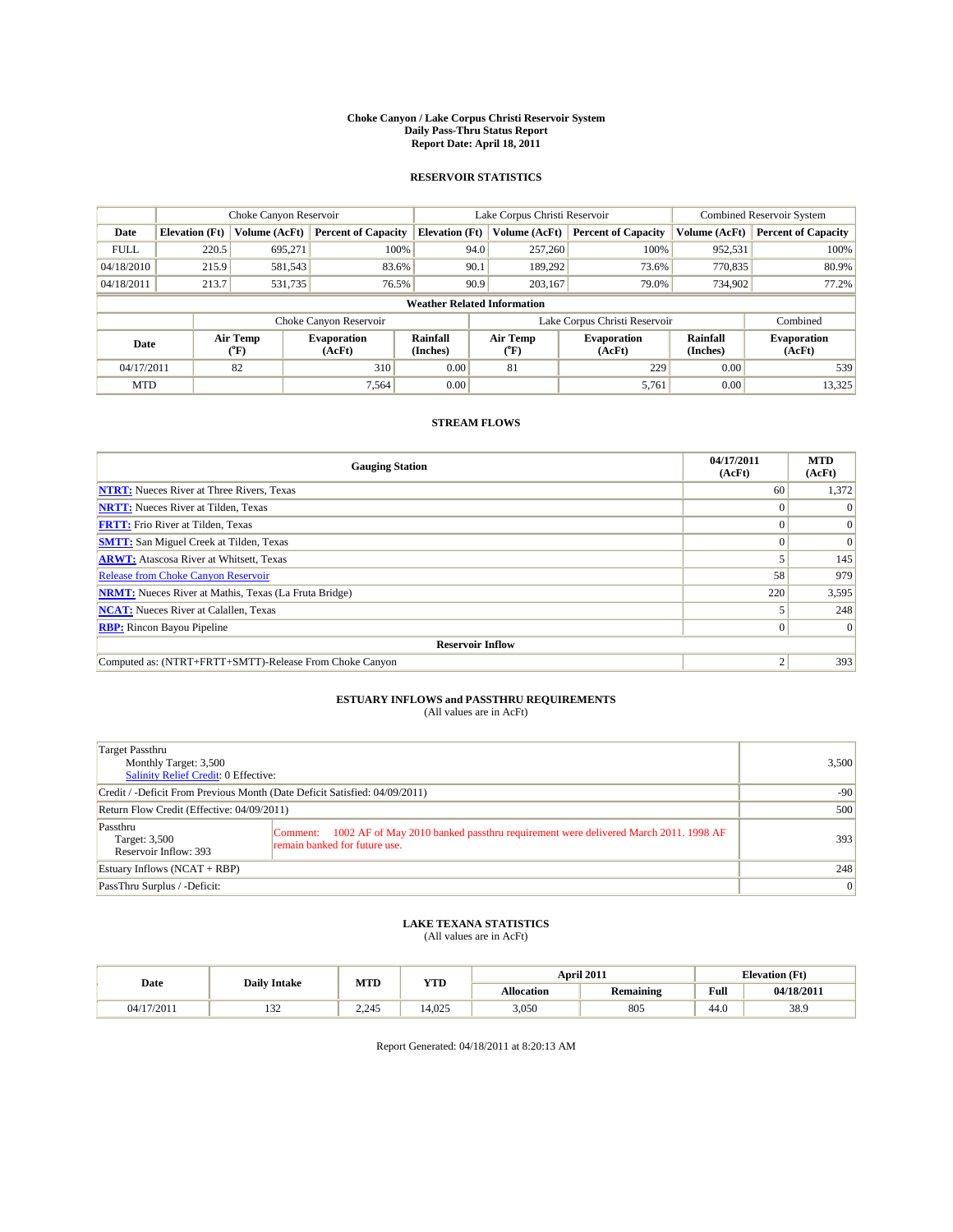#### **Choke Canyon / Lake Corpus Christi Reservoir System Daily Pass-Thru Status Report Report Date: April 18, 2011**

#### **RESERVOIR STATISTICS**

|             | Choke Canyon Reservoir                                                                                                               |               |                            |                                    | Lake Corpus Christi Reservoir |               |                               |               | <b>Combined Reservoir System</b> |  |  |
|-------------|--------------------------------------------------------------------------------------------------------------------------------------|---------------|----------------------------|------------------------------------|-------------------------------|---------------|-------------------------------|---------------|----------------------------------|--|--|
| Date        | <b>Elevation</b> (Ft)                                                                                                                | Volume (AcFt) | <b>Percent of Capacity</b> | <b>Elevation</b> (Ft)              |                               | Volume (AcFt) | <b>Percent of Capacity</b>    | Volume (AcFt) | <b>Percent of Capacity</b>       |  |  |
| <b>FULL</b> | 220.5                                                                                                                                | 695.271       | 100%                       |                                    | 94.0                          | 257,260       | 100%                          | 952,531       | 100%                             |  |  |
| 04/18/2010  | 215.9                                                                                                                                | 581,543       | 83.6%                      |                                    | 90.1                          | 189,292       | 73.6%                         | 770,835       | 80.9%                            |  |  |
| 04/18/2011  | 213.7                                                                                                                                | 531,735       | 76.5%                      |                                    | 90.9                          | 203,167       | 79.0%                         | 734,902       | 77.2%                            |  |  |
|             |                                                                                                                                      |               |                            | <b>Weather Related Information</b> |                               |               |                               |               |                                  |  |  |
|             |                                                                                                                                      |               | Choke Canyon Reservoir     |                                    |                               |               | Lake Corpus Christi Reservoir |               | Combined                         |  |  |
|             | Air Temp<br>Air Temp<br>Rainfall<br><b>Evaporation</b><br><b>Evaporation</b><br>Date<br>(Inches)<br>(AcFt)<br>(AcFt)<br>(°F)<br>("F) |               | Rainfall<br>(Inches)       | <b>Evaporation</b><br>(AcFt)       |                               |               |                               |               |                                  |  |  |
| 04/17/2011  |                                                                                                                                      | 82            | 310                        | 0.00                               |                               | 81            | 229                           | 0.00          | 539                              |  |  |
| <b>MTD</b>  |                                                                                                                                      |               | 7.564                      | 0.00                               |                               |               | 5,761                         | 0.00          | 13,325                           |  |  |

### **STREAM FLOWS**

| <b>Gauging Station</b>                                       | 04/17/2011<br>(AcFt) | <b>MTD</b><br>(AcFt) |
|--------------------------------------------------------------|----------------------|----------------------|
| <b>NTRT:</b> Nueces River at Three Rivers, Texas             | 60                   | 1,372                |
| <b>NRTT:</b> Nueces River at Tilden, Texas                   |                      |                      |
| <b>FRTT:</b> Frio River at Tilden, Texas                     |                      |                      |
| <b>SMTT:</b> San Miguel Creek at Tilden, Texas               |                      | $\Omega$             |
| <b>ARWT:</b> Atascosa River at Whitsett, Texas               |                      | 145                  |
| Release from Choke Canyon Reservoir                          | 58                   | 979                  |
| <b>NRMT:</b> Nueces River at Mathis, Texas (La Fruta Bridge) | 220                  | 3,595                |
| <b>NCAT:</b> Nueces River at Calallen, Texas                 |                      | 248                  |
| <b>RBP:</b> Rincon Bayou Pipeline                            | $\Omega$             | $\Omega$             |
| <b>Reservoir Inflow</b>                                      |                      |                      |
| Computed as: (NTRT+FRTT+SMTT)-Release From Choke Canyon      |                      | 393                  |

## **ESTUARY INFLOWS and PASSTHRU REQUIREMENTS**<br>(All values are in AcFt)

| Target Passthru<br>Monthly Target: 3,500<br>Salinity Relief Credit: 0 Effective: | 3,500                                                                                                                        |     |
|----------------------------------------------------------------------------------|------------------------------------------------------------------------------------------------------------------------------|-----|
| Credit / -Deficit From Previous Month (Date Deficit Satisfied: 04/09/2011)       | $-90$                                                                                                                        |     |
| Return Flow Credit (Effective: 04/09/2011)                                       | 500                                                                                                                          |     |
| Passthru<br>Target: 3,500<br>Reservoir Inflow: 393                               | Comment: 1002 AF of May 2010 banked passthru requirement were delivered March 2011. 1998 AF<br>remain banked for future use. | 393 |
| Estuary Inflows $(NCAT + RBP)$                                                   | 248                                                                                                                          |     |
| PassThru Surplus / -Deficit:                                                     | 0                                                                                                                            |     |

## **LAKE TEXANA STATISTICS** (All values are in AcFt)

|            | <b>Daily Intake</b> | MTD   | <b>YTD</b> | April 2011 |                  |      | <b>Elevation</b> (Ft) |
|------------|---------------------|-------|------------|------------|------------------|------|-----------------------|
| Date       |                     |       |            | Allocation | <b>Remaining</b> | Full | 04/18/2011            |
| 04/17/2011 | $\sim$<br>194       | 2.245 | 4.025      | 3,050      | 805              | 44.0 | 38.9                  |

Report Generated: 04/18/2011 at 8:20:13 AM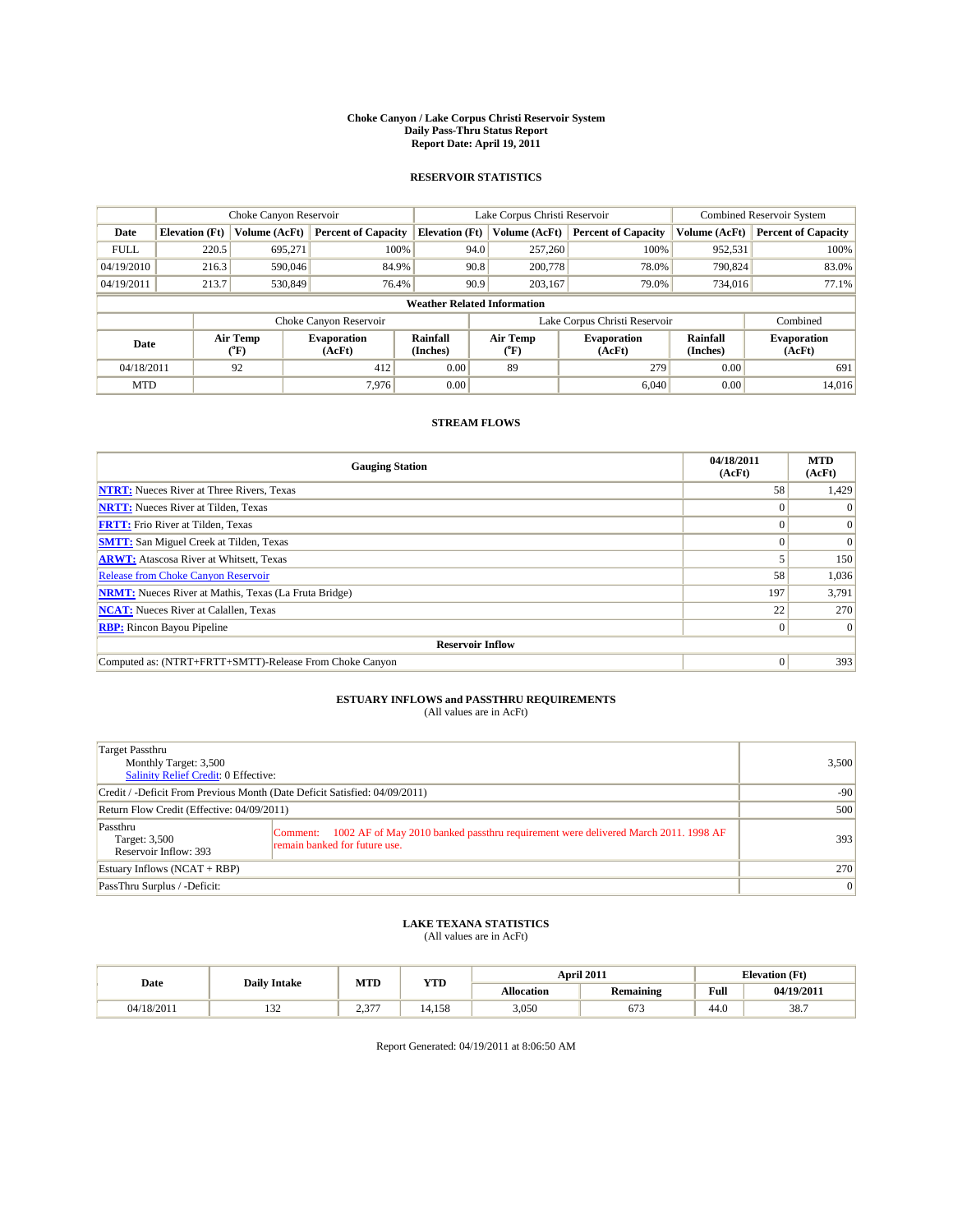#### **Choke Canyon / Lake Corpus Christi Reservoir System Daily Pass-Thru Status Report Report Date: April 19, 2011**

#### **RESERVOIR STATISTICS**

|             | Choke Canyon Reservoir                                                                                                                                  |               |                            |                                    | Lake Corpus Christi Reservoir |               |                               |               | <b>Combined Reservoir System</b> |  |  |
|-------------|---------------------------------------------------------------------------------------------------------------------------------------------------------|---------------|----------------------------|------------------------------------|-------------------------------|---------------|-------------------------------|---------------|----------------------------------|--|--|
| Date        | <b>Elevation</b> (Ft)                                                                                                                                   | Volume (AcFt) | <b>Percent of Capacity</b> | <b>Elevation</b> (Ft)              |                               | Volume (AcFt) | <b>Percent of Capacity</b>    | Volume (AcFt) | <b>Percent of Capacity</b>       |  |  |
| <b>FULL</b> | 220.5                                                                                                                                                   | 695,271       | 100%                       |                                    | 94.0                          | 257,260       | 100%                          | 952,531       | 100%                             |  |  |
| 04/19/2010  | 216.3                                                                                                                                                   | 590,046       | 84.9%                      |                                    | 90.8                          | 200,778       | 78.0%                         | 790.824       | 83.0%                            |  |  |
| 04/19/2011  | 213.7                                                                                                                                                   | 530,849       | 76.4%                      |                                    | 90.9                          | 203.167       | 79.0%                         | 734,016       | 77.1%                            |  |  |
|             |                                                                                                                                                         |               |                            | <b>Weather Related Information</b> |                               |               |                               |               |                                  |  |  |
|             |                                                                                                                                                         |               | Choke Canyon Reservoir     |                                    |                               |               | Lake Corpus Christi Reservoir |               | Combined                         |  |  |
|             | Air Temp<br>Air Temp<br>Rainfall<br><b>Evaporation</b><br><b>Evaporation</b><br>Date<br>(Inches)<br>(AcFt)<br>${}^{\circ}$ F)<br>(AcFt)<br>$\rm ^{o}F)$ |               | Rainfall<br>(Inches)       | <b>Evaporation</b><br>(AcFt)       |                               |               |                               |               |                                  |  |  |
| 04/18/2011  |                                                                                                                                                         | 92            | 412                        | 0.00                               |                               | 89            | 279                           | 0.00          | 691                              |  |  |
| <b>MTD</b>  |                                                                                                                                                         |               | 7.976                      | 0.00                               |                               |               | 6,040                         | 0.00          | 14,016                           |  |  |

### **STREAM FLOWS**

| <b>Gauging Station</b>                                       | 04/18/2011<br>(AcFt) | <b>MTD</b><br>(AcFt) |
|--------------------------------------------------------------|----------------------|----------------------|
| <b>NTRT:</b> Nueces River at Three Rivers, Texas             | 58                   | 1,429                |
| <b>NRTT:</b> Nueces River at Tilden, Texas                   |                      |                      |
| <b>FRTT:</b> Frio River at Tilden, Texas                     |                      | $\Omega$             |
| <b>SMTT:</b> San Miguel Creek at Tilden, Texas               |                      | $\Omega$             |
| <b>ARWT:</b> Atascosa River at Whitsett, Texas               |                      | 150                  |
| Release from Choke Canyon Reservoir                          | 58                   | 1,036                |
| <b>NRMT:</b> Nueces River at Mathis, Texas (La Fruta Bridge) | 197                  | 3,791                |
| <b>NCAT:</b> Nueces River at Calallen, Texas                 | 22                   | 270                  |
| <b>RBP:</b> Rincon Bayou Pipeline                            | $\Omega$             | $\Omega$             |
| <b>Reservoir Inflow</b>                                      |                      |                      |
| Computed as: (NTRT+FRTT+SMTT)-Release From Choke Canyon      | $\Omega$             | 393                  |

## **ESTUARY INFLOWS and PASSTHRU REQUIREMENTS**<br>(All values are in AcFt)

| Target Passthru<br>Monthly Target: 3,500<br>Salinity Relief Credit: 0 Effective: | 3,500                                                                                                                        |     |
|----------------------------------------------------------------------------------|------------------------------------------------------------------------------------------------------------------------------|-----|
| Credit / -Deficit From Previous Month (Date Deficit Satisfied: 04/09/2011)       | $-90$                                                                                                                        |     |
| Return Flow Credit (Effective: 04/09/2011)                                       | 500                                                                                                                          |     |
| Passthru<br>Target: 3,500<br>Reservoir Inflow: 393                               | Comment: 1002 AF of May 2010 banked passthru requirement were delivered March 2011. 1998 AF<br>remain banked for future use. | 393 |
| Estuary Inflows (NCAT + RBP)                                                     | 270                                                                                                                          |     |
| PassThru Surplus / -Deficit:                                                     |                                                                                                                              | 0   |

### **LAKE TEXANA STATISTICS** (All values are in AcFt)

|            | <b>Daily Intake</b> | April 2011 |        | MTD<br><b>YTD</b> |                  |                    |            | <b>Elevation</b> (Ft) |
|------------|---------------------|------------|--------|-------------------|------------------|--------------------|------------|-----------------------|
| Date       |                     |            |        | Allocation        | <b>Remaining</b> | Full               | 04/19/2011 |                       |
| 04/18/2011 | $\sim$<br>1.JZ      | $2.37-$    | 14.158 | 3,050             | $-$<br>0/2       | $\sqrt{ }$<br>44.0 | 38.7       |                       |

Report Generated: 04/19/2011 at 8:06:50 AM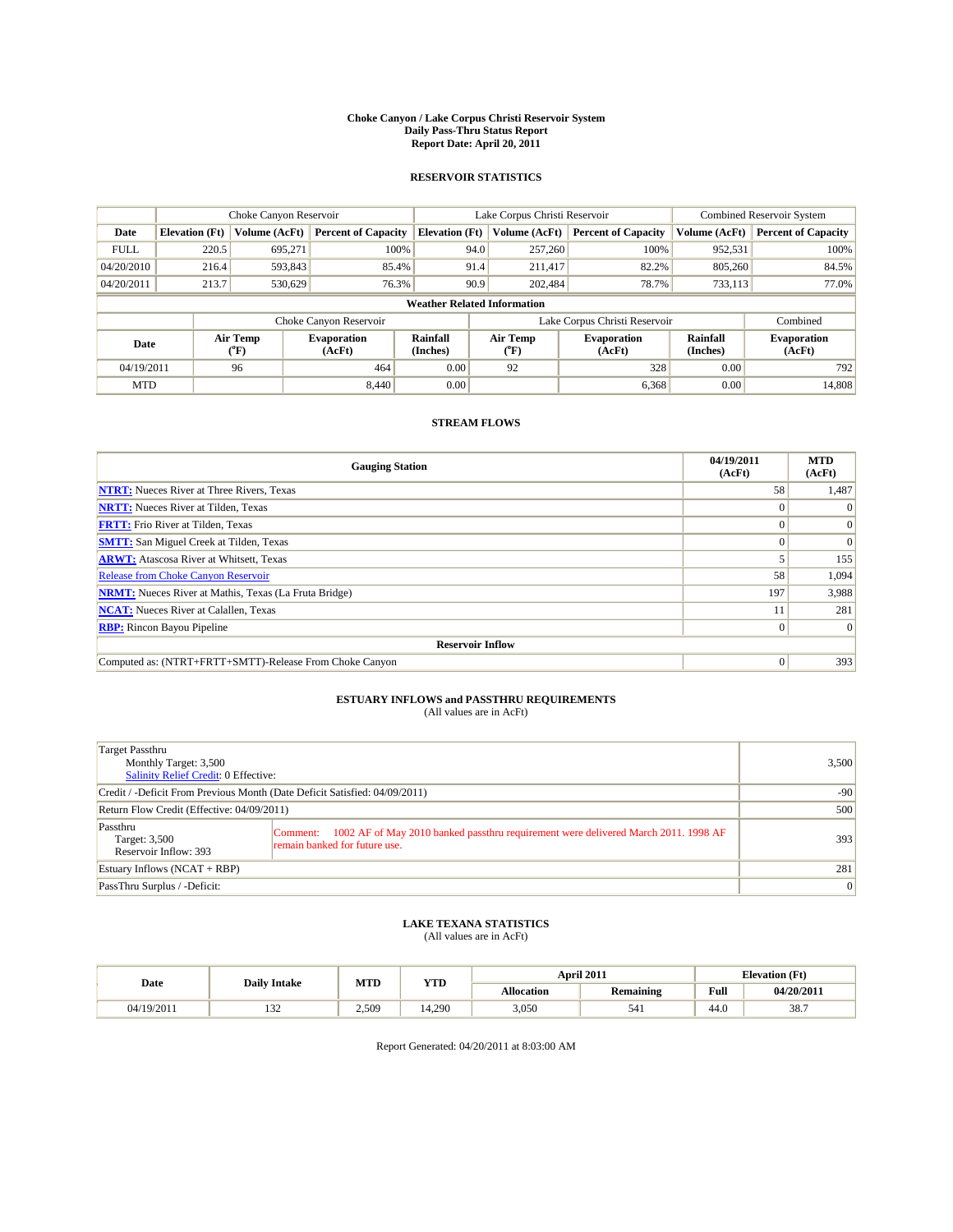#### **Choke Canyon / Lake Corpus Christi Reservoir System Daily Pass-Thru Status Report Report Date: April 20, 2011**

#### **RESERVOIR STATISTICS**

|             | Choke Canyon Reservoir                                                                                                               |               |                            |                                    | Lake Corpus Christi Reservoir |               |                               |               | <b>Combined Reservoir System</b> |  |  |
|-------------|--------------------------------------------------------------------------------------------------------------------------------------|---------------|----------------------------|------------------------------------|-------------------------------|---------------|-------------------------------|---------------|----------------------------------|--|--|
| Date        | <b>Elevation</b> (Ft)                                                                                                                | Volume (AcFt) | <b>Percent of Capacity</b> | <b>Elevation</b> (Ft)              |                               | Volume (AcFt) | <b>Percent of Capacity</b>    | Volume (AcFt) | <b>Percent of Capacity</b>       |  |  |
| <b>FULL</b> | 220.5                                                                                                                                | 695.271       | 100%                       |                                    | 94.0                          | 257,260       | 100%                          | 952,531       | 100%                             |  |  |
| 04/20/2010  | 216.4                                                                                                                                | 593,843       | 85.4%                      |                                    | 91.4                          | 211.417       | 82.2%                         | 805,260       | 84.5%                            |  |  |
| 04/20/2011  | 213.7                                                                                                                                | 530,629       | 76.3%                      |                                    | 90.9                          | 202,484       | 78.7%                         | 733,113       | 77.0%                            |  |  |
|             |                                                                                                                                      |               |                            | <b>Weather Related Information</b> |                               |               |                               |               |                                  |  |  |
|             |                                                                                                                                      |               | Choke Canyon Reservoir     |                                    |                               |               | Lake Corpus Christi Reservoir |               | Combined                         |  |  |
|             | Air Temp<br>Air Temp<br>Rainfall<br><b>Evaporation</b><br><b>Evaporation</b><br>Date<br>(Inches)<br>(AcFt)<br>(°F)<br>(AcFt)<br>("F) |               | Rainfall<br>(Inches)       | <b>Evaporation</b><br>(AcFt)       |                               |               |                               |               |                                  |  |  |
| 04/19/2011  |                                                                                                                                      | 96            | 464                        | 0.00                               |                               | 92            | 328                           | 0.00          | 792                              |  |  |
| <b>MTD</b>  |                                                                                                                                      |               | 8.440                      | 0.00                               |                               |               | 6,368                         | 0.00          | 14.808                           |  |  |

### **STREAM FLOWS**

| <b>Gauging Station</b>                                       | 04/19/2011<br>(AcFt) | <b>MTD</b><br>(AcFt) |
|--------------------------------------------------------------|----------------------|----------------------|
| <b>NTRT:</b> Nueces River at Three Rivers, Texas             | 58                   | 1,487                |
| <b>NRTT:</b> Nueces River at Tilden, Texas                   |                      |                      |
| <b>FRTT:</b> Frio River at Tilden, Texas                     |                      |                      |
| <b>SMTT:</b> San Miguel Creek at Tilden, Texas               |                      | $\Omega$             |
| <b>ARWT:</b> Atascosa River at Whitsett, Texas               |                      | 155                  |
| Release from Choke Canyon Reservoir                          | 58                   | 1,094                |
| <b>NRMT:</b> Nueces River at Mathis, Texas (La Fruta Bridge) | 197                  | 3,988                |
| <b>NCAT:</b> Nueces River at Calallen, Texas                 |                      | 281                  |
| <b>RBP:</b> Rincon Bayou Pipeline                            | $\Omega$             | $\Omega$             |
| <b>Reservoir Inflow</b>                                      |                      |                      |
| Computed as: (NTRT+FRTT+SMTT)-Release From Choke Canyon      | $\Omega$             | 393                  |

## **ESTUARY INFLOWS and PASSTHRU REQUIREMENTS**<br>(All values are in AcFt)

| Target Passthru<br>Monthly Target: 3,500<br><b>Salinity Relief Credit: 0 Effective:</b> | 3,500                                                                                                                           |     |
|-----------------------------------------------------------------------------------------|---------------------------------------------------------------------------------------------------------------------------------|-----|
| Credit / -Deficit From Previous Month (Date Deficit Satisfied: 04/09/2011)              | $-90$                                                                                                                           |     |
| Return Flow Credit (Effective: 04/09/2011)                                              | 500                                                                                                                             |     |
| Passthru<br>Target: 3,500<br>Reservoir Inflow: 393                                      | 1002 AF of May 2010 banked passthru requirement were delivered March 2011. 1998 AF<br>Comment:<br>remain banked for future use. | 393 |
| Estuary Inflows $(NCAT + RBP)$                                                          | 281                                                                                                                             |     |
| PassThru Surplus / -Deficit:                                                            |                                                                                                                                 | 0   |

## **LAKE TEXANA STATISTICS** (All values are in AcFt)

|            | <b>Daily Intake</b> | MTD   | <b>YTD</b> |                   | <b>April 2011</b> |      | <b>Elevation</b> (Ft) |
|------------|---------------------|-------|------------|-------------------|-------------------|------|-----------------------|
| Date       |                     |       |            | <b>Allocation</b> | Remaining         | Full | 04/20/2011            |
| 04/19/2011 | $\sim$<br>1 J 4     | 2,509 | 14.290     | 3,050             | 541               | 44.0 | 38.7                  |

Report Generated: 04/20/2011 at 8:03:00 AM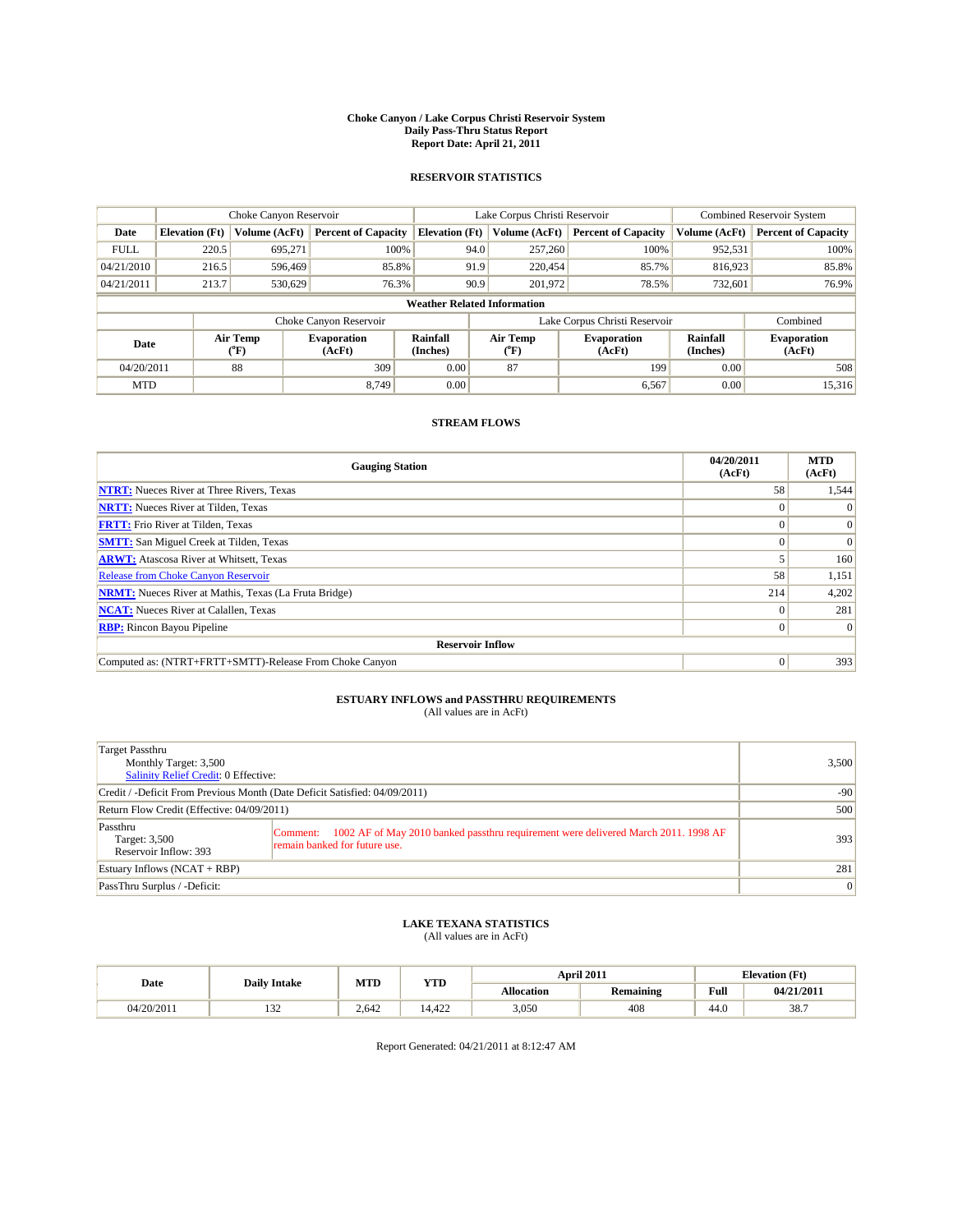#### **Choke Canyon / Lake Corpus Christi Reservoir System Daily Pass-Thru Status Report Report Date: April 21, 2011**

#### **RESERVOIR STATISTICS**

|             | Choke Canyon Reservoir                                                                                                                                                          |               | Lake Corpus Christi Reservoir |                                    |                               |               | <b>Combined Reservoir System</b> |               |                            |
|-------------|---------------------------------------------------------------------------------------------------------------------------------------------------------------------------------|---------------|-------------------------------|------------------------------------|-------------------------------|---------------|----------------------------------|---------------|----------------------------|
| Date        | <b>Elevation</b> (Ft)                                                                                                                                                           | Volume (AcFt) | <b>Percent of Capacity</b>    | <b>Elevation</b> (Ft)              |                               | Volume (AcFt) | <b>Percent of Capacity</b>       | Volume (AcFt) | <b>Percent of Capacity</b> |
| <b>FULL</b> | 220.5                                                                                                                                                                           | 695,271       | 100%                          |                                    | 94.0                          | 257,260       | 100%                             | 952,531       | 100%                       |
| 04/21/2010  | 216.5                                                                                                                                                                           | 596,469       | 85.8%                         |                                    | 91.9                          | 220,454       | 85.7%                            | 816,923       | 85.8%                      |
| 04/21/2011  | 213.7                                                                                                                                                                           | 530.629       | 76.3%                         |                                    | 90.9                          | 201,972       | 78.5%                            | 732,601       | 76.9%                      |
|             |                                                                                                                                                                                 |               |                               | <b>Weather Related Information</b> |                               |               |                                  |               |                            |
|             |                                                                                                                                                                                 |               | Choke Canyon Reservoir        |                                    | Lake Corpus Christi Reservoir |               |                                  | Combined      |                            |
|             | Air Temp<br>Rainfall<br>Air Temp<br>Rainfall<br><b>Evaporation</b><br><b>Evaporation</b><br>Date<br>(Inches)<br>(AcFt)<br>(Inches)<br>${}^{\circ}$ F)<br>(AcFt)<br>$\rm ^{o}F)$ |               |                               | <b>Evaporation</b><br>(AcFt)       |                               |               |                                  |               |                            |
| 04/20/2011  |                                                                                                                                                                                 | 88            | 309                           | 0.00                               |                               | 87            | 199                              | 0.00          | 508                        |
| <b>MTD</b>  |                                                                                                                                                                                 |               | 8.749                         | 0.00                               |                               |               | 6,567                            | 0.00          | 15,316                     |

### **STREAM FLOWS**

| <b>Gauging Station</b>                                       | 04/20/2011<br>(AcFt) | <b>MTD</b><br>(AcFt) |
|--------------------------------------------------------------|----------------------|----------------------|
| <b>NTRT:</b> Nueces River at Three Rivers, Texas             | 58                   | 1,544                |
| <b>NRTT:</b> Nueces River at Tilden, Texas                   |                      | $\Omega$             |
| <b>FRTT:</b> Frio River at Tilden, Texas                     |                      | $\Omega$             |
| <b>SMTT:</b> San Miguel Creek at Tilden, Texas               |                      | $\Omega$             |
| <b>ARWT:</b> Atascosa River at Whitsett, Texas               |                      | 160                  |
| Release from Choke Canyon Reservoir                          | 58                   | 1,151                |
| <b>NRMT:</b> Nueces River at Mathis, Texas (La Fruta Bridge) | 214                  | 4,202                |
| <b>NCAT:</b> Nueces River at Calallen, Texas                 |                      | 281                  |
| <b>RBP:</b> Rincon Bayou Pipeline                            | $\Omega$             | $\Omega$             |
| <b>Reservoir Inflow</b>                                      |                      |                      |
| Computed as: (NTRT+FRTT+SMTT)-Release From Choke Canyon      | $\Omega$             | 393                  |

## **ESTUARY INFLOWS and PASSTHRU REQUIREMENTS**<br>(All values are in AcFt)

| Target Passthru<br>Monthly Target: 3,500<br><b>Salinity Relief Credit: 0 Effective:</b> | 3,500                                                                                                                           |     |
|-----------------------------------------------------------------------------------------|---------------------------------------------------------------------------------------------------------------------------------|-----|
| Credit / -Deficit From Previous Month (Date Deficit Satisfied: 04/09/2011)              | $-90$                                                                                                                           |     |
| Return Flow Credit (Effective: 04/09/2011)                                              | 500                                                                                                                             |     |
| Passthru<br>Target: 3,500<br>Reservoir Inflow: 393                                      | 1002 AF of May 2010 banked passthru requirement were delivered March 2011. 1998 AF<br>Comment:<br>remain banked for future use. | 393 |
| Estuary Inflows $(NCAT + RBP)$                                                          | 281                                                                                                                             |     |
| PassThru Surplus / -Deficit:                                                            |                                                                                                                                 | 0   |

## **LAKE TEXANA STATISTICS** (All values are in AcFt)

|            | <b>Daily Intake</b> | MTD   | <b>YTD</b> |                   | April 2011       |                                             | <b>Elevation</b> (Ft) |  |
|------------|---------------------|-------|------------|-------------------|------------------|---------------------------------------------|-----------------------|--|
| Date       |                     |       |            | <b>Allocation</b> | <b>Remaining</b> | Full<br>the contract of the contract of the | 04/21/2011            |  |
| 04/20/2011 | $\sim$<br>1 J 4     | 2.642 | 14.422     | 3,050             | 408              | 44.0                                        | 38.7                  |  |

Report Generated: 04/21/2011 at 8:12:47 AM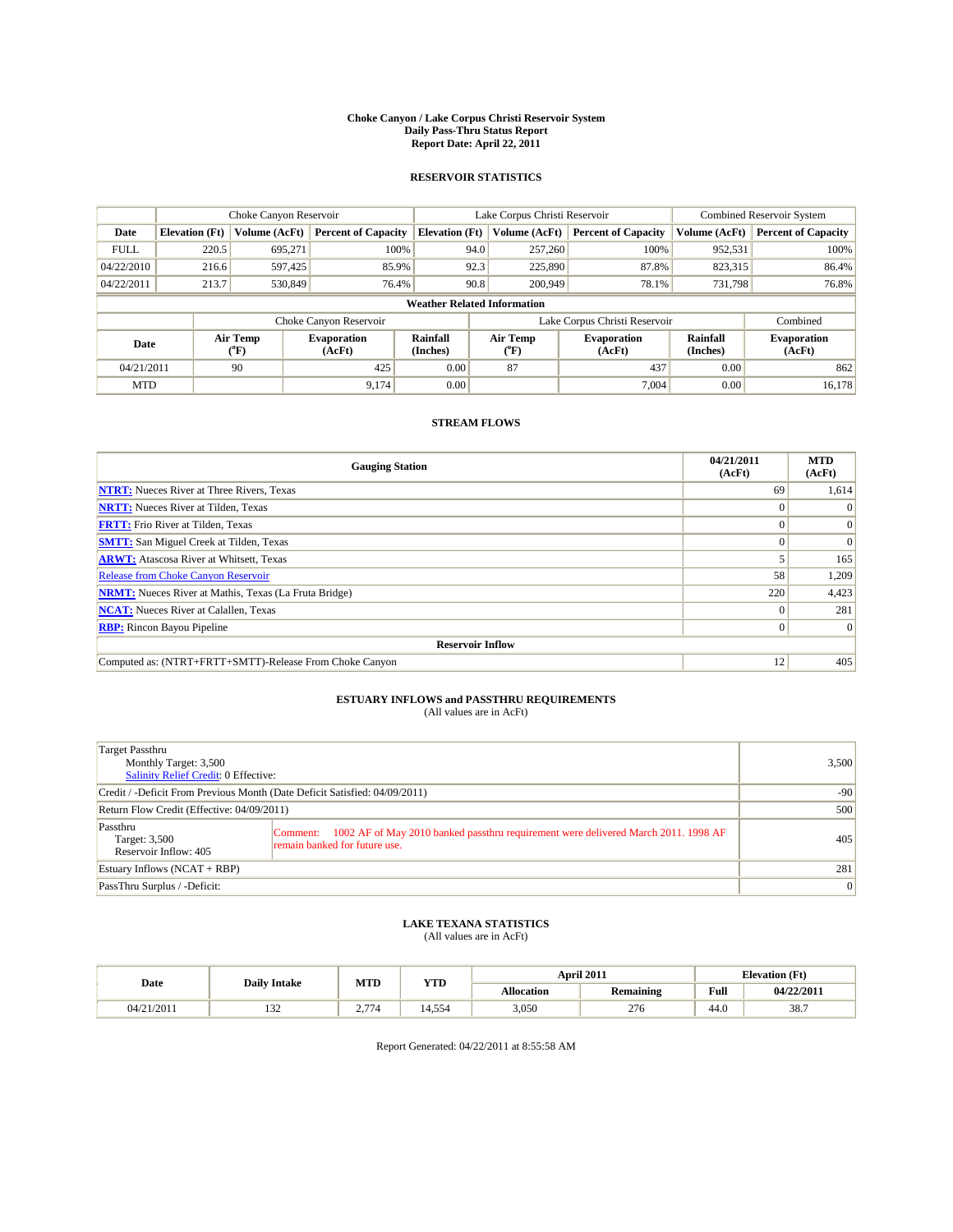#### **Choke Canyon / Lake Corpus Christi Reservoir System Daily Pass-Thru Status Report Report Date: April 22, 2011**

#### **RESERVOIR STATISTICS**

|             |                                                                                                                                                              | Choke Canyon Reservoir |                            |                                    | Lake Corpus Christi Reservoir | <b>Combined Reservoir System</b> |               |                            |
|-------------|--------------------------------------------------------------------------------------------------------------------------------------------------------------|------------------------|----------------------------|------------------------------------|-------------------------------|----------------------------------|---------------|----------------------------|
| Date        | <b>Elevation</b> (Ft)                                                                                                                                        | Volume (AcFt)          | <b>Percent of Capacity</b> | <b>Elevation</b> (Ft)              | Volume (AcFt)                 | <b>Percent of Capacity</b>       | Volume (AcFt) | <b>Percent of Capacity</b> |
| <b>FULL</b> | 220.5                                                                                                                                                        | 695,271                | 100%                       |                                    | 94.0<br>257,260               | 100%                             | 952,531       | 100%                       |
| 04/22/2010  | 216.6                                                                                                                                                        | 597,425                | 85.9%                      |                                    | 92.3<br>225,890               | 87.8%                            | 823,315       | 86.4%                      |
| 04/22/2011  | 213.7                                                                                                                                                        | 530,849                | 76.4%                      |                                    | 90.8<br>200,949               | 78.1%                            | 731,798       | 76.8%                      |
|             |                                                                                                                                                              |                        |                            | <b>Weather Related Information</b> |                               |                                  |               |                            |
|             |                                                                                                                                                              |                        | Choke Canyon Reservoir     |                                    | Lake Corpus Christi Reservoir |                                  |               | Combined                   |
|             | Air Temp<br>Air Temp<br>Rainfall<br>Rainfall<br><b>Evaporation</b><br><b>Evaporation</b><br>Date<br>(Inches)<br>(Inches)<br>(AcFt)<br>(AcFt)<br>(°F)<br>("F) |                        |                            | <b>Evaporation</b><br>(AcFt)       |                               |                                  |               |                            |
| 04/21/2011  |                                                                                                                                                              | 90                     | 425                        | 0.00                               | 87                            | 437                              | 0.00          | 862                        |
| <b>MTD</b>  |                                                                                                                                                              |                        | 9.174                      | 0.00                               |                               | 7.004                            | 0.00          | 16.178                     |

### **STREAM FLOWS**

| <b>Gauging Station</b>                                       | 04/21/2011<br>(AcFt) | <b>MTD</b><br>(AcFt) |
|--------------------------------------------------------------|----------------------|----------------------|
| <b>NTRT:</b> Nueces River at Three Rivers, Texas             | 69                   | 1,614                |
| <b>NRTT:</b> Nueces River at Tilden, Texas                   |                      | $\Omega$             |
| <b>FRTT:</b> Frio River at Tilden, Texas                     |                      | $\Omega$             |
| <b>SMTT:</b> San Miguel Creek at Tilden, Texas               |                      | $\Omega$             |
| <b>ARWT:</b> Atascosa River at Whitsett, Texas               |                      | 165                  |
| Release from Choke Canyon Reservoir                          | 58                   | 1,209                |
| <b>NRMT:</b> Nueces River at Mathis, Texas (La Fruta Bridge) | 220                  | 4,423                |
| <b>NCAT:</b> Nueces River at Calallen, Texas                 |                      | 281                  |
| <b>RBP:</b> Rincon Bayou Pipeline                            | $\Omega$             | $\Omega$             |
| <b>Reservoir Inflow</b>                                      |                      |                      |
| Computed as: (NTRT+FRTT+SMTT)-Release From Choke Canyon      | 12                   | 405                  |

## **ESTUARY INFLOWS and PASSTHRU REQUIREMENTS**<br>(All values are in AcFt)

| Target Passthru<br>Monthly Target: 3,500<br>Salinity Relief Credit: 0 Effective: | 3,500                                                                                                                           |     |
|----------------------------------------------------------------------------------|---------------------------------------------------------------------------------------------------------------------------------|-----|
| Credit / -Deficit From Previous Month (Date Deficit Satisfied: 04/09/2011)       | $-90$                                                                                                                           |     |
| Return Flow Credit (Effective: 04/09/2011)                                       | 500                                                                                                                             |     |
| Passthru<br>Target: 3,500<br>Reservoir Inflow: 405                               | 1002 AF of May 2010 banked passthru requirement were delivered March 2011. 1998 AF<br>Comment:<br>remain banked for future use. | 405 |
| Estuary Inflows $(NCAT + RBP)$                                                   | 281                                                                                                                             |     |
| PassThru Surplus / -Deficit:                                                     |                                                                                                                                 | 0   |

## **LAKE TEXANA STATISTICS** (All values are in AcFt)

|            | <b>Daily Intake</b> | MTD                        | YTD        |                   | April 2011       |      | <b>Elevation</b> (Ft) |
|------------|---------------------|----------------------------|------------|-------------------|------------------|------|-----------------------|
| Date       |                     |                            |            | <b>Allocation</b> | <b>Remaining</b> | Full | 04/22/2011            |
| 04/21/2011 | . <i>.</i>          | $\overline{a}$<br><u>.</u> | . 554<br>4 | 3,050             | 276              | 44.0 | 38.7                  |

Report Generated: 04/22/2011 at 8:55:58 AM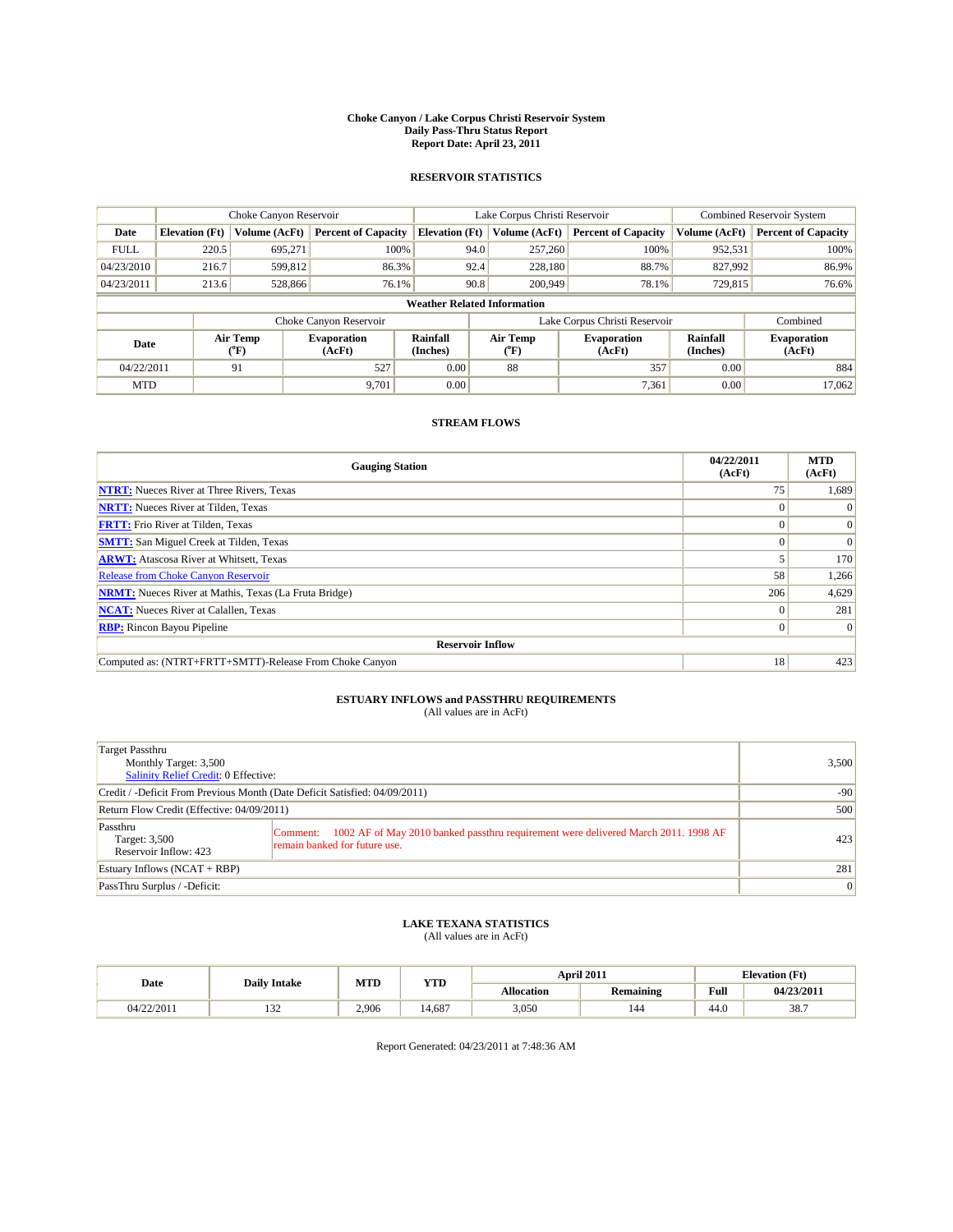#### **Choke Canyon / Lake Corpus Christi Reservoir System Daily Pass-Thru Status Report Report Date: April 23, 2011**

#### **RESERVOIR STATISTICS**

|             |                                                                                                                                      | Choke Canyon Reservoir |                            |                              | Lake Corpus Christi Reservoir      | <b>Combined Reservoir System</b> |               |                            |
|-------------|--------------------------------------------------------------------------------------------------------------------------------------|------------------------|----------------------------|------------------------------|------------------------------------|----------------------------------|---------------|----------------------------|
| Date        | <b>Elevation</b> (Ft)                                                                                                                | Volume (AcFt)          | <b>Percent of Capacity</b> | <b>Elevation</b> (Ft)        | Volume (AcFt)                      | <b>Percent of Capacity</b>       | Volume (AcFt) | <b>Percent of Capacity</b> |
| <b>FULL</b> | 220.5                                                                                                                                | 695,271                | 100%                       |                              | 94.0<br>257,260                    | 100%                             | 952,531       | 100%                       |
| 04/23/2010  | 216.7                                                                                                                                | 599,812                | 86.3%                      |                              | 92.4<br>228,180                    | 88.7%                            | 827,992       | 86.9%                      |
| 04/23/2011  | 213.6                                                                                                                                | 528,866                | 76.1%                      |                              | 90.8<br>200,949                    | 78.1%                            | 729,815       | 76.6%                      |
|             |                                                                                                                                      |                        |                            |                              | <b>Weather Related Information</b> |                                  |               |                            |
|             |                                                                                                                                      |                        | Choke Canyon Reservoir     |                              | Lake Corpus Christi Reservoir      |                                  |               | Combined                   |
|             | Air Temp<br>Air Temp<br>Rainfall<br><b>Evaporation</b><br><b>Evaporation</b><br>Date<br>(Inches)<br>(AcFt)<br>(AcFt)<br>(°F)<br>("F) |                        | Rainfall<br>(Inches)       | <b>Evaporation</b><br>(AcFt) |                                    |                                  |               |                            |
| 04/22/2011  |                                                                                                                                      | 91                     | 527                        | 0.00                         | 88                                 | 357                              | 0.00          | 884                        |
| <b>MTD</b>  |                                                                                                                                      |                        | 9.701                      | 0.00                         |                                    | 7,361                            | 0.00          | 17.062                     |

### **STREAM FLOWS**

| <b>Gauging Station</b>                                       | 04/22/2011<br>(AcFt) | <b>MTD</b><br>(AcFt) |
|--------------------------------------------------------------|----------------------|----------------------|
| <b>NTRT:</b> Nueces River at Three Rivers, Texas             | 75                   | 1,689                |
| <b>NRTT:</b> Nueces River at Tilden, Texas                   |                      | $\Omega$             |
| <b>FRTT:</b> Frio River at Tilden, Texas                     |                      | $\Omega$             |
| <b>SMTT:</b> San Miguel Creek at Tilden, Texas               |                      | $\Omega$             |
| <b>ARWT:</b> Atascosa River at Whitsett, Texas               |                      | 170                  |
| <b>Release from Choke Canyon Reservoir</b>                   | 58                   | 1,266                |
| <b>NRMT:</b> Nueces River at Mathis, Texas (La Fruta Bridge) | 206                  | 4,629                |
| <b>NCAT:</b> Nueces River at Calallen, Texas                 |                      | 281                  |
| <b>RBP:</b> Rincon Bayou Pipeline                            | $\Omega$             | $\Omega$             |
| <b>Reservoir Inflow</b>                                      |                      |                      |
| Computed as: (NTRT+FRTT+SMTT)-Release From Choke Canyon      | 18                   | 423                  |

## **ESTUARY INFLOWS and PASSTHRU REQUIREMENTS**<br>(All values are in AcFt)

| Target Passthru<br>Monthly Target: 3,500<br>Salinity Relief Credit: 0 Effective: | 3,500                                                                                                                           |     |
|----------------------------------------------------------------------------------|---------------------------------------------------------------------------------------------------------------------------------|-----|
| Credit / -Deficit From Previous Month (Date Deficit Satisfied: 04/09/2011)       | $-90$                                                                                                                           |     |
| Return Flow Credit (Effective: 04/09/2011)                                       | 500                                                                                                                             |     |
| Passthru<br>Target: 3,500<br>Reservoir Inflow: 423                               | 1002 AF of May 2010 banked passthru requirement were delivered March 2011. 1998 AF<br>Comment:<br>remain banked for future use. | 423 |
| Estuary Inflows $(NCAT + RBP)$                                                   | 281                                                                                                                             |     |
| PassThru Surplus / -Deficit:                                                     |                                                                                                                                 | 0   |

## **LAKE TEXANA STATISTICS** (All values are in AcFt)

|            | <b>Daily Intake</b> | MTD   | <b>YTD</b> | April 2011 |                  |             | <b>Elevation</b> (Ft) |
|------------|---------------------|-------|------------|------------|------------------|-------------|-----------------------|
| Date       |                     |       |            | Allocation | <b>Remaining</b> | <b>Full</b> | 04/23/2011            |
| 04/22/2011 | $\sim$<br>1.JZ      | 2.906 | 14.687     | 3,050      | 144              | 44.0        | 38.7                  |

Report Generated: 04/23/2011 at 7:48:36 AM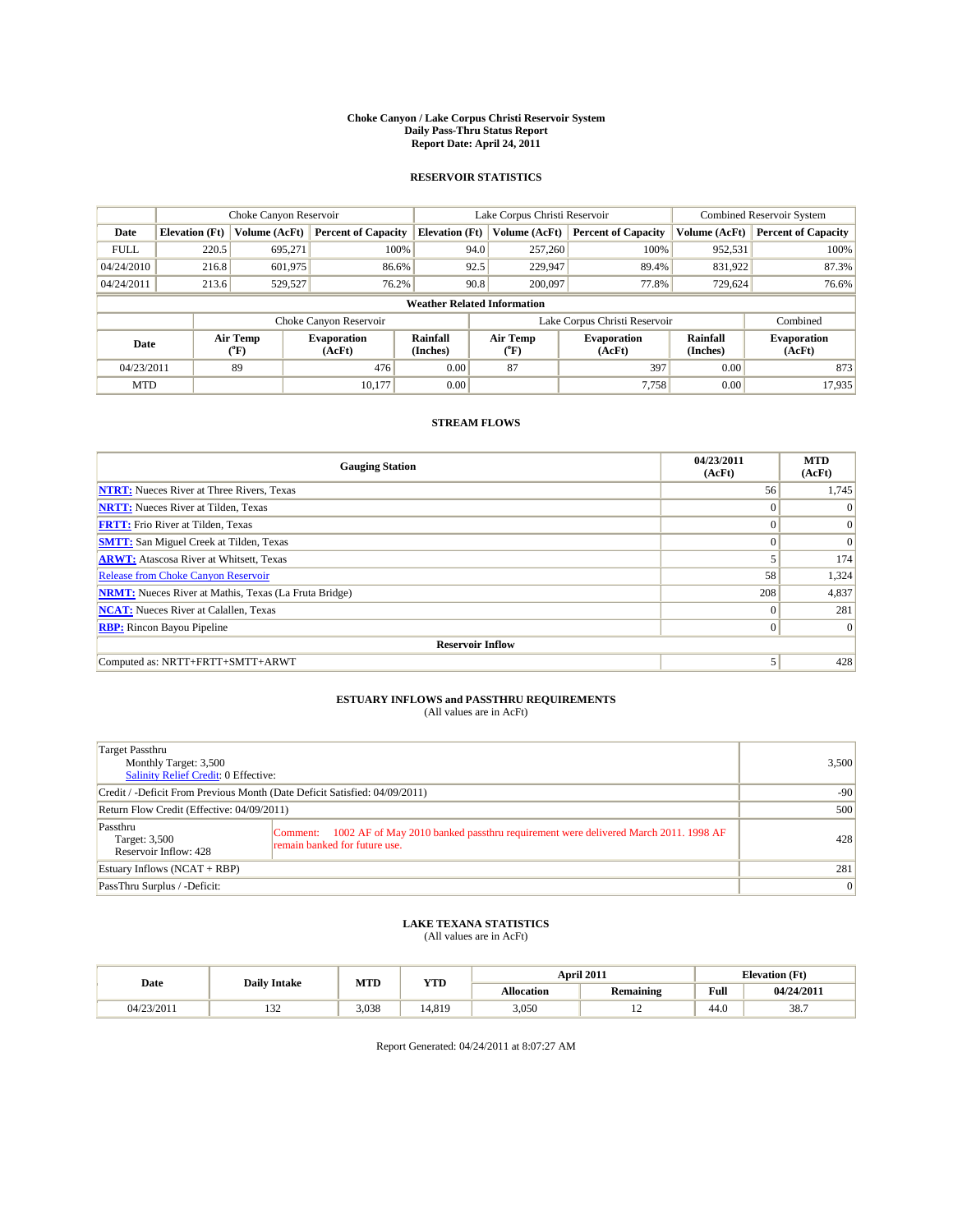#### **Choke Canyon / Lake Corpus Christi Reservoir System Daily Pass-Thru Status Report Report Date: April 24, 2011**

#### **RESERVOIR STATISTICS**

|             | Choke Canyon Reservoir |                          |                              |                       | Lake Corpus Christi Reservoir      |  |                              |                      | <b>Combined Reservoir System</b> |  |
|-------------|------------------------|--------------------------|------------------------------|-----------------------|------------------------------------|--|------------------------------|----------------------|----------------------------------|--|
| Date        | <b>Elevation</b> (Ft)  | Volume (AcFt)            | <b>Percent of Capacity</b>   | <b>Elevation</b> (Ft) | Volume (AcFt)                      |  | <b>Percent of Capacity</b>   | Volume (AcFt)        | <b>Percent of Capacity</b>       |  |
| <b>FULL</b> | 220.5                  | 695,271                  | 100%                         |                       | 257,260<br>94.0                    |  | 100%                         | 952,531              | 100%                             |  |
| 04/24/2010  | 216.8                  | 601,975                  | 86.6%                        |                       | 92.5<br>229,947                    |  | 89.4%                        | 831,922              | 87.3%                            |  |
| 04/24/2011  | 213.6                  | 529,527                  | 76.2%                        |                       | 90.8<br>200,097                    |  | 77.8%                        | 729.624              | 76.6%                            |  |
|             |                        |                          |                              |                       | <b>Weather Related Information</b> |  |                              |                      |                                  |  |
|             |                        |                          | Choke Canyon Reservoir       |                       | Lake Corpus Christi Reservoir      |  |                              | Combined             |                                  |  |
| Date        |                        | Air Temp<br>$\rm ^{o}F)$ | <b>Evaporation</b><br>(AcFt) | Rainfall<br>(Inches)  | Air Temp<br>$\rm ^{o}F)$           |  | <b>Evaporation</b><br>(AcFt) | Rainfall<br>(Inches) | <b>Evaporation</b><br>(AcFt)     |  |
| 04/23/2011  |                        | 89                       | 476                          | 0.00                  | 87                                 |  | 397                          | 0.00                 | 873                              |  |
| <b>MTD</b>  |                        |                          | 10.177                       | 0.00                  |                                    |  | 7,758                        | 0.00                 | 17,935                           |  |

### **STREAM FLOWS**

| <b>Gauging Station</b>                                       | 04/23/2011<br>(AcFt) | <b>MTD</b><br>(AcFt) |
|--------------------------------------------------------------|----------------------|----------------------|
| <b>NTRT:</b> Nueces River at Three Rivers, Texas             | 56                   | 1,745                |
| <b>NRTT:</b> Nueces River at Tilden, Texas                   | $\theta$             | $\Omega$             |
| <b>FRTT:</b> Frio River at Tilden, Texas                     | $\theta$             | $\vert 0 \vert$      |
| <b>SMTT:</b> San Miguel Creek at Tilden, Texas               | $\theta$             | $\Omega$             |
| <b>ARWT:</b> Atascosa River at Whitsett, Texas               |                      | 174                  |
| Release from Choke Canyon Reservoir                          | 58                   | 1,324                |
| <b>NRMT:</b> Nueces River at Mathis, Texas (La Fruta Bridge) | 208                  | 4,837                |
| <b>NCAT:</b> Nueces River at Calallen, Texas                 | $\theta$             | 281                  |
| <b>RBP:</b> Rincon Bayou Pipeline                            | $\mathbf{0}$         | $\Omega$             |
| <b>Reservoir Inflow</b>                                      |                      |                      |
| Computed as: NRTT+FRTT+SMTT+ARWT                             | 5                    | 428                  |

# **ESTUARY INFLOWS and PASSTHRU REQUIREMENTS**<br>(All values are in AcFt)

| Target Passthru<br>Monthly Target: 3,500<br>Salinity Relief Credit: 0 Effective: |                                                                                                                                 | 3,500 |
|----------------------------------------------------------------------------------|---------------------------------------------------------------------------------------------------------------------------------|-------|
| Credit / -Deficit From Previous Month (Date Deficit Satisfied: 04/09/2011)       | $-90$                                                                                                                           |       |
| Return Flow Credit (Effective: 04/09/2011)                                       | 500                                                                                                                             |       |
| Passthru<br>Target: 3,500<br>Reservoir Inflow: 428                               | 1002 AF of May 2010 banked passthru requirement were delivered March 2011. 1998 AF<br>Comment:<br>remain banked for future use. | 428   |
| Estuary Inflows $(NCAT + RBP)$                                                   |                                                                                                                                 | 281   |
| PassThru Surplus / -Deficit:                                                     |                                                                                                                                 | 0     |

### **LAKE TEXANA STATISTICS** (All values are in AcFt)

|            | <b>Daily Intake</b> | MTD   | <b>YTD</b> | April 2011 |                  |                    | <b>Elevation</b> (Ft) |
|------------|---------------------|-------|------------|------------|------------------|--------------------|-----------------------|
| Date       |                     |       |            | Allocation | <b>Remaining</b> | Full               | 04/24/2011            |
| 04/23/2011 | $\sim$<br>1.JZ      | 3.038 | 14.819     | 3,050      | $\overline{ }$   | $\Lambda$<br>-44.0 | 38.7                  |

Report Generated: 04/24/2011 at 8:07:27 AM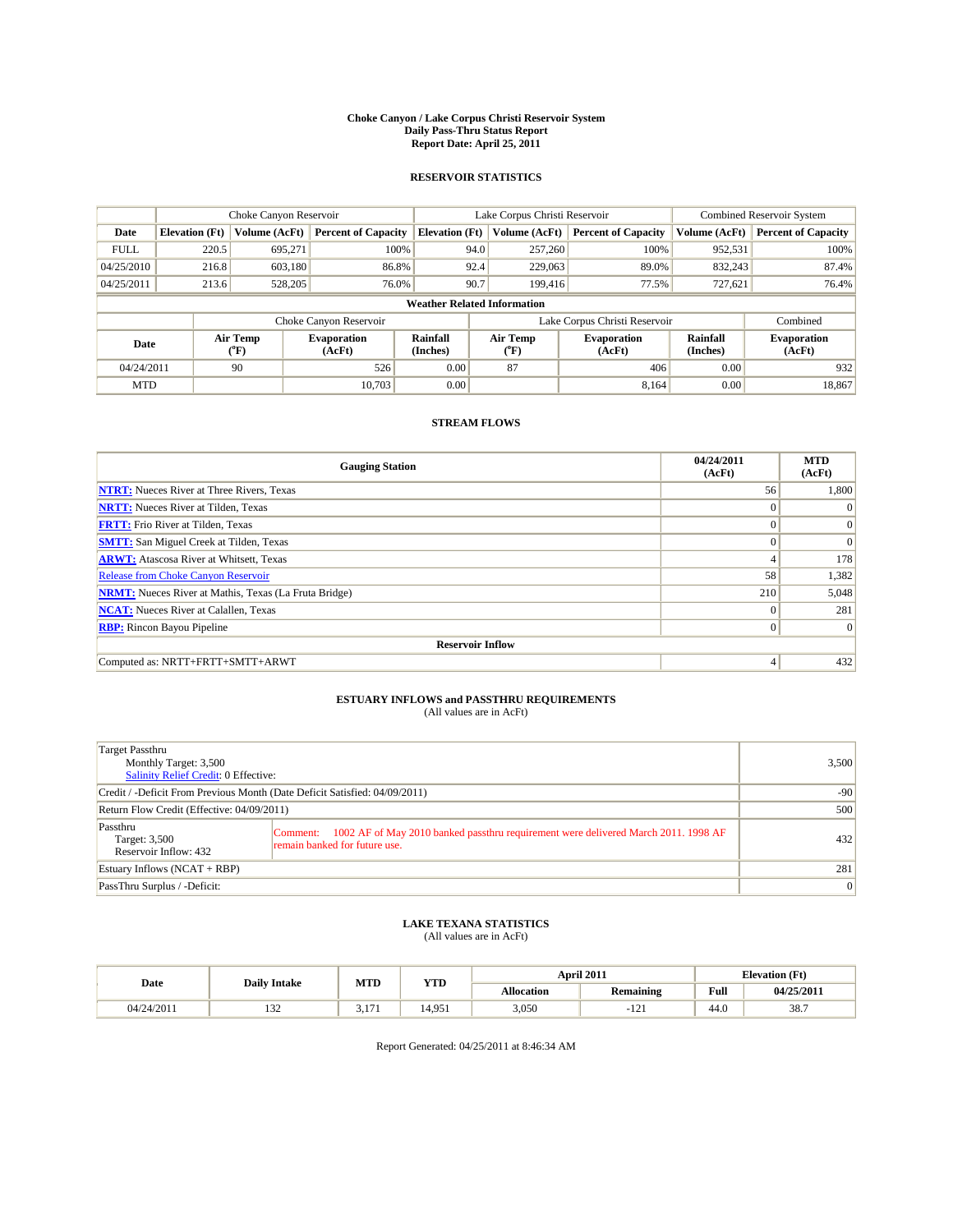#### **Choke Canyon / Lake Corpus Christi Reservoir System Daily Pass-Thru Status Report Report Date: April 25, 2011**

#### **RESERVOIR STATISTICS**

|             | Choke Canyon Reservoir |                  |                              |                       | Lake Corpus Christi Reservoir      | <b>Combined Reservoir System</b> |                      |                              |
|-------------|------------------------|------------------|------------------------------|-----------------------|------------------------------------|----------------------------------|----------------------|------------------------------|
| Date        | <b>Elevation</b> (Ft)  | Volume (AcFt)    | <b>Percent of Capacity</b>   | <b>Elevation</b> (Ft) | Volume (AcFt)                      | <b>Percent of Capacity</b>       | Volume (AcFt)        | <b>Percent of Capacity</b>   |
| <b>FULL</b> | 220.5                  | 695,271          | 100%                         |                       | 94.0<br>257,260                    | 100%                             | 952,531              | 100%                         |
| 04/25/2010  | 216.8                  | 603,180          | 86.8%                        |                       | 92.4<br>229,063                    | 89.0%                            | 832,243              | 87.4%                        |
| 04/25/2011  | 213.6                  | 528,205          | 76.0%                        | 90.7                  | 199,416                            | 77.5%                            | 727,621              | 76.4%                        |
|             |                        |                  |                              |                       | <b>Weather Related Information</b> |                                  |                      |                              |
|             |                        |                  | Choke Canyon Reservoir       |                       | Lake Corpus Christi Reservoir      |                                  |                      | Combined                     |
| Date        |                        | Air Temp<br>(°F) | <b>Evaporation</b><br>(AcFt) | Rainfall<br>(Inches)  | Air Temp<br>("F)                   | <b>Evaporation</b><br>(AcFt)     | Rainfall<br>(Inches) | <b>Evaporation</b><br>(AcFt) |
| 04/24/2011  |                        | 90               | 526                          | 0.00                  | 87                                 | 406                              | 0.00                 | 932                          |
| <b>MTD</b>  |                        |                  | 10.703                       | 0.00                  |                                    | 8.164                            | 0.00                 | 18.867                       |

### **STREAM FLOWS**

| <b>Gauging Station</b>                                       | 04/24/2011<br>(AcFt) | <b>MTD</b><br>(AcFt) |
|--------------------------------------------------------------|----------------------|----------------------|
| <b>NTRT:</b> Nueces River at Three Rivers, Texas             | 56                   | 1,800                |
| <b>NRTT:</b> Nueces River at Tilden, Texas                   | $\Omega$             | $\Omega$             |
| <b>FRTT:</b> Frio River at Tilden, Texas                     | $\Omega$             | $\vert 0 \vert$      |
| <b>SMTT:</b> San Miguel Creek at Tilden, Texas               | $\Omega$             | $\Omega$             |
| <b>ARWT:</b> Atascosa River at Whitsett, Texas               | $\overline{4}$       | 178                  |
| <b>Release from Choke Canyon Reservoir</b>                   | 58                   | 1,382                |
| <b>NRMT:</b> Nueces River at Mathis, Texas (La Fruta Bridge) | 210                  | 5,048                |
| <b>NCAT:</b> Nueces River at Calallen, Texas                 | $\theta$             | 281                  |
| <b>RBP:</b> Rincon Bayou Pipeline                            | $\mathbf{0}$         | $\Omega$             |
| <b>Reservoir Inflow</b>                                      |                      |                      |
| Computed as: NRTT+FRTT+SMTT+ARWT                             | 4                    | 432                  |

## **ESTUARY INFLOWS and PASSTHRU REQUIREMENTS**<br>(All values are in AcFt)

| Target Passthru<br>Monthly Target: 3,500<br><b>Salinity Relief Credit: 0 Effective:</b> |                                                                                                                                 | 3,500 |
|-----------------------------------------------------------------------------------------|---------------------------------------------------------------------------------------------------------------------------------|-------|
| Credit / -Deficit From Previous Month (Date Deficit Satisfied: 04/09/2011)              | $-90$                                                                                                                           |       |
| Return Flow Credit (Effective: 04/09/2011)                                              | 500                                                                                                                             |       |
| Passthru<br>Target: 3,500<br>Reservoir Inflow: 432                                      | 1002 AF of May 2010 banked passthru requirement were delivered March 2011. 1998 AF<br>Comment:<br>remain banked for future use. | 432   |
| Estuary Inflows $(NCAT + RBP)$                                                          |                                                                                                                                 | 281   |
| PassThru Surplus / -Deficit:                                                            |                                                                                                                                 | 0     |

### **LAKE TEXANA STATISTICS** (All values are in AcFt)

|            | <b>Daily Intake</b> | MTD        | <b>YTD</b> | April 2011 |                  |                | <b>Elevation</b> (Ft) |
|------------|---------------------|------------|------------|------------|------------------|----------------|-----------------------|
| Date       |                     |            |            | Allocation | <b>Remaining</b> | Full           | 04/25/2011            |
| 04/24/2011 | $\sim$<br>1.JZ      | $1 -$<br>. | 4,951      | 3,050      | $-1$             | $\sim$<br>44.0 | 38.7                  |

Report Generated: 04/25/2011 at 8:46:34 AM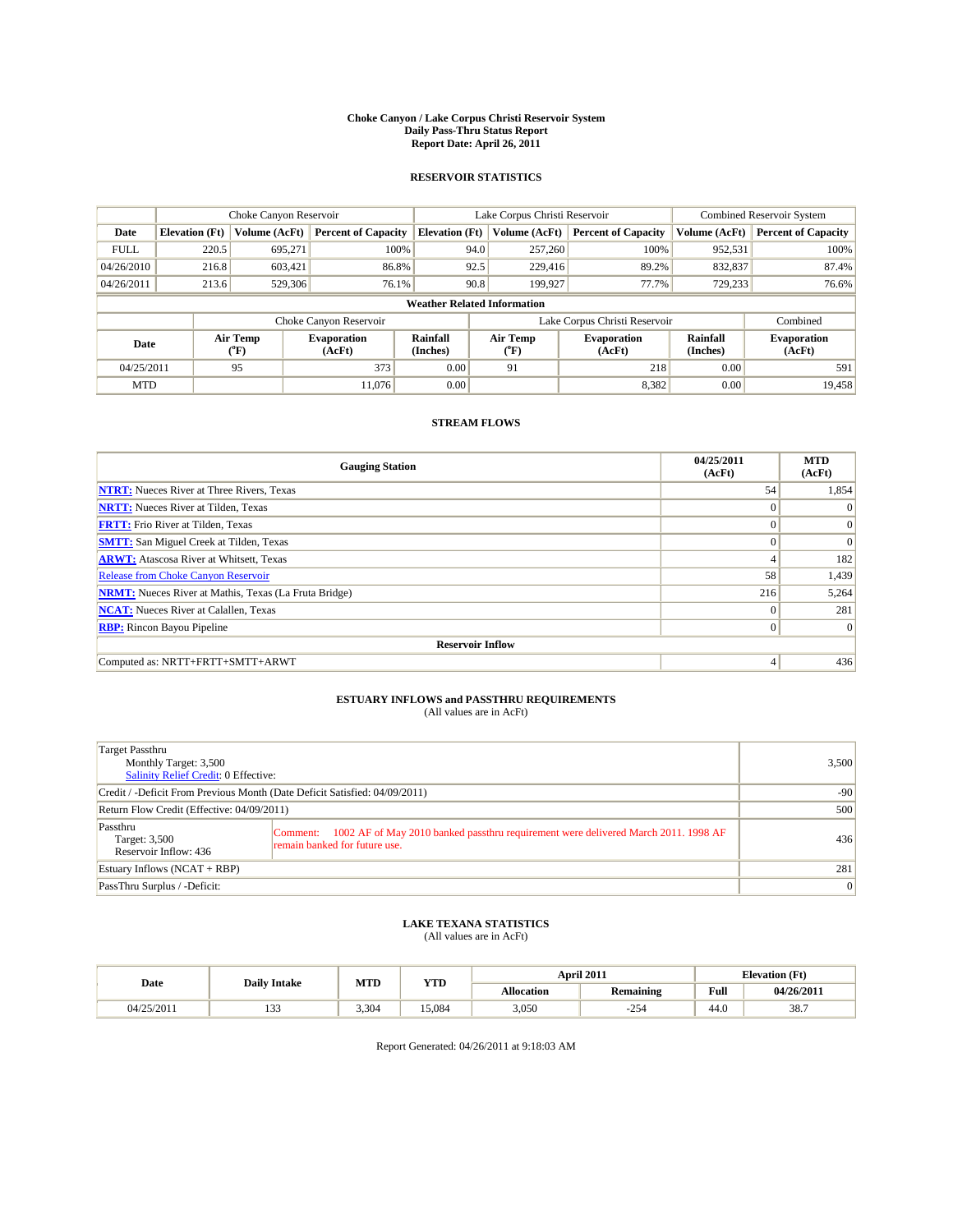#### **Choke Canyon / Lake Corpus Christi Reservoir System Daily Pass-Thru Status Report Report Date: April 26, 2011**

#### **RESERVOIR STATISTICS**

|             | Choke Canyon Reservoir |                  |                              |                                    | Lake Corpus Christi Reservoir                    | <b>Combined Reservoir System</b> |                      |                              |
|-------------|------------------------|------------------|------------------------------|------------------------------------|--------------------------------------------------|----------------------------------|----------------------|------------------------------|
| Date        | <b>Elevation</b> (Ft)  | Volume (AcFt)    | <b>Percent of Capacity</b>   | <b>Elevation</b> (Ft)              | Volume (AcFt)                                    | <b>Percent of Capacity</b>       | Volume (AcFt)        | <b>Percent of Capacity</b>   |
| <b>FULL</b> | 220.5                  | 695.271          | 100%                         | 94.0                               | 257,260                                          | 100%                             | 952,531              | 100%                         |
| 04/26/2010  | 216.8                  | 603,421          | 86.8%                        | 92.5                               | 229,416                                          | 89.2%                            | 832,837              | 87.4%                        |
| 04/26/2011  | 213.6                  | 529,306          | 76.1%                        | 90.8                               | 199,927                                          | 77.7%                            | 729,233              | 76.6%                        |
|             |                        |                  |                              | <b>Weather Related Information</b> |                                                  |                                  |                      |                              |
|             |                        |                  | Choke Canyon Reservoir       |                                    | Lake Corpus Christi Reservoir                    |                                  |                      | Combined                     |
| Date        |                        | Air Temp<br>(°F) | <b>Evaporation</b><br>(AcFt) | Rainfall<br>(Inches)               | Air Temp<br><b>Evaporation</b><br>(AcFt)<br>("F) |                                  | Rainfall<br>(Inches) | <b>Evaporation</b><br>(AcFt) |
| 04/25/2011  |                        | 95               | 373                          | 0.00                               | 91                                               | 218                              | 0.00                 | 591                          |
| <b>MTD</b>  |                        |                  | 11.076                       | 0.00                               |                                                  | 8,382                            | 0.00                 | 19,458                       |

### **STREAM FLOWS**

| <b>Gauging Station</b>                                       | 04/25/2011<br>(AcFt) | <b>MTD</b><br>(AcFt) |
|--------------------------------------------------------------|----------------------|----------------------|
| <b>NTRT:</b> Nueces River at Three Rivers, Texas             | 54                   | 1,854                |
| <b>NRTT:</b> Nueces River at Tilden, Texas                   | $\Omega$             | $\Omega$             |
| <b>FRTT:</b> Frio River at Tilden, Texas                     | $\Omega$             | $\vert 0 \vert$      |
| <b>SMTT:</b> San Miguel Creek at Tilden, Texas               | $\Omega$             | $\Omega$             |
| <b>ARWT:</b> Atascosa River at Whitsett, Texas               | $\overline{4}$       | 182                  |
| <b>Release from Choke Canyon Reservoir</b>                   | 58                   | 1,439                |
| <b>NRMT:</b> Nueces River at Mathis, Texas (La Fruta Bridge) | 216                  | 5,264                |
| <b>NCAT:</b> Nueces River at Calallen, Texas                 | $\theta$             | 281                  |
| <b>RBP:</b> Rincon Bayou Pipeline                            | $\mathbf{0}$         | $\Omega$             |
| <b>Reservoir Inflow</b>                                      |                      |                      |
| Computed as: NRTT+FRTT+SMTT+ARWT                             | 4                    | 436                  |

# **ESTUARY INFLOWS and PASSTHRU REQUIREMENTS**<br>(All values are in AcFt)

| Target Passthru<br>Monthly Target: 3,500<br><b>Salinity Relief Credit: 0 Effective:</b> |                                                                                                                                 | 3,500 |
|-----------------------------------------------------------------------------------------|---------------------------------------------------------------------------------------------------------------------------------|-------|
| Credit / -Deficit From Previous Month (Date Deficit Satisfied: 04/09/2011)              | $-90$                                                                                                                           |       |
| Return Flow Credit (Effective: 04/09/2011)                                              | 500                                                                                                                             |       |
| Passthru<br>Target: 3,500<br>Reservoir Inflow: 436                                      | 1002 AF of May 2010 banked passthru requirement were delivered March 2011. 1998 AF<br>Comment:<br>remain banked for future use. | 436   |
| Estuary Inflows $(NCAT + RBP)$                                                          | 281                                                                                                                             |       |
| PassThru Surplus / -Deficit:                                                            |                                                                                                                                 | 0     |

## **LAKE TEXANA STATISTICS** (All values are in AcFt)

|            |                     |       | MTD<br><b>YTD</b> |                   | <b>April 2011</b> |      | <b>Elevation</b> (Ft) |
|------------|---------------------|-------|-------------------|-------------------|-------------------|------|-----------------------|
| Date       | <b>Daily Intake</b> |       |                   | <b>Allocation</b> | <b>Remaining</b>  | Full | 04/26/2011            |
| 04/25/2011 | $\sim$<br>ن ب       | 3.304 | 5.084             | 3,050             | 254               | 44.0 | 38.7                  |

Report Generated: 04/26/2011 at 9:18:03 AM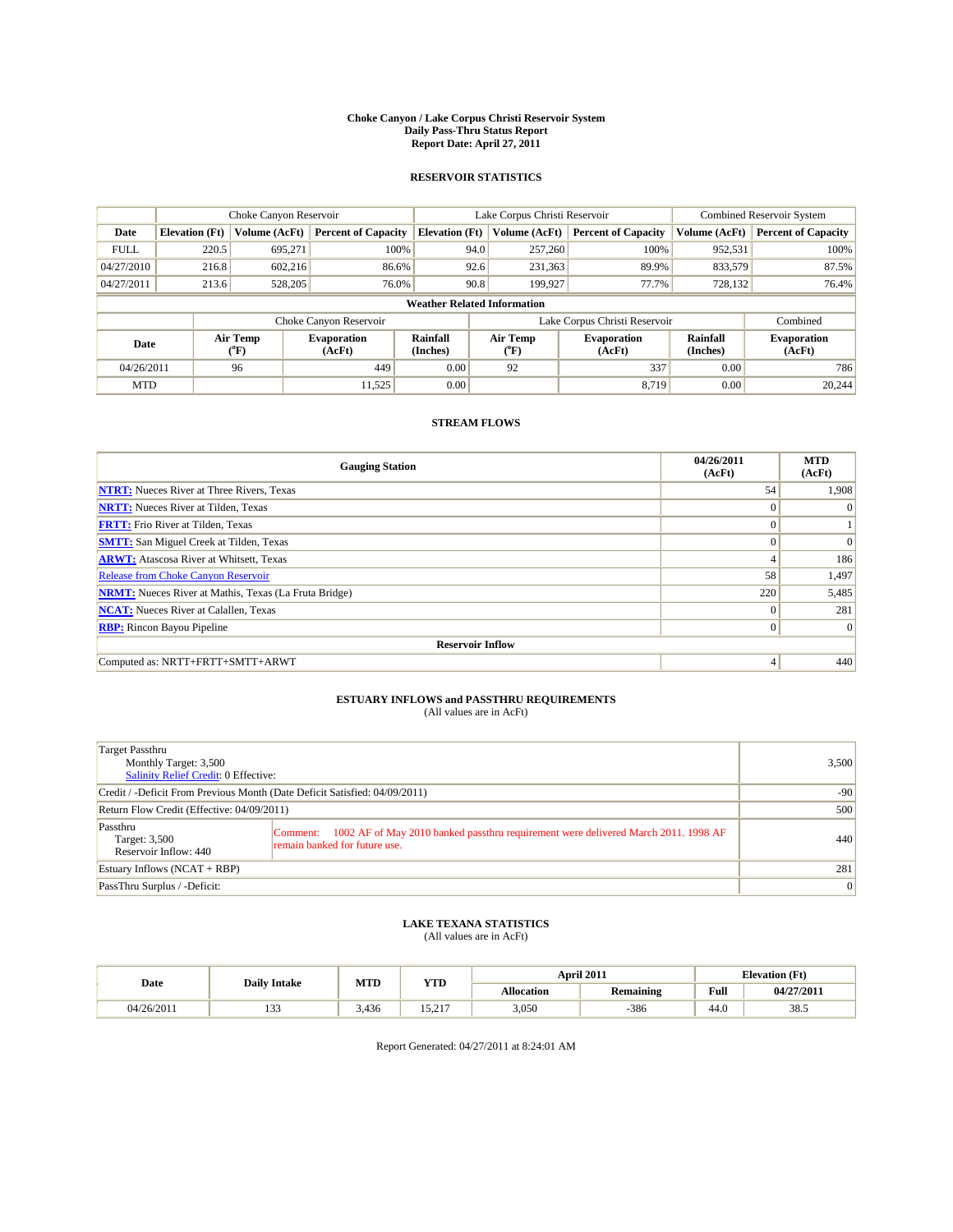#### **Choke Canyon / Lake Corpus Christi Reservoir System Daily Pass-Thru Status Report Report Date: April 27, 2011**

#### **RESERVOIR STATISTICS**

|             | Choke Canyon Reservoir                                                                                                                             |               |                            |                                    | Lake Corpus Christi Reservoir |                            |               | Combined Reservoir System  |  |
|-------------|----------------------------------------------------------------------------------------------------------------------------------------------------|---------------|----------------------------|------------------------------------|-------------------------------|----------------------------|---------------|----------------------------|--|
| Date        | <b>Elevation</b> (Ft)                                                                                                                              | Volume (AcFt) | <b>Percent of Capacity</b> | <b>Elevation</b> (Ft)              | Volume (AcFt)                 | <b>Percent of Capacity</b> | Volume (AcFt) | <b>Percent of Capacity</b> |  |
| <b>FULL</b> | 220.5                                                                                                                                              | 695,271       | 100%                       | 94.0                               | 257,260                       | 100%                       | 952,531       | 100%                       |  |
| 04/27/2010  | 216.8                                                                                                                                              | 602,216       | 86.6%                      | 92.6                               | 231,363                       | 89.9%                      | 833,579       | 87.5%                      |  |
| 04/27/2011  | 213.6                                                                                                                                              | 528,205       | 76.0%                      | 90.8                               | 199,927                       | 77.7%                      | 728,132       | 76.4%                      |  |
|             |                                                                                                                                                    |               |                            | <b>Weather Related Information</b> |                               |                            |               |                            |  |
|             |                                                                                                                                                    |               | Choke Canyon Reservoir     |                                    | Lake Corpus Christi Reservoir |                            |               | Combined                   |  |
|             | Air Temp<br>Rainfall<br>Air Temp<br><b>Evaporation</b><br><b>Evaporation</b><br>Date<br>(Inches)<br>(AcFt)<br>$({}^o\mathrm{F})$<br>(AcFt)<br>(°F) |               | Rainfall<br>(Inches)       | <b>Evaporation</b><br>(AcFt)       |                               |                            |               |                            |  |
| 04/26/2011  |                                                                                                                                                    | 96            | 449                        | 0.00                               | 92                            | 337                        | 0.00          | 786                        |  |
| <b>MTD</b>  |                                                                                                                                                    |               | 11,525                     | 0.00                               |                               | 8.719                      | 0.00          | 20,244                     |  |

### **STREAM FLOWS**

| <b>Gauging Station</b>                                       | 04/26/2011<br>(AcFt) | <b>MTD</b><br>(AcFt) |
|--------------------------------------------------------------|----------------------|----------------------|
| <b>NTRT:</b> Nueces River at Three Rivers, Texas             | 54                   | 1,908                |
| <b>NRTT:</b> Nueces River at Tilden, Texas                   | $\Omega$             | $\Omega$             |
| <b>FRTT:</b> Frio River at Tilden, Texas                     | $\mathbf{0}$         |                      |
| <b>SMTT:</b> San Miguel Creek at Tilden, Texas               | $\theta$             | $\Omega$             |
| <b>ARWT:</b> Atascosa River at Whitsett, Texas               | $\overline{4}$       | 186                  |
| <b>Release from Choke Canyon Reservoir</b>                   | 58                   | 1,497                |
| <b>NRMT:</b> Nueces River at Mathis, Texas (La Fruta Bridge) | 220                  | 5,485                |
| <b>NCAT:</b> Nueces River at Calallen, Texas                 | $\theta$             | 281                  |
| <b>RBP:</b> Rincon Bayou Pipeline                            | $\mathbf{0}$         | $\Omega$             |
| <b>Reservoir Inflow</b>                                      |                      |                      |
| Computed as: NRTT+FRTT+SMTT+ARWT                             | 4                    | 440                  |

# **ESTUARY INFLOWS and PASSTHRU REQUIREMENTS**<br>(All values are in AcFt)

| Target Passthru<br>Monthly Target: 3,500<br>Salinity Relief Credit: 0 Effective: |                                                                                                                              | 3,500           |  |
|----------------------------------------------------------------------------------|------------------------------------------------------------------------------------------------------------------------------|-----------------|--|
| Credit / -Deficit From Previous Month (Date Deficit Satisfied: 04/09/2011)       | $-90$                                                                                                                        |                 |  |
| Return Flow Credit (Effective: 04/09/2011)                                       |                                                                                                                              |                 |  |
| Passthru<br>Target: 3,500<br>Reservoir Inflow: 440                               | Comment: 1002 AF of May 2010 banked passthru requirement were delivered March 2011. 1998 AF<br>remain banked for future use. | 440             |  |
| Estuary Inflows $(NCAT + RBP)$                                                   | 281                                                                                                                          |                 |  |
| PassThru Surplus / -Deficit:                                                     |                                                                                                                              | $\vert 0 \vert$ |  |

## **LAKE TEXANA STATISTICS** (All values are in AcFt)

|            | MTD<br><b>YTD</b><br><b>Daily Intake</b> |       |                       | April 2011        |                  | <b>Elevation</b> (Ft)                       |            |
|------------|------------------------------------------|-------|-----------------------|-------------------|------------------|---------------------------------------------|------------|
| Date       |                                          |       |                       | <b>Allocation</b> | <b>Remaining</b> | Full<br>the contract of the contract of the | 04/27/2011 |
| 04/26/2011 | $\sim$<br>.                              | 3.436 | $\sim$ $\sim$<br>---- | 3,050             | -386             | 44.0                                        | 38.5       |

Report Generated: 04/27/2011 at 8:24:01 AM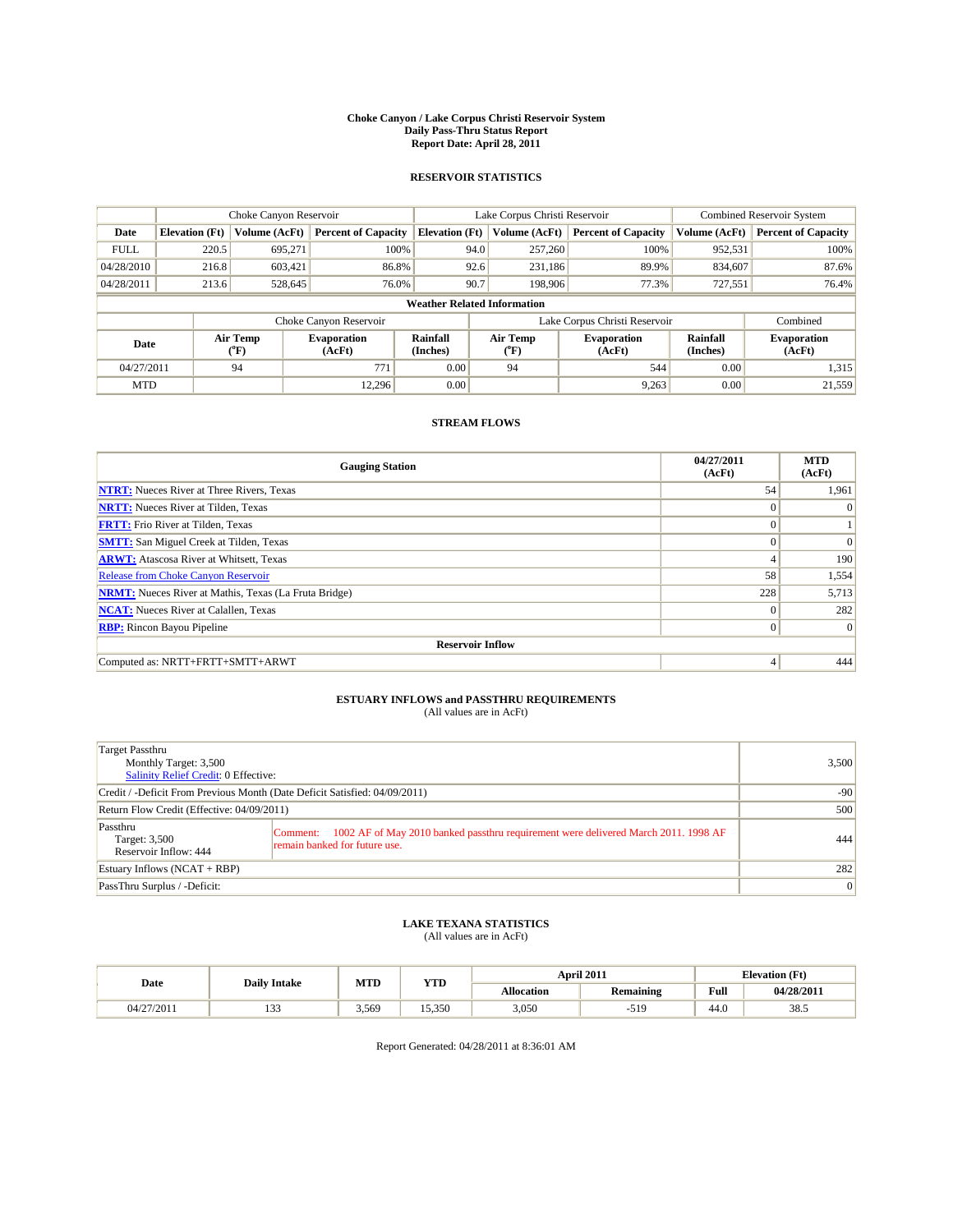#### **Choke Canyon / Lake Corpus Christi Reservoir System Daily Pass-Thru Status Report Report Date: April 28, 2011**

#### **RESERVOIR STATISTICS**

|             | Choke Canyon Reservoir |                  |                              |                                    | Lake Corpus Christi Reservoir | <b>Combined Reservoir System</b> |                      |                              |
|-------------|------------------------|------------------|------------------------------|------------------------------------|-------------------------------|----------------------------------|----------------------|------------------------------|
| Date        | <b>Elevation</b> (Ft)  | Volume (AcFt)    | <b>Percent of Capacity</b>   | <b>Elevation</b> (Ft)              | Volume (AcFt)                 | <b>Percent of Capacity</b>       | Volume (AcFt)        | <b>Percent of Capacity</b>   |
| <b>FULL</b> | 220.5                  | 695,271          | 100%                         | 94.0                               | 257,260                       | 100%                             | 952,531              | 100%                         |
| 04/28/2010  | 216.8                  | 603,421          | 86.8%                        | 92.6                               | 231,186                       | 89.9%                            | 834,607              | 87.6%                        |
| 04/28/2011  | 213.6                  | 528,645          | 76.0%                        | 90.7                               | 198,906                       | 77.3%                            | 727,551              | 76.4%                        |
|             |                        |                  |                              | <b>Weather Related Information</b> |                               |                                  |                      |                              |
|             |                        |                  | Choke Canyon Reservoir       |                                    | Lake Corpus Christi Reservoir |                                  |                      | Combined                     |
| Date        |                        | Air Temp<br>(°F) | <b>Evaporation</b><br>(AcFt) | Rainfall<br>(Inches)               | Air Temp<br>("F)              | <b>Evaporation</b><br>(AcFt)     | Rainfall<br>(Inches) | <b>Evaporation</b><br>(AcFt) |
| 04/27/2011  |                        | 94               | 771                          | 0.00                               | 94                            | 544                              | 0.00                 | 1,315                        |
| <b>MTD</b>  |                        |                  | 12.296                       | 0.00                               |                               | 9,263                            | 0.00                 | 21,559                       |

### **STREAM FLOWS**

| <b>Gauging Station</b>                                       | 04/27/2011<br>(AcFt) | <b>MTD</b><br>(AcFt) |
|--------------------------------------------------------------|----------------------|----------------------|
| <b>NTRT:</b> Nueces River at Three Rivers, Texas             | 54                   | 1,961                |
| <b>NRTT:</b> Nueces River at Tilden, Texas                   | $\Omega$             | $\Omega$             |
| <b>FRTT:</b> Frio River at Tilden, Texas                     | $\mathbf{0}$         |                      |
| <b>SMTT:</b> San Miguel Creek at Tilden, Texas               | $\Omega$             | $\Omega$             |
| <b>ARWT:</b> Atascosa River at Whitsett, Texas               | $\overline{4}$       | 190                  |
| <b>Release from Choke Canyon Reservoir</b>                   | 58                   | 1,554                |
| <b>NRMT:</b> Nueces River at Mathis, Texas (La Fruta Bridge) | 228                  | 5,713                |
| <b>NCAT:</b> Nueces River at Calallen, Texas                 | $\theta$             | 282                  |
| <b>RBP:</b> Rincon Bayou Pipeline                            | $\mathbf{0}$         | $\vert$ 0            |
| <b>Reservoir Inflow</b>                                      |                      |                      |
| Computed as: NRTT+FRTT+SMTT+ARWT                             | 4                    | 444                  |

# **ESTUARY INFLOWS and PASSTHRU REQUIREMENTS**<br>(All values are in AcFt)

| Target Passthru<br>Monthly Target: 3,500<br><b>Salinity Relief Credit: 0 Effective:</b> |                                                                                                                                 | 3,500 |  |  |
|-----------------------------------------------------------------------------------------|---------------------------------------------------------------------------------------------------------------------------------|-------|--|--|
| Credit / -Deficit From Previous Month (Date Deficit Satisfied: 04/09/2011)              |                                                                                                                                 |       |  |  |
| Return Flow Credit (Effective: 04/09/2011)                                              | 500                                                                                                                             |       |  |  |
| Passthru<br>Target: 3,500<br>Reservoir Inflow: 444                                      | 1002 AF of May 2010 banked passthru requirement were delivered March 2011. 1998 AF<br>Comment:<br>remain banked for future use. | 444   |  |  |
| Estuary Inflows $(NCAT + RBP)$                                                          | 282                                                                                                                             |       |  |  |
| PassThru Surplus / -Deficit:                                                            |                                                                                                                                 | 0     |  |  |

## **LAKE TEXANA STATISTICS** (All values are in AcFt)

|            | <b>Daily Intake</b> | MTD<br><b>YTD</b> |        | <b>April 2011</b> | <b>Elevation</b> (Ft) |      |            |
|------------|---------------------|-------------------|--------|-------------------|-----------------------|------|------------|
| Date       |                     |                   |        | <b>Allocation</b> | Remaining             | Full | 04/28/2011 |
| 04/27/2011 | $\sim$<br>ن ب       | 3,569             | 15.350 | 3,050             | 510                   | 44.0 | 38.5       |

Report Generated: 04/28/2011 at 8:36:01 AM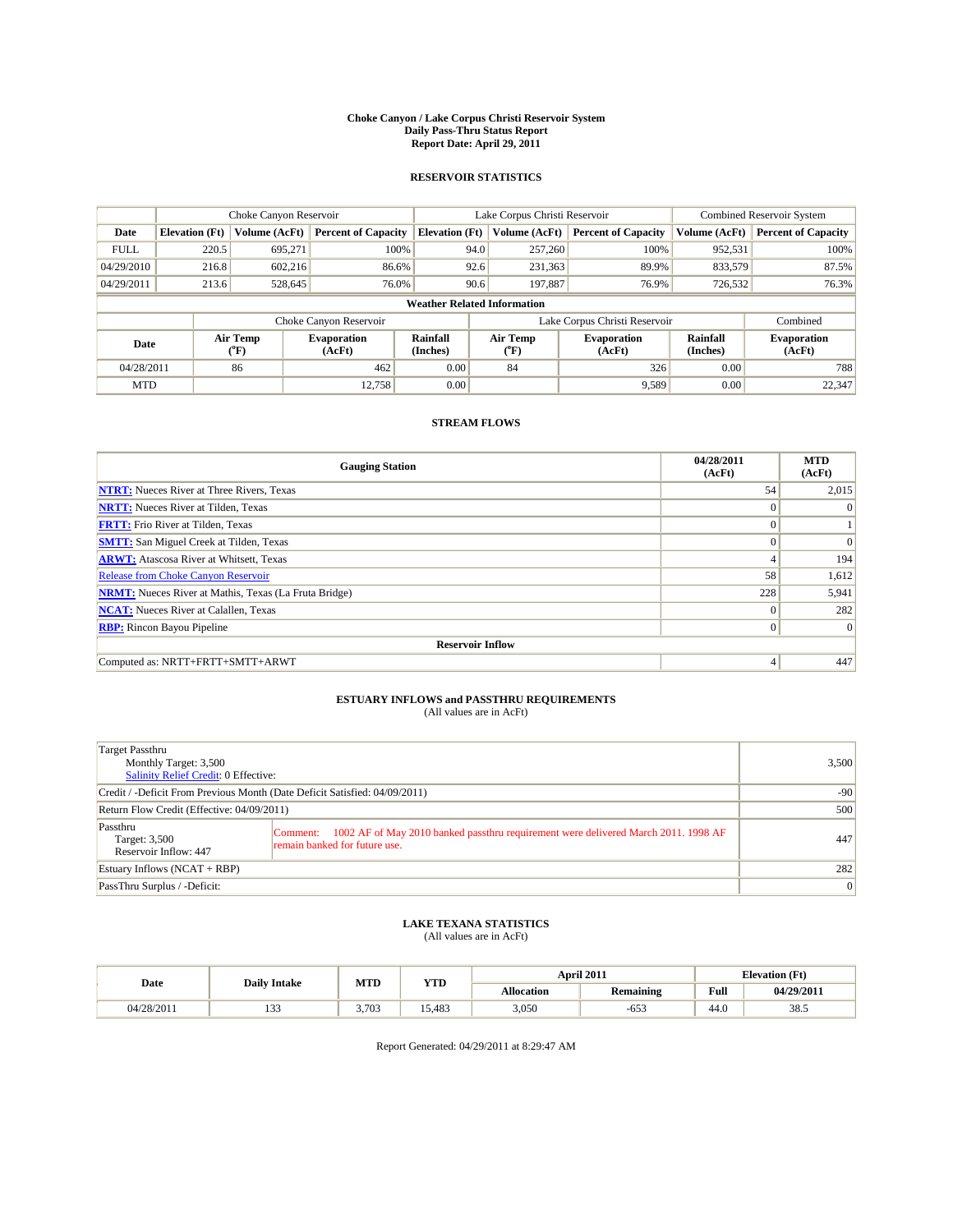#### **Choke Canyon / Lake Corpus Christi Reservoir System Daily Pass-Thru Status Report Report Date: April 29, 2011**

#### **RESERVOIR STATISTICS**

|             | Choke Canyon Reservoir |                  |                              |                                    | Lake Corpus Christi Reservoir | <b>Combined Reservoir System</b> |                      |                              |
|-------------|------------------------|------------------|------------------------------|------------------------------------|-------------------------------|----------------------------------|----------------------|------------------------------|
| Date        | <b>Elevation</b> (Ft)  | Volume (AcFt)    | <b>Percent of Capacity</b>   | <b>Elevation</b> (Ft)              | Volume (AcFt)                 | <b>Percent of Capacity</b>       | Volume (AcFt)        | <b>Percent of Capacity</b>   |
| <b>FULL</b> | 220.5                  | 695,271          | 100%                         | 94.0                               | 257,260                       | 100%                             | 952,531              | 100%                         |
| 04/29/2010  | 216.8                  | 602,216          | 86.6%                        |                                    | 92.6<br>231,363               | 89.9%                            | 833,579              | 87.5%                        |
| 04/29/2011  | 213.6                  | 528,645          | 76.0%                        |                                    | 197,887<br>90.6               | 76.9%                            | 726,532              | 76.3%                        |
|             |                        |                  |                              | <b>Weather Related Information</b> |                               |                                  |                      |                              |
|             |                        |                  | Choke Canyon Reservoir       |                                    | Lake Corpus Christi Reservoir |                                  |                      | Combined                     |
| Date        |                        | Air Temp<br>(°F) | <b>Evaporation</b><br>(AcFt) | Rainfall<br>(Inches)               | Air Temp<br>("F)              | <b>Evaporation</b><br>(AcFt)     | Rainfall<br>(Inches) | <b>Evaporation</b><br>(AcFt) |
| 04/28/2011  |                        | 86               | 462                          | 0.00                               | 84                            | 326                              | 0.00                 | 788                          |
| <b>MTD</b>  |                        |                  | 12.758                       | 0.00                               |                               | 9,589                            | 0.00                 | 22,347                       |

### **STREAM FLOWS**

| <b>Gauging Station</b>                                       | 04/28/2011<br>(AcFt) | <b>MTD</b><br>(AcFt) |
|--------------------------------------------------------------|----------------------|----------------------|
| <b>NTRT:</b> Nueces River at Three Rivers, Texas             | 54                   | 2,015                |
| <b>NRTT:</b> Nueces River at Tilden, Texas                   |                      | $\Omega$             |
| <b>FRTT:</b> Frio River at Tilden, Texas                     | $\Omega$             |                      |
| <b>SMTT:</b> San Miguel Creek at Tilden, Texas               | $\theta$             | $\Omega$             |
| <b>ARWT:</b> Atascosa River at Whitsett, Texas               | $\overline{4}$       | 194                  |
| <b>Release from Choke Canyon Reservoir</b>                   | 58                   | 1,612                |
| <b>NRMT:</b> Nueces River at Mathis, Texas (La Fruta Bridge) | 228                  | 5,941                |
| <b>NCAT:</b> Nueces River at Calallen, Texas                 | $\theta$             | 282                  |
| <b>RBP:</b> Rincon Bayou Pipeline                            | $\theta$             | $\vert$ 0            |
| <b>Reservoir Inflow</b>                                      |                      |                      |
| Computed as: NRTT+FRTT+SMTT+ARWT                             | 4                    | 447                  |

## **ESTUARY INFLOWS and PASSTHRU REQUIREMENTS**<br>(All values are in AcFt)

| Target Passthru<br>Monthly Target: 3,500<br><b>Salinity Relief Credit: 0 Effective:</b> |                                                                                                                                 | 3,500 |
|-----------------------------------------------------------------------------------------|---------------------------------------------------------------------------------------------------------------------------------|-------|
| Credit / -Deficit From Previous Month (Date Deficit Satisfied: 04/09/2011)              | $-90$                                                                                                                           |       |
| Return Flow Credit (Effective: 04/09/2011)                                              |                                                                                                                                 | 500   |
| Passthru<br>Target: 3,500<br>Reservoir Inflow: 447                                      | 1002 AF of May 2010 banked passthru requirement were delivered March 2011. 1998 AF<br>Comment:<br>remain banked for future use. | 447   |
| Estuary Inflows $(NCAT + RBP)$                                                          |                                                                                                                                 | 282   |
| PassThru Surplus / -Deficit:                                                            |                                                                                                                                 | 0     |

### **LAKE TEXANA STATISTICS** (All values are in AcFt)

|            | <b>Daily Intake</b> | MTD   | <b>YTD</b> |            | April 2011 |                                                    | <b>Elevation</b> (Ft)    |
|------------|---------------------|-------|------------|------------|------------|----------------------------------------------------|--------------------------|
| Date       |                     |       |            | Allocation | Remaining  | <b>Full</b><br>the contract of the contract of the | $04/29/201$ <sup>*</sup> |
| 04/28/2011 | $\sim$<br>ن ب       | 3.703 | 5.483      | 3,050      | $-65.$     | 44.0                                               | 38.5                     |

Report Generated: 04/29/2011 at 8:29:47 AM